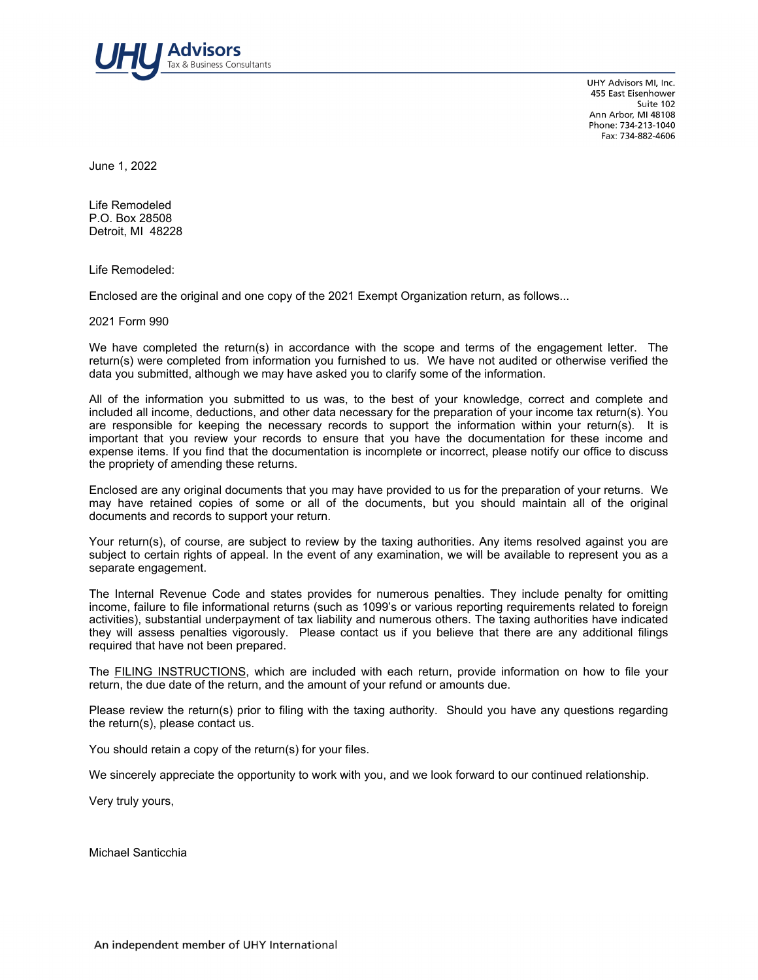

UHY Advisors MI, Inc. 455 East Eisenhower Suite 102 Ann Arbor, MI 48108 Phone: 734-213-1040 Fax: 734-882-4606

June 1, 2022

Life Remodeled P.O. Box 28508 Detroit, MI 48228

Life Remodeled:

Enclosed are the original and one copy of the 2021 Exempt Organization return, as follows...

2021 Form 990

We have completed the return(s) in accordance with the scope and terms of the engagement letter. The return(s) were completed from information you furnished to us. We have not audited or otherwise verified the data you submitted, although we may have asked you to clarify some of the information.

All of the information you submitted to us was, to the best of your knowledge, correct and complete and included all income, deductions, and other data necessary for the preparation of your income tax return(s). You are responsible for keeping the necessary records to support the information within your return(s). It is important that you review your records to ensure that you have the documentation for these income and expense items. If you find that the documentation is incomplete or incorrect, please notify our office to discuss the propriety of amending these returns.

Enclosed are any original documents that you may have provided to us for the preparation of your returns. We may have retained copies of some or all of the documents, but you should maintain all of the original documents and records to support your return.

Your return(s), of course, are subject to review by the taxing authorities. Any items resolved against you are subject to certain rights of appeal. In the event of any examination, we will be available to represent you as a separate engagement.

The Internal Revenue Code and states provides for numerous penalties. They include penalty for omitting income, failure to file informational returns (such as 1099's or various reporting requirements related to foreign activities), substantial underpayment of tax liability and numerous others. The taxing authorities have indicated they will assess penalties vigorously. Please contact us if you believe that there are any additional filings required that have not been prepared.

The FILING INSTRUCTIONS, which are included with each return, provide information on how to file your return, the due date of the return, and the amount of your refund or amounts due.

Please review the return(s) prior to filing with the taxing authority. Should you have any questions regarding the return(s), please contact us.

You should retain a copy of the return(s) for your files.

We sincerely appreciate the opportunity to work with you, and we look forward to our continued relationship.

Very truly yours,

Michael Santicchia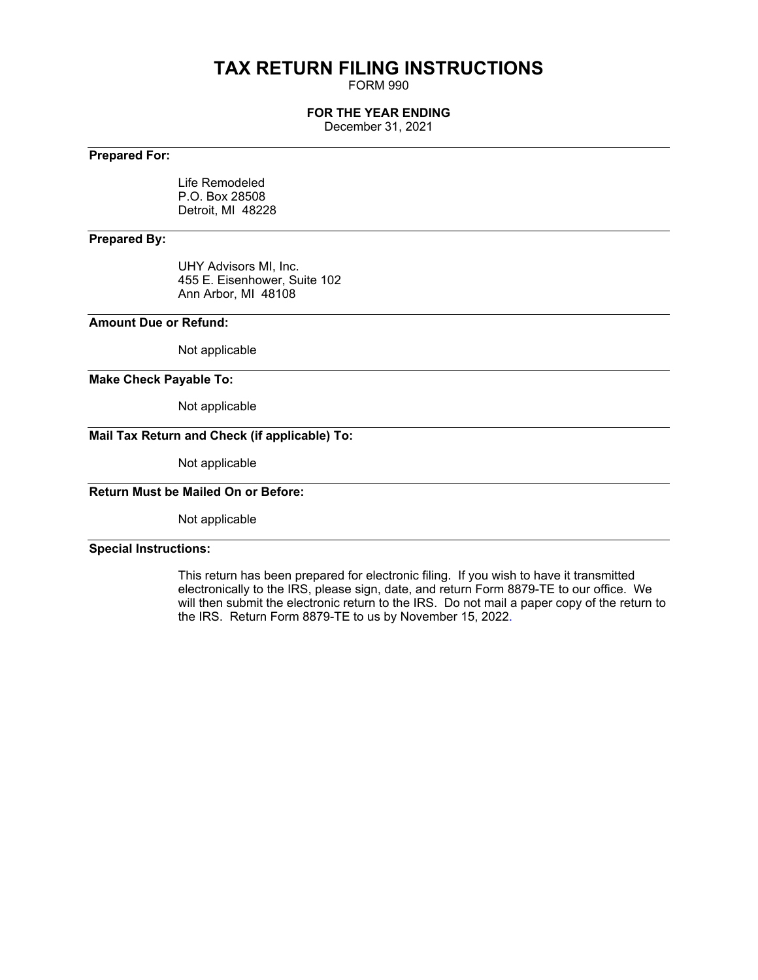# **TAX RETURN FILING INSTRUCTIONS**

FORM 990

## **FOR THE YEAR ENDING**

December 31, 2021

# **Prepared For:**

Life Remodeled P.O. Box 28508 Detroit, MI 48228

## **Prepared By:**

UHY Advisors MI, Inc. 455 E. Eisenhower, Suite 102 Ann Arbor, MI 48108

## **Amount Due or Refund:**

Not applicable

### **Make Check Payable To:**

Not applicable

# **Mail Tax Return and Check (if applicable) To:**

Not applicable

# **Return Must be Mailed On or Before:**

Not applicable

### **Special Instructions:**

This return has been prepared for electronic filing. If you wish to have it transmitted electronically to the IRS, please sign, date, and return Form 8879-TE to our office. We will then submit the electronic return to the IRS. Do not mail a paper copy of the return to the IRS. Return Form 8879-TE to us by November 15, 2022.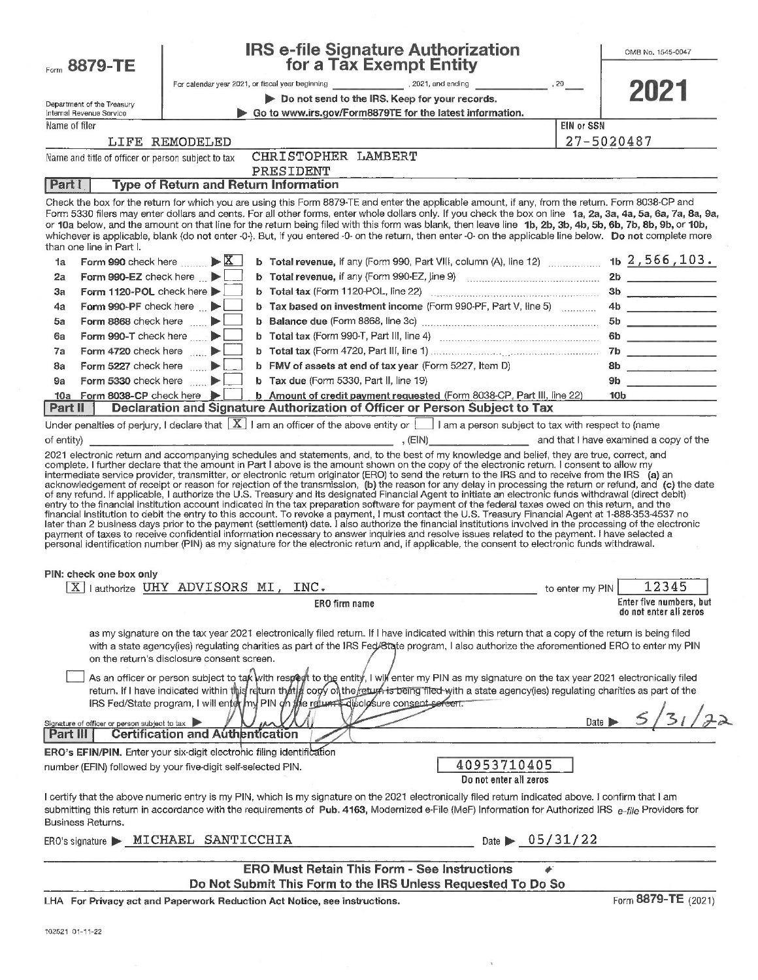| Form 8879-TE                                              | <b>IRS e-file Signature Authorization</b><br>for a Tax Exempt Entity                                                                                                                                                                                                                                                                                                                                                                                                                                                                                                                                                                                                                                                                                                                                                                                                                                                                                                                                                                                                                                    | OMB No. 1545-0047        |
|-----------------------------------------------------------|---------------------------------------------------------------------------------------------------------------------------------------------------------------------------------------------------------------------------------------------------------------------------------------------------------------------------------------------------------------------------------------------------------------------------------------------------------------------------------------------------------------------------------------------------------------------------------------------------------------------------------------------------------------------------------------------------------------------------------------------------------------------------------------------------------------------------------------------------------------------------------------------------------------------------------------------------------------------------------------------------------------------------------------------------------------------------------------------------------|--------------------------|
|                                                           |                                                                                                                                                                                                                                                                                                                                                                                                                                                                                                                                                                                                                                                                                                                                                                                                                                                                                                                                                                                                                                                                                                         |                          |
| Department of the Treasury                                | Do not send to the IRS. Keep for your records.                                                                                                                                                                                                                                                                                                                                                                                                                                                                                                                                                                                                                                                                                                                                                                                                                                                                                                                                                                                                                                                          | 2021                     |
| Internal Revenue Service                                  | Go to www.irs.gov/Form8879TE for the latest information.                                                                                                                                                                                                                                                                                                                                                                                                                                                                                                                                                                                                                                                                                                                                                                                                                                                                                                                                                                                                                                                |                          |
| Name of filer                                             |                                                                                                                                                                                                                                                                                                                                                                                                                                                                                                                                                                                                                                                                                                                                                                                                                                                                                                                                                                                                                                                                                                         | <b>EIN or SSN</b>        |
|                                                           | LIFE REMODELED                                                                                                                                                                                                                                                                                                                                                                                                                                                                                                                                                                                                                                                                                                                                                                                                                                                                                                                                                                                                                                                                                          | 27-5020487               |
| Name and title of officer or person subject to tax        | CHRISTOPHER LAMBERT<br>PRESIDENT                                                                                                                                                                                                                                                                                                                                                                                                                                                                                                                                                                                                                                                                                                                                                                                                                                                                                                                                                                                                                                                                        |                          |
| Part I                                                    | <b>Type of Return and Return Information</b>                                                                                                                                                                                                                                                                                                                                                                                                                                                                                                                                                                                                                                                                                                                                                                                                                                                                                                                                                                                                                                                            |                          |
| than one line in Part I.                                  | Check the box for the return for which you are using this Form 8879-TE and enter the applicable amount, if any, from the return. Form 8038-CP and<br>Form 5330 filers may enter dollars and cents. For all other forms, enter whole dollars only. If you check the box on line 1a, 2a, 3a, 4a, 5a, 6a, 7a, 8a, 9a,<br>or 10a below, and the amount on that line for the return being filed with this form was blank, then leave line 1b, 2b, 3b, 4b, 5b, 6b, 7b, 8b, 9b, or 10b,<br>whichever is applicable, blank (do not enter -0-). But, if you entered -0- on the return, then enter -0- on the applicable line below. Do not complete more                                                                                                                                                                                                                                                                                                                                                                                                                                                         |                          |
| Form 990 check here $\mathbb{X}$<br>1a                    | <b>b</b> Total revenue, if any (Form 990, Part VIII, column (A), line 12) $\ldots$ 1b $2,566,103$ .                                                                                                                                                                                                                                                                                                                                                                                                                                                                                                                                                                                                                                                                                                                                                                                                                                                                                                                                                                                                     |                          |
| Form 990-EZ check here <b>D</b><br>2a                     | b Total revenue, if any (Form 990-EZ, line 9) manufactured and the 2b                                                                                                                                                                                                                                                                                                                                                                                                                                                                                                                                                                                                                                                                                                                                                                                                                                                                                                                                                                                                                                   |                          |
| Form 1120-POL check here<br>Зa                            |                                                                                                                                                                                                                                                                                                                                                                                                                                                                                                                                                                                                                                                                                                                                                                                                                                                                                                                                                                                                                                                                                                         | 3b                       |
| Form 990-PF check here $\Box$<br>4a                       | b Tax based on investment income (Form 990-PF, Part V, line 5)                                                                                                                                                                                                                                                                                                                                                                                                                                                                                                                                                                                                                                                                                                                                                                                                                                                                                                                                                                                                                                          | 4b                       |
| Form 8868 check here <b>DE</b><br>5a                      |                                                                                                                                                                                                                                                                                                                                                                                                                                                                                                                                                                                                                                                                                                                                                                                                                                                                                                                                                                                                                                                                                                         |                          |
| Form 990-T check here<br>6a                               |                                                                                                                                                                                                                                                                                                                                                                                                                                                                                                                                                                                                                                                                                                                                                                                                                                                                                                                                                                                                                                                                                                         |                          |
| Form 4720 check here $\blacktriangleright$<br>7a          |                                                                                                                                                                                                                                                                                                                                                                                                                                                                                                                                                                                                                                                                                                                                                                                                                                                                                                                                                                                                                                                                                                         |                          |
| Form 5227 check here $\blacktriangleright$<br>8a          | b FMV of assets at end of tax year (Form 5227, Item D)                                                                                                                                                                                                                                                                                                                                                                                                                                                                                                                                                                                                                                                                                                                                                                                                                                                                                                                                                                                                                                                  | 8b                       |
| Form 5330 check here <b>by</b><br>9a                      | b Tax due (Form 5330, Part II, line 19)                                                                                                                                                                                                                                                                                                                                                                                                                                                                                                                                                                                                                                                                                                                                                                                                                                                                                                                                                                                                                                                                 | 9b                       |
| Form 8038-CP check here $\blacktriangleright$<br>10a      | b Amount of credit payment requested (Form 8038-CP, Part III, line 22)                                                                                                                                                                                                                                                                                                                                                                                                                                                                                                                                                                                                                                                                                                                                                                                                                                                                                                                                                                                                                                  | 10b                      |
| Part II                                                   | Declaration and Signature Authorization of Officer or Person Subject to Tax                                                                                                                                                                                                                                                                                                                                                                                                                                                                                                                                                                                                                                                                                                                                                                                                                                                                                                                                                                                                                             |                          |
|                                                           | acknowledgement of receipt or reason for rejection of the transmission, (b) the reason for any delay in processing the return or refund, and (c) the date<br>of any refund. If applicable, I authorize the U.S. Treasury and its designated Financial Agent to initiate an electronic funds withdrawal (direct debit)<br>entry to the financial institution account indicated in the tax preparation software for payment of the federal taxes owed on this return, and the<br>financial institution to debit the entry to this account. To revoke a payment, I must contact the U.S. Treasury Financial Agent at 1-888-353-4537 no<br>later than 2 business days prior to the payment (settlement) date. I also authorize the financial institutions involved in the processing of the electronic<br>payment of taxes to receive confidential information necessary to answer inquiries and resolve issues related to the payment. I have selected a<br>personal identification number (PIN) as my signature for the electronic return and, if applicable, the consent to electronic funds withdrawal. |                          |
| PIN: check one box only<br>X                              | lauthorize UHY ADVISORS MI,<br>INC.                                                                                                                                                                                                                                                                                                                                                                                                                                                                                                                                                                                                                                                                                                                                                                                                                                                                                                                                                                                                                                                                     | 12345<br>to enter my PIN |
|                                                           | ERO firm name                                                                                                                                                                                                                                                                                                                                                                                                                                                                                                                                                                                                                                                                                                                                                                                                                                                                                                                                                                                                                                                                                           | Enter five numbers, but  |
|                                                           |                                                                                                                                                                                                                                                                                                                                                                                                                                                                                                                                                                                                                                                                                                                                                                                                                                                                                                                                                                                                                                                                                                         | do not enter all zeros   |
|                                                           | as my signature on the tax year 2021 electronically filed return. If I have indicated within this return that a copy of the return is being filed<br>with a state agency(ies) regulating charities as part of the IRS Fed/State program, I also authorize the aforementioned ERO to enter my PIN<br>on the return's disclosure consent screen.<br>As an officer or person subject to tak with respect to the entity, I will enter my PIN as my signature on the tax year 2021 electronically filed<br>return. If I have indicated within this return that & copy of the return is being filed with a state agency(ies) regulating charities as part of the                                                                                                                                                                                                                                                                                                                                                                                                                                              |                          |
|                                                           | IRS Fed/State program, I will enter my PIN on the return of disclosure consent server.                                                                                                                                                                                                                                                                                                                                                                                                                                                                                                                                                                                                                                                                                                                                                                                                                                                                                                                                                                                                                  |                          |
| Signature of officer or person subject to tax<br>Part III | <b>Certification and Authentication</b>                                                                                                                                                                                                                                                                                                                                                                                                                                                                                                                                                                                                                                                                                                                                                                                                                                                                                                                                                                                                                                                                 | Date 1                   |
|                                                           | <b>ERO's EFIN/PIN.</b> Enter your six-digit electronic filing identification                                                                                                                                                                                                                                                                                                                                                                                                                                                                                                                                                                                                                                                                                                                                                                                                                                                                                                                                                                                                                            |                          |
|                                                           | 40953710405<br>number (EFIN) followed by your five-digit self-selected PIN.<br>Do not enter all zeros                                                                                                                                                                                                                                                                                                                                                                                                                                                                                                                                                                                                                                                                                                                                                                                                                                                                                                                                                                                                   |                          |
| Business Returns.                                         | I certify that the above numeric entry is my PIN, which is my signature on the 2021 electronically filed return indicated above. I confirm that I am<br>submitting this return in accordance with the requirements of Pub. 4163, Modernized e-File (MeF) Information for Authorized IRS e-file Providers for                                                                                                                                                                                                                                                                                                                                                                                                                                                                                                                                                                                                                                                                                                                                                                                            |                          |
|                                                           | ERO's signature > MICHAEL SANTICCHIA<br>Date $\triangleright$ 05/31/22                                                                                                                                                                                                                                                                                                                                                                                                                                                                                                                                                                                                                                                                                                                                                                                                                                                                                                                                                                                                                                  |                          |
|                                                           | <b>ERO Must Retain This Form - See Instructions</b>                                                                                                                                                                                                                                                                                                                                                                                                                                                                                                                                                                                                                                                                                                                                                                                                                                                                                                                                                                                                                                                     |                          |
|                                                           | Do Not Submit This Form to the IRS Unless Requested To Do So                                                                                                                                                                                                                                                                                                                                                                                                                                                                                                                                                                                                                                                                                                                                                                                                                                                                                                                                                                                                                                            |                          |
|                                                           | LHA For Privacy act and Paperwork Reduction Act Notice, see instructions.                                                                                                                                                                                                                                                                                                                                                                                                                                                                                                                                                                                                                                                                                                                                                                                                                                                                                                                                                                                                                               | Form 8879-TE (2021)      |

 $\bar{\mathbf{r}}$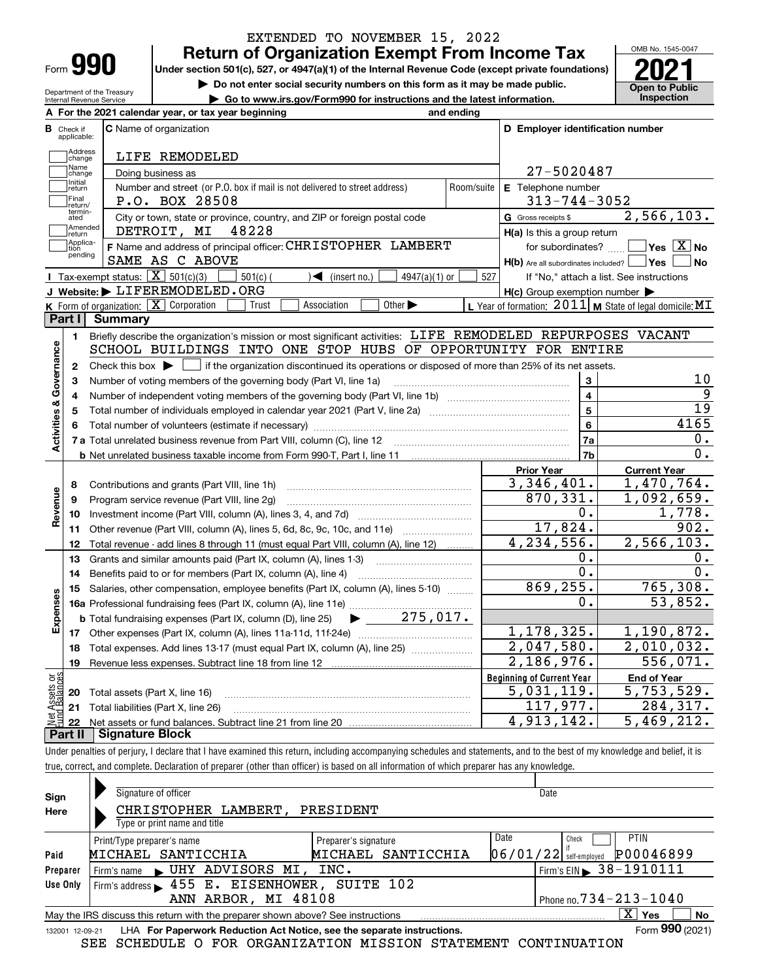|      | п |
|------|---|
| Form |   |

Department of the Treasury Internal Revenue Service

# **Return of Organization Exempt From Income Tax** EXTENDED TO NOVEMBER 15, 2022

Under section 501(c), 527, or 4947(a)(1) of the Internal Revenue Code (except private foundations) **2021** 

**| Do not enter social security numbers on this form as it may be made public.**

**| Go to www.irs.gov/Form990 for instructions and the latest information. Inspection**

OMB No. 1545-0047 **Open to Public** 

| D Employer identification number<br>27-5020487<br>E Telephone number<br>$313 - 744 - 3052$<br>G Gross receipts \$<br>$H(a)$ is this a group return<br>for subordinates?<br>H(b) Are all subordinates included?   Yes  <br>$H(c)$ Group exemption number $\blacktriangleright$<br>SCHOOL BUILDINGS INTO ONE STOP HUBS OF OPPORTUNITY FOR ENTIRE<br>Check this box $\blacktriangleright$ $\blacksquare$ if the organization discontinued its operations or disposed of more than 25% of its net assets.<br>3<br>$\overline{\mathbf{4}}$<br>5<br>6<br>7a<br>7b | 2,566,103.<br>$\sqrt{}$ Yes $\sqrt{}$ X $\sqrt{}$ No<br>∣No<br>If "No," attach a list. See instructions<br>L Year of formation: $2011$ M State of legal domicile: MI<br>Briefly describe the organization's mission or most significant activities: LIFE REMODELED REPURPOSES VACANT<br>10<br>9<br>$\overline{19}$<br>4165<br>0.<br>0. |
|-------------------------------------------------------------------------------------------------------------------------------------------------------------------------------------------------------------------------------------------------------------------------------------------------------------------------------------------------------------------------------------------------------------------------------------------------------------------------------------------------------------------------------------------------------------|----------------------------------------------------------------------------------------------------------------------------------------------------------------------------------------------------------------------------------------------------------------------------------------------------------------------------------------|
|                                                                                                                                                                                                                                                                                                                                                                                                                                                                                                                                                             |                                                                                                                                                                                                                                                                                                                                        |
|                                                                                                                                                                                                                                                                                                                                                                                                                                                                                                                                                             |                                                                                                                                                                                                                                                                                                                                        |
|                                                                                                                                                                                                                                                                                                                                                                                                                                                                                                                                                             |                                                                                                                                                                                                                                                                                                                                        |
|                                                                                                                                                                                                                                                                                                                                                                                                                                                                                                                                                             |                                                                                                                                                                                                                                                                                                                                        |
|                                                                                                                                                                                                                                                                                                                                                                                                                                                                                                                                                             |                                                                                                                                                                                                                                                                                                                                        |
|                                                                                                                                                                                                                                                                                                                                                                                                                                                                                                                                                             |                                                                                                                                                                                                                                                                                                                                        |
|                                                                                                                                                                                                                                                                                                                                                                                                                                                                                                                                                             |                                                                                                                                                                                                                                                                                                                                        |
|                                                                                                                                                                                                                                                                                                                                                                                                                                                                                                                                                             |                                                                                                                                                                                                                                                                                                                                        |
|                                                                                                                                                                                                                                                                                                                                                                                                                                                                                                                                                             |                                                                                                                                                                                                                                                                                                                                        |
|                                                                                                                                                                                                                                                                                                                                                                                                                                                                                                                                                             |                                                                                                                                                                                                                                                                                                                                        |
|                                                                                                                                                                                                                                                                                                                                                                                                                                                                                                                                                             |                                                                                                                                                                                                                                                                                                                                        |
|                                                                                                                                                                                                                                                                                                                                                                                                                                                                                                                                                             |                                                                                                                                                                                                                                                                                                                                        |
|                                                                                                                                                                                                                                                                                                                                                                                                                                                                                                                                                             |                                                                                                                                                                                                                                                                                                                                        |
|                                                                                                                                                                                                                                                                                                                                                                                                                                                                                                                                                             |                                                                                                                                                                                                                                                                                                                                        |
|                                                                                                                                                                                                                                                                                                                                                                                                                                                                                                                                                             |                                                                                                                                                                                                                                                                                                                                        |
|                                                                                                                                                                                                                                                                                                                                                                                                                                                                                                                                                             |                                                                                                                                                                                                                                                                                                                                        |
|                                                                                                                                                                                                                                                                                                                                                                                                                                                                                                                                                             |                                                                                                                                                                                                                                                                                                                                        |
|                                                                                                                                                                                                                                                                                                                                                                                                                                                                                                                                                             |                                                                                                                                                                                                                                                                                                                                        |
|                                                                                                                                                                                                                                                                                                                                                                                                                                                                                                                                                             |                                                                                                                                                                                                                                                                                                                                        |
|                                                                                                                                                                                                                                                                                                                                                                                                                                                                                                                                                             |                                                                                                                                                                                                                                                                                                                                        |
|                                                                                                                                                                                                                                                                                                                                                                                                                                                                                                                                                             |                                                                                                                                                                                                                                                                                                                                        |
|                                                                                                                                                                                                                                                                                                                                                                                                                                                                                                                                                             |                                                                                                                                                                                                                                                                                                                                        |
| <b>Prior Year</b><br>3,346,401.                                                                                                                                                                                                                                                                                                                                                                                                                                                                                                                             | <b>Current Year</b><br>1,470,764.                                                                                                                                                                                                                                                                                                      |
| 870,331.                                                                                                                                                                                                                                                                                                                                                                                                                                                                                                                                                    | 1,092,659.                                                                                                                                                                                                                                                                                                                             |
| 0.                                                                                                                                                                                                                                                                                                                                                                                                                                                                                                                                                          | 1,778.                                                                                                                                                                                                                                                                                                                                 |
| 17,824.                                                                                                                                                                                                                                                                                                                                                                                                                                                                                                                                                     | 902.                                                                                                                                                                                                                                                                                                                                   |
| 4, 234, 556.                                                                                                                                                                                                                                                                                                                                                                                                                                                                                                                                                | 2,566,103.                                                                                                                                                                                                                                                                                                                             |
|                                                                                                                                                                                                                                                                                                                                                                                                                                                                                                                                                             | 0.                                                                                                                                                                                                                                                                                                                                     |
|                                                                                                                                                                                                                                                                                                                                                                                                                                                                                                                                                             | 0.                                                                                                                                                                                                                                                                                                                                     |
|                                                                                                                                                                                                                                                                                                                                                                                                                                                                                                                                                             | 765,308.                                                                                                                                                                                                                                                                                                                               |
|                                                                                                                                                                                                                                                                                                                                                                                                                                                                                                                                                             | 53,852.                                                                                                                                                                                                                                                                                                                                |
|                                                                                                                                                                                                                                                                                                                                                                                                                                                                                                                                                             |                                                                                                                                                                                                                                                                                                                                        |
|                                                                                                                                                                                                                                                                                                                                                                                                                                                                                                                                                             | 1,190,872.                                                                                                                                                                                                                                                                                                                             |
|                                                                                                                                                                                                                                                                                                                                                                                                                                                                                                                                                             | 2,010,032.                                                                                                                                                                                                                                                                                                                             |
|                                                                                                                                                                                                                                                                                                                                                                                                                                                                                                                                                             | 556,071.                                                                                                                                                                                                                                                                                                                               |
|                                                                                                                                                                                                                                                                                                                                                                                                                                                                                                                                                             | <b>End of Year</b>                                                                                                                                                                                                                                                                                                                     |
|                                                                                                                                                                                                                                                                                                                                                                                                                                                                                                                                                             | $\overline{5,753,529}$ .                                                                                                                                                                                                                                                                                                               |
|                                                                                                                                                                                                                                                                                                                                                                                                                                                                                                                                                             | 284,317.                                                                                                                                                                                                                                                                                                                               |
| 4,913,142.                                                                                                                                                                                                                                                                                                                                                                                                                                                                                                                                                  | 5,469,212.                                                                                                                                                                                                                                                                                                                             |
|                                                                                                                                                                                                                                                                                                                                                                                                                                                                                                                                                             |                                                                                                                                                                                                                                                                                                                                        |
|                                                                                                                                                                                                                                                                                                                                                                                                                                                                                                                                                             | Ο.<br>О.<br>869, 255.<br>$\overline{0}$ .<br>1,178,325.<br>2,047,580.<br>2,186,976.<br><b>Beginning of Current Year</b><br>5,031,119.<br>117,977.                                                                                                                                                                                      |

Under penalties of perjury, I declare that I have examined this return, including accompanying schedules and statements, and to the best of my knowledge and belief, it is true, correct, and complete. Declaration of preparer (other than officer) is based on all information of which preparer has any knowledge.

| Sign     | Signature of officer                                                                                           | Date                                         |  |  |  |  |  |  |
|----------|----------------------------------------------------------------------------------------------------------------|----------------------------------------------|--|--|--|--|--|--|
| Here     | CHRISTOPHER LAMBERT,<br>PRESIDENT                                                                              |                                              |  |  |  |  |  |  |
|          | Type or print name and title                                                                                   |                                              |  |  |  |  |  |  |
|          | Preparer's signature<br>Print/Type preparer's name                                                             | Date<br><b>PTIN</b><br>Check                 |  |  |  |  |  |  |
| Paid     | SANTICCHIA<br>MICHAEL SANTICCHIA<br>MICHAEL                                                                    | P00046899<br>$06/01/22$ self-employed        |  |  |  |  |  |  |
| Preparer | UHY ADVISORS MI, INC.<br>Firm's name                                                                           | $1$ Firm's EIN $\triangleright$ 38 - 1910111 |  |  |  |  |  |  |
| Use Only | Firm's address > 455 E. EISENHOWER, SUITE 102                                                                  |                                              |  |  |  |  |  |  |
|          | ANN ARBOR, MI 48108                                                                                            | Phone no. $734 - 213 - 1040$                 |  |  |  |  |  |  |
|          | $X \vert Y$ es<br><b>No</b><br>May the IRS discuss this return with the preparer shown above? See instructions |                                              |  |  |  |  |  |  |
|          | Form 990 (2021)<br>LHA For Paperwork Reduction Act Notice, see the separate instructions.<br>132001 12-09-21   |                                              |  |  |  |  |  |  |

SEE SCHEDULE O FOR ORGANIZATION MISSION STATEMENT CONTINUATION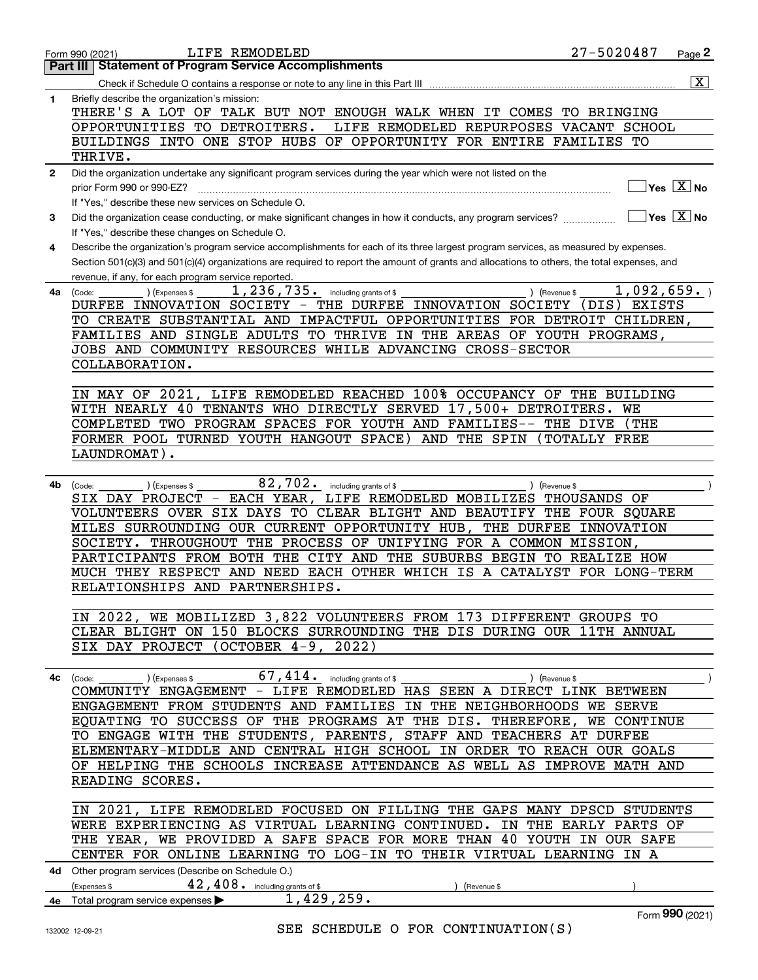|              | LIFE REMODELED<br>Form 990 (2021)                                                                                                             | 27-5020487        | Page <sub>2</sub>                                    |
|--------------|-----------------------------------------------------------------------------------------------------------------------------------------------|-------------------|------------------------------------------------------|
|              | <b>Part III   Statement of Program Service Accomplishments</b>                                                                                |                   |                                                      |
|              |                                                                                                                                               |                   | $\overline{\mathbf{x}}$                              |
| 1            | Briefly describe the organization's mission:                                                                                                  |                   |                                                      |
|              | THERE'S A LOT OF TALK BUT NOT ENOUGH WALK WHEN IT COMES                                                                                       | TO BRINGING       |                                                      |
|              | OPPORTUNITIES TO DETROITERS.<br>LIFE REMODELED REPURPOSES VACANT SCHOOL                                                                       |                   |                                                      |
|              | OF OPPORTUNITY FOR ENTIRE FAMILIES TO<br>BUILDINGS INTO ONE STOP HUBS                                                                         |                   |                                                      |
|              | THRIVE.                                                                                                                                       |                   |                                                      |
| $\mathbf{2}$ | Did the organization undertake any significant program services during the year which were not listed on the                                  |                   | $\overline{\mathsf{Yes} \ \mathbb{X}}$ No            |
|              | prior Form 990 or 990-EZ?<br>If "Yes," describe these new services on Schedule O.                                                             |                   |                                                      |
| 3            | Did the organization cease conducting, or make significant changes in how it conducts, any program services?                                  |                   | $\overline{\mathsf{Yes}}$ $\overline{\mathsf{X}}$ No |
|              | If "Yes," describe these changes on Schedule O.                                                                                               |                   |                                                      |
| 4            | Describe the organization's program service accomplishments for each of its three largest program services, as measured by expenses.          |                   |                                                      |
|              | Section 501(c)(3) and 501(c)(4) organizations are required to report the amount of grants and allocations to others, the total expenses, and  |                   |                                                      |
|              | revenue, if any, for each program service reported.                                                                                           |                   |                                                      |
| 4a           | 1, 236, 735. including grants of \$<br>(Expenses \$<br>) (Revenue \$<br>(Code:                                                                | 1,092,659.        |                                                      |
|              | DURFEE INNOVATION SOCIETY - THE DURFEE INNOVATION SOCIETY                                                                                     | (DIS) EXISTS      |                                                      |
|              | TO CREATE SUBSTANTIAL AND IMPACTFUL OPPORTUNITIES FOR DETROIT CHILDREN,                                                                       |                   |                                                      |
|              | FAMILIES AND SINGLE ADULTS TO THRIVE IN THE AREAS OF YOUTH PROGRAMS,                                                                          |                   |                                                      |
|              | JOBS AND COMMUNITY RESOURCES WHILE ADVANCING CROSS-SECTOR                                                                                     |                   |                                                      |
|              | COLLABORATION.                                                                                                                                |                   |                                                      |
|              |                                                                                                                                               |                   |                                                      |
|              | LIFE REMODELED REACHED 100% OCCUPANCY OF THE BUILDING<br>IN MAY OF 2021,                                                                      |                   |                                                      |
|              | WITH NEARLY 40 TENANTS WHO DIRECTLY SERVED 17,500+ DETROITERS. WE                                                                             |                   |                                                      |
|              | COMPLETED TWO PROGRAM SPACES FOR YOUTH AND FAMILIES--                                                                                         | THE DIVE<br>(THE) |                                                      |
|              | FORMER POOL TURNED YOUTH HANGOUT SPACE)<br>AND THE SPIN                                                                                       | TOTALLY FREE      |                                                      |
|              | LAUNDROMAT).                                                                                                                                  |                   |                                                      |
|              |                                                                                                                                               |                   |                                                      |
| 4b           | 82,702. including grants of \$<br>(Revenue \$<br>(Code:<br>(Expenses \$                                                                       |                   |                                                      |
|              | SIX DAY PROJECT - EACH YEAR, LIFE REMODELED MOBILIZES THOUSANDS OF                                                                            |                   |                                                      |
|              | VOLUNTEERS OVER SIX DAYS TO CLEAR BLIGHT AND BEAUTIFY THE FOUR SQUARE<br>MILES SURROUNDING OUR CURRENT OPPORTUNITY HUB, THE DURFEE INNOVATION |                   |                                                      |
|              | SOCIETY. THROUGHOUT THE PROCESS OF UNIFYING FOR A COMMON MISSION,                                                                             |                   |                                                      |
|              | PARTICIPANTS FROM BOTH THE CITY AND THE SUBURBS BEGIN TO REALIZE HOW                                                                          |                   |                                                      |
|              | MUCH THEY RESPECT AND NEED EACH OTHER WHICH IS A CATALYST FOR LONG-TERM                                                                       |                   |                                                      |
|              | RELATIONSHIPS AND PARTNERSHIPS.                                                                                                               |                   |                                                      |
|              |                                                                                                                                               |                   |                                                      |
|              | IN 2022, WE MOBILIZED 3,822 VOLUNTEERS FROM 173 DIFFERENT GROUPS TO                                                                           |                   |                                                      |
|              | CLEAR BLIGHT ON 150 BLOCKS SURROUNDING THE DIS DURING OUR 11TH ANNUAL                                                                         |                   |                                                      |
|              | SIX DAY PROJECT (OCTOBER 4-9, 2022)                                                                                                           |                   |                                                      |
|              |                                                                                                                                               |                   |                                                      |
|              | $67,414$ $\cdot$ including grants of \$<br>4c (Code:<br>) (Expenses \$<br>) (Revenue \$                                                       |                   |                                                      |
|              | COMMUNITY ENGAGEMENT - LIFE REMODELED HAS SEEN A DIRECT LINK BETWEEN                                                                          |                   |                                                      |
|              | ENGAGEMENT FROM STUDENTS AND FAMILIES IN THE NEIGHBORHOODS WE SERVE                                                                           |                   |                                                      |
|              | EQUATING TO SUCCESS OF THE PROGRAMS AT THE DIS. THEREFORE, WE CONTINUE                                                                        |                   |                                                      |
|              | TO ENGAGE WITH THE STUDENTS, PARENTS, STAFF AND TEACHERS AT DURFEE                                                                            |                   |                                                      |
|              | ELEMENTARY-MIDDLE AND CENTRAL HIGH SCHOOL IN ORDER TO REACH OUR GOALS                                                                         |                   |                                                      |
|              | OF HELPING THE SCHOOLS INCREASE ATTENDANCE AS WELL AS IMPROVE MATH AND                                                                        |                   |                                                      |
|              | READING SCORES.                                                                                                                               |                   |                                                      |
|              |                                                                                                                                               |                   |                                                      |
|              | IN 2021, LIFE REMODELED FOCUSED ON FILLING THE GAPS MANY DPSCD STUDENTS                                                                       |                   |                                                      |
|              | WERE EXPERIENCING AS VIRTUAL LEARNING CONTINUED. IN THE EARLY PARTS OF                                                                        |                   |                                                      |
|              | THE YEAR, WE PROVIDED A SAFE SPACE FOR MORE THAN 40 YOUTH IN OUR SAFE<br>CENTER FOR ONLINE LEARNING TO LOG-IN TO THEIR VIRTUAL LEARNING IN A  |                   |                                                      |
|              |                                                                                                                                               |                   |                                                      |
|              | 4d Other program services (Describe on Schedule O.)                                                                                           |                   |                                                      |
|              | 42, 408. including grants of \$<br>(Expenses \$<br>(Revenue \$<br>1,429,259.                                                                  |                   |                                                      |
|              | 4e Total program service expenses                                                                                                             |                   | Form 990 (2021)                                      |
|              | SEE SCHEDULE O FOR CONTINUATION(S)<br>132002 12-09-21                                                                                         |                   |                                                      |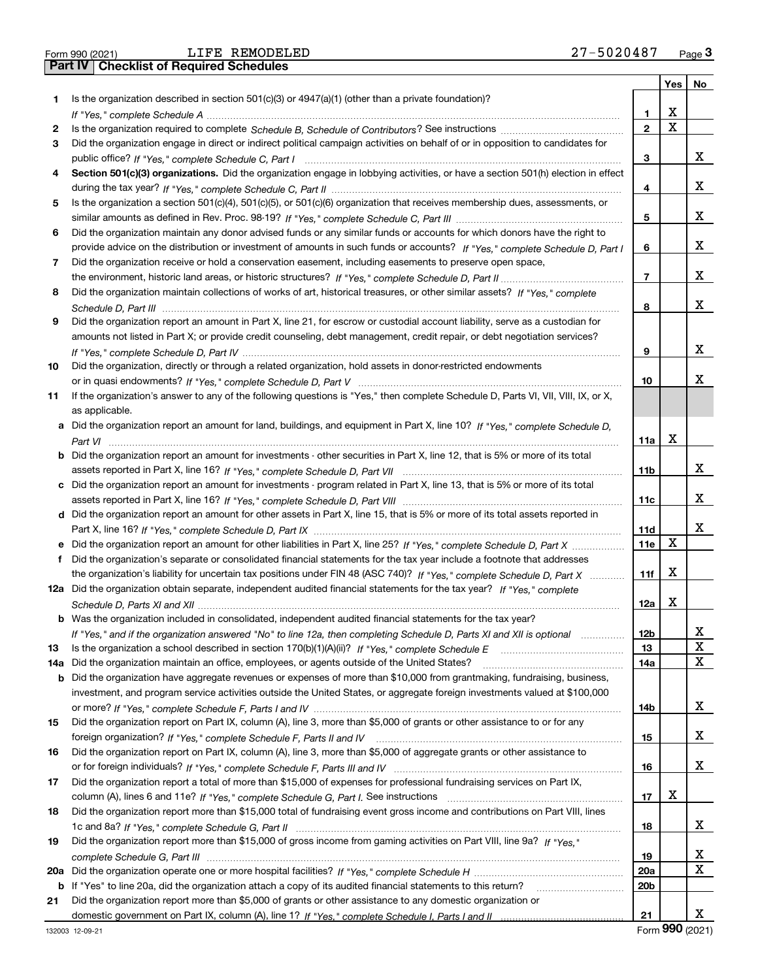|  | Form 990 (2021) |  |
|--|-----------------|--|

|     |                                                                                                                                                                                                                                      |                 | Yes         | No |
|-----|--------------------------------------------------------------------------------------------------------------------------------------------------------------------------------------------------------------------------------------|-----------------|-------------|----|
| 1   | Is the organization described in section $501(c)(3)$ or $4947(a)(1)$ (other than a private foundation)?                                                                                                                              |                 |             |    |
|     |                                                                                                                                                                                                                                      | 1               | х           |    |
| 2   |                                                                                                                                                                                                                                      | $\overline{2}$  | $\mathbf X$ |    |
| 3   | Did the organization engage in direct or indirect political campaign activities on behalf of or in opposition to candidates for                                                                                                      |                 |             |    |
|     |                                                                                                                                                                                                                                      | 3               |             | х  |
| 4   | Section 501(c)(3) organizations. Did the organization engage in lobbying activities, or have a section 501(h) election in effect                                                                                                     |                 |             |    |
|     |                                                                                                                                                                                                                                      | 4               |             | х  |
| 5   | Is the organization a section 501(c)(4), 501(c)(5), or 501(c)(6) organization that receives membership dues, assessments, or                                                                                                         |                 |             |    |
|     |                                                                                                                                                                                                                                      | 5               |             | х  |
| 6   | Did the organization maintain any donor advised funds or any similar funds or accounts for which donors have the right to                                                                                                            |                 |             |    |
|     | provide advice on the distribution or investment of amounts in such funds or accounts? If "Yes," complete Schedule D, Part I                                                                                                         | 6               |             | х  |
| 7   | Did the organization receive or hold a conservation easement, including easements to preserve open space,                                                                                                                            |                 |             |    |
|     |                                                                                                                                                                                                                                      | 7               |             | х  |
| 8   | Did the organization maintain collections of works of art, historical treasures, or other similar assets? If "Yes," complete                                                                                                         |                 |             |    |
|     |                                                                                                                                                                                                                                      | 8               |             | х  |
| 9   | Did the organization report an amount in Part X, line 21, for escrow or custodial account liability, serve as a custodian for                                                                                                        |                 |             |    |
|     | amounts not listed in Part X; or provide credit counseling, debt management, credit repair, or debt negotiation services?                                                                                                            |                 |             |    |
|     |                                                                                                                                                                                                                                      | 9               |             | х  |
| 10  | Did the organization, directly or through a related organization, hold assets in donor-restricted endowments                                                                                                                         |                 |             |    |
|     |                                                                                                                                                                                                                                      | 10              |             | x  |
| 11  | If the organization's answer to any of the following questions is "Yes," then complete Schedule D, Parts VI, VII, VIII, IX, or X,                                                                                                    |                 |             |    |
|     | as applicable.                                                                                                                                                                                                                       |                 |             |    |
|     | a Did the organization report an amount for land, buildings, and equipment in Part X, line 10? If "Yes," complete Schedule D,                                                                                                        |                 |             |    |
|     |                                                                                                                                                                                                                                      | 11a             | х           |    |
|     | <b>b</b> Did the organization report an amount for investments - other securities in Part X, line 12, that is 5% or more of its total                                                                                                |                 |             |    |
|     |                                                                                                                                                                                                                                      | 11b             |             | х  |
|     | c Did the organization report an amount for investments - program related in Part X, line 13, that is 5% or more of its total                                                                                                        |                 |             |    |
|     |                                                                                                                                                                                                                                      | 11с             |             | х  |
|     | d Did the organization report an amount for other assets in Part X, line 15, that is 5% or more of its total assets reported in                                                                                                      |                 |             |    |
|     |                                                                                                                                                                                                                                      | 11d             |             | х  |
|     | Did the organization report an amount for other liabilities in Part X, line 25? If "Yes," complete Schedule D, Part X                                                                                                                | 11e             | x           |    |
| f.  | Did the organization's separate or consolidated financial statements for the tax year include a footnote that addresses                                                                                                              |                 |             |    |
|     | the organization's liability for uncertain tax positions under FIN 48 (ASC 740)? If "Yes," complete Schedule D, Part X                                                                                                               | 11f             | х           |    |
|     | 12a Did the organization obtain separate, independent audited financial statements for the tax year? If "Yes," complete                                                                                                              |                 |             |    |
|     |                                                                                                                                                                                                                                      | 12a             | х           |    |
|     |                                                                                                                                                                                                                                      |                 |             |    |
|     | <b>b</b> Was the organization included in consolidated, independent audited financial statements for the tax year?                                                                                                                   | 12 <sub>b</sub> |             |    |
| 13  | If "Yes," and if the organization answered "No" to line 12a, then completing Schedule D, Parts XI and XII is optional metallion<br>Is the organization a school described in section 170(b)(1)(A)(ii)? If "Yes," complete Schedule E | 13              |             | X  |
|     | Did the organization maintain an office, employees, or agents outside of the United States?                                                                                                                                          | 14a             |             | x  |
| 14a | <b>b</b> Did the organization have aggregate revenues or expenses of more than \$10,000 from grantmaking, fundraising, business,                                                                                                     |                 |             |    |
|     | investment, and program service activities outside the United States, or aggregate foreign investments valued at \$100,000                                                                                                           |                 |             |    |
|     |                                                                                                                                                                                                                                      | 14b             |             | x  |
| 15  | Did the organization report on Part IX, column (A), line 3, more than \$5,000 of grants or other assistance to or for any                                                                                                            |                 |             |    |
|     |                                                                                                                                                                                                                                      | 15              |             | x  |
| 16  | Did the organization report on Part IX, column (A), line 3, more than \$5,000 of aggregate grants or other assistance to                                                                                                             |                 |             |    |
|     |                                                                                                                                                                                                                                      | 16              |             | x  |
| 17  | Did the organization report a total of more than \$15,000 of expenses for professional fundraising services on Part IX,                                                                                                              |                 |             |    |
|     |                                                                                                                                                                                                                                      | 17              | х           |    |
| 18  | Did the organization report more than \$15,000 total of fundraising event gross income and contributions on Part VIII, lines                                                                                                         |                 |             |    |
|     |                                                                                                                                                                                                                                      | 18              |             | x  |
| 19  | Did the organization report more than \$15,000 of gross income from gaming activities on Part VIII, line 9a? If "Yes."                                                                                                               |                 |             |    |
|     |                                                                                                                                                                                                                                      | 19              |             | x  |
| 20a |                                                                                                                                                                                                                                      | 20a             |             | X  |
| b   | If "Yes" to line 20a, did the organization attach a copy of its audited financial statements to this return?                                                                                                                         | 20 <sub>b</sub> |             |    |
| 21  | Did the organization report more than \$5,000 of grants or other assistance to any domestic organization or                                                                                                                          |                 |             |    |
|     |                                                                                                                                                                                                                                      | 21              |             | x  |
|     |                                                                                                                                                                                                                                      |                 |             |    |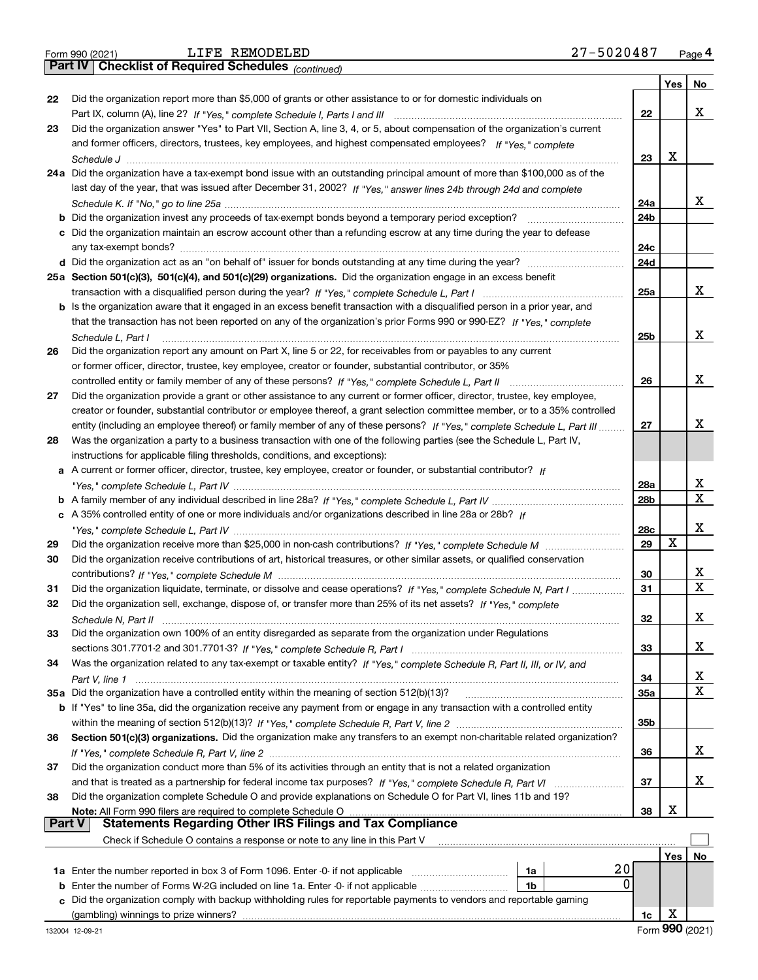|  | Form 990 (2021) |
|--|-----------------|

*(continued)*

|               |                                                                                                                              |                 | Yes | No      |
|---------------|------------------------------------------------------------------------------------------------------------------------------|-----------------|-----|---------|
| 22            | Did the organization report more than \$5,000 of grants or other assistance to or for domestic individuals on                |                 |     |         |
|               |                                                                                                                              | 22              |     | x       |
| 23            | Did the organization answer "Yes" to Part VII, Section A, line 3, 4, or 5, about compensation of the organization's current  |                 |     |         |
|               | and former officers, directors, trustees, key employees, and highest compensated employees? If "Yes," complete               |                 |     |         |
|               |                                                                                                                              | 23              | х   |         |
|               | 24a Did the organization have a tax-exempt bond issue with an outstanding principal amount of more than \$100,000 as of the  |                 |     |         |
|               | last day of the year, that was issued after December 31, 2002? If "Yes," answer lines 24b through 24d and complete           |                 |     |         |
|               |                                                                                                                              | 24a             |     | x       |
| b             | Did the organization invest any proceeds of tax-exempt bonds beyond a temporary period exception?                            | 24b             |     |         |
|               | c Did the organization maintain an escrow account other than a refunding escrow at any time during the year to defease       |                 |     |         |
|               |                                                                                                                              | 24c             |     |         |
|               |                                                                                                                              | 24d             |     |         |
|               | 25a Section 501(c)(3), 501(c)(4), and 501(c)(29) organizations. Did the organization engage in an excess benefit             |                 |     |         |
|               |                                                                                                                              | 25a             |     | x       |
|               | b Is the organization aware that it engaged in an excess benefit transaction with a disqualified person in a prior year, and |                 |     |         |
|               | that the transaction has not been reported on any of the organization's prior Forms 990 or 990-EZ? If "Yes," complete        |                 |     |         |
|               | Schedule L. Part I                                                                                                           | 25b             |     | x       |
| 26            | Did the organization report any amount on Part X, line 5 or 22, for receivables from or payables to any current              |                 |     |         |
|               | or former officer, director, trustee, key employee, creator or founder, substantial contributor, or 35%                      |                 |     |         |
|               |                                                                                                                              | 26              |     | x       |
| 27            | Did the organization provide a grant or other assistance to any current or former officer, director, trustee, key employee,  |                 |     |         |
|               | creator or founder, substantial contributor or employee thereof, a grant selection committee member, or to a 35% controlled  |                 |     |         |
|               | entity (including an employee thereof) or family member of any of these persons? If "Yes," complete Schedule L, Part III     | 27              |     | x       |
| 28            | Was the organization a party to a business transaction with one of the following parties (see the Schedule L, Part IV,       |                 |     |         |
|               | instructions for applicable filing thresholds, conditions, and exceptions):                                                  |                 |     |         |
| a             | A current or former officer, director, trustee, key employee, creator or founder, or substantial contributor? If             |                 |     |         |
|               |                                                                                                                              | 28a             |     | X.<br>х |
|               |                                                                                                                              | 28 <sub>b</sub> |     |         |
|               | c A 35% controlled entity of one or more individuals and/or organizations described in line 28a or 28b? If                   |                 |     | х       |
|               |                                                                                                                              | 28c<br>29       | х   |         |
| 29            |                                                                                                                              |                 |     |         |
| 30            | Did the organization receive contributions of art, historical treasures, or other similar assets, or qualified conservation  | 30              |     | х       |
| 31            | Did the organization liquidate, terminate, or dissolve and cease operations? If "Yes," complete Schedule N, Part I           | 31              |     | Χ       |
| 32            | Did the organization sell, exchange, dispose of, or transfer more than 25% of its net assets? If "Yes," complete             |                 |     |         |
|               |                                                                                                                              | 32              |     | x       |
| 33            | Did the organization own 100% of an entity disregarded as separate from the organization under Regulations                   |                 |     |         |
|               |                                                                                                                              | 33              |     | x       |
| 34            | Was the organization related to any tax-exempt or taxable entity? If "Yes," complete Schedule R, Part II, III, or IV, and    |                 |     |         |
|               |                                                                                                                              | 34              |     | x       |
|               | 35a Did the organization have a controlled entity within the meaning of section 512(b)(13)?                                  | 35a             |     | x       |
|               | b If "Yes" to line 35a, did the organization receive any payment from or engage in any transaction with a controlled entity  |                 |     |         |
|               |                                                                                                                              | 35b             |     |         |
| 36            | Section 501(c)(3) organizations. Did the organization make any transfers to an exempt non-charitable related organization?   |                 |     |         |
|               |                                                                                                                              | 36              |     | X.      |
| 37            | Did the organization conduct more than 5% of its activities through an entity that is not a related organization             |                 |     |         |
|               |                                                                                                                              | 37              |     | X.      |
| 38            | Did the organization complete Schedule O and provide explanations on Schedule O for Part VI, lines 11b and 19?               |                 |     |         |
|               | Note: All Form 990 filers are required to complete Schedule O                                                                | 38              | х   |         |
| <b>Part V</b> | <b>Statements Regarding Other IRS Filings and Tax Compliance</b>                                                             |                 |     |         |
|               | Check if Schedule O contains a response or note to any line in this Part V                                                   |                 |     |         |
|               |                                                                                                                              |                 | Yes | No      |
|               | 20<br>1a Enter the number reported in box 3 of Form 1096. Enter -0- if not applicable<br>1a                                  |                 |     |         |
| b             | 0<br>Enter the number of Forms W-2G included on line 1a. Enter -0- if not applicable<br>1b                                   |                 |     |         |
| c             | Did the organization comply with backup withholding rules for reportable payments to vendors and reportable gaming           |                 |     |         |
|               | (gambling) winnings to prize winners?                                                                                        | 1c              | x   |         |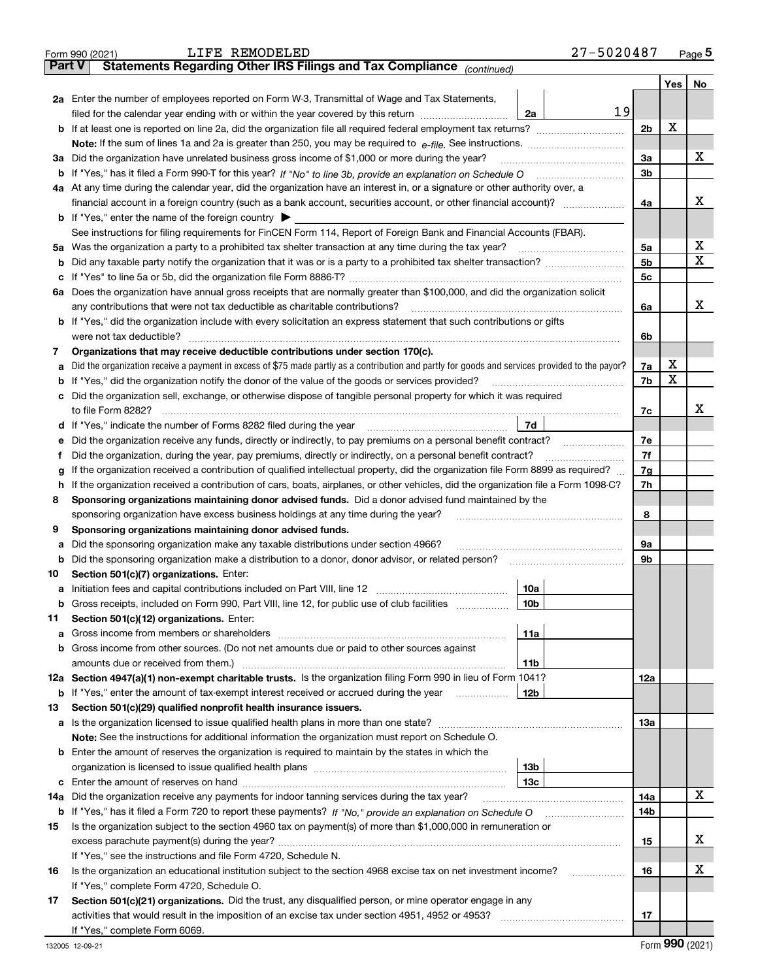|         | LIFE REMODELED<br>Form 990 (2021)                                                                                                                                                       | 27-5020487     |   | Page $5$ |
|---------|-----------------------------------------------------------------------------------------------------------------------------------------------------------------------------------------|----------------|---|----------|
|         | Statements Regarding Other IRS Filings and Tax Compliance (continued)<br>Part V                                                                                                         |                |   |          |
|         |                                                                                                                                                                                         |                |   | Yes   No |
|         | 2a Enter the number of employees reported on Form W-3, Transmittal of Wage and Tax Statements,                                                                                          |                |   |          |
|         | filed for the calendar year ending with or within the year covered by this return <i>manumumumum</i><br>2a                                                                              | 19             |   |          |
|         |                                                                                                                                                                                         | 2 <sub>b</sub> | X |          |
|         |                                                                                                                                                                                         |                |   |          |
|         | 3a Did the organization have unrelated business gross income of \$1,000 or more during the year?                                                                                        | 3a             |   | х        |
|         |                                                                                                                                                                                         | 3 <sub>b</sub> |   |          |
|         | 4a At any time during the calendar year, did the organization have an interest in, or a signature or other authority over, a                                                            |                |   |          |
|         |                                                                                                                                                                                         | 4a             |   | x        |
|         | <b>b</b> If "Yes," enter the name of the foreign country                                                                                                                                |                |   |          |
|         | See instructions for filing requirements for FinCEN Form 114, Report of Foreign Bank and Financial Accounts (FBAR).                                                                     |                |   |          |
|         | 5a Was the organization a party to a prohibited tax shelter transaction at any time during the tax year?                                                                                | 5a             |   | х        |
| b       |                                                                                                                                                                                         | 5 <sub>b</sub> |   | x        |
| c       |                                                                                                                                                                                         | 5c             |   |          |
|         | 6a Does the organization have annual gross receipts that are normally greater than \$100,000, and did the organization solicit                                                          |                |   |          |
|         | any contributions that were not tax deductible as charitable contributions?                                                                                                             | 6a             |   | x        |
|         | b If "Yes," did the organization include with every solicitation an express statement that such contributions or gifts                                                                  |                |   |          |
|         | were not tax deductible?                                                                                                                                                                | 6b             |   |          |
| 7       | Organizations that may receive deductible contributions under section 170(c).                                                                                                           |                |   |          |
| a       | Did the organization receive a payment in excess of \$75 made partly as a contribution and partly for goods and services provided to the payor?                                         | 7a             | х |          |
| b       | If "Yes," did the organization notify the donor of the value of the goods or services provided?                                                                                         | 7b             | X |          |
|         | c Did the organization sell, exchange, or otherwise dispose of tangible personal property for which it was required                                                                     |                |   |          |
|         |                                                                                                                                                                                         | 7c             |   | x        |
|         | 7d<br>d If "Yes," indicate the number of Forms 8282 filed during the year manufactured in the second of the New York                                                                    |                |   |          |
| е       | Did the organization receive any funds, directly or indirectly, to pay premiums on a personal benefit contract?                                                                         | 7e             |   |          |
| Ť       | Did the organization, during the year, pay premiums, directly or indirectly, on a personal benefit contract?                                                                            | 7f             |   |          |
| g       | If the organization received a contribution of qualified intellectual property, did the organization file Form 8899 as required?                                                        | 7g             |   |          |
| h.      | If the organization received a contribution of cars, boats, airplanes, or other vehicles, did the organization file a Form 1098-C?                                                      | 7h             |   |          |
| 8       | Sponsoring organizations maintaining donor advised funds. Did a donor advised fund maintained by the                                                                                    |                |   |          |
|         | sponsoring organization have excess business holdings at any time during the year?                                                                                                      | 8              |   |          |
| 9       | Sponsoring organizations maintaining donor advised funds.                                                                                                                               |                |   |          |
| а       | Did the sponsoring organization make any taxable distributions under section 4966?<br>Did the sponsoring organization make a distribution to a donor, donor advisor, or related person? | 9а<br>9b       |   |          |
| b<br>10 | Section 501(c)(7) organizations. Enter:                                                                                                                                                 |                |   |          |
|         | 10a                                                                                                                                                                                     |                |   |          |
| b       | Gross receipts, included on Form 990, Part VIII, line 12, for public use of club facilities<br>10b                                                                                      |                |   |          |
| 11      | Section 501(c)(12) organizations. Enter:                                                                                                                                                |                |   |          |
| а       | 11a                                                                                                                                                                                     |                |   |          |
| b       | Gross income from other sources. (Do not net amounts due or paid to other sources against                                                                                               |                |   |          |
|         | 11b                                                                                                                                                                                     |                |   |          |
|         | 12a Section 4947(a)(1) non-exempt charitable trusts. Is the organization filing Form 990 in lieu of Form 1041?                                                                          | 12a            |   |          |
|         | 12b<br><b>b</b> If "Yes," enter the amount of tax-exempt interest received or accrued during the year                                                                                   |                |   |          |
| 13      | Section 501(c)(29) qualified nonprofit health insurance issuers.                                                                                                                        |                |   |          |
|         | a Is the organization licensed to issue qualified health plans in more than one state?                                                                                                  | 13а            |   |          |
|         | Note: See the instructions for additional information the organization must report on Schedule O.                                                                                       |                |   |          |
|         | <b>b</b> Enter the amount of reserves the organization is required to maintain by the states in which the                                                                               |                |   |          |
|         | 13 <sub>b</sub>                                                                                                                                                                         |                |   |          |
| c       | 13с                                                                                                                                                                                     |                |   |          |
|         | 14a Did the organization receive any payments for indoor tanning services during the tax year?                                                                                          | 14a            |   | х        |
|         |                                                                                                                                                                                         | 14b            |   |          |
| 15      | Is the organization subject to the section 4960 tax on payment(s) of more than \$1,000,000 in remuneration or                                                                           |                |   |          |
|         |                                                                                                                                                                                         | 15             |   | х        |
|         | If "Yes," see the instructions and file Form 4720, Schedule N.                                                                                                                          |                |   |          |
| 16      | Is the organization an educational institution subject to the section 4968 excise tax on net investment income?                                                                         | 16<br>.        |   | х        |
|         | If "Yes," complete Form 4720, Schedule O.                                                                                                                                               |                |   |          |
| 17      | Section 501(c)(21) organizations. Did the trust, any disqualified person, or mine operator engage in any                                                                                |                |   |          |
|         |                                                                                                                                                                                         | 17             |   |          |
|         | If "Yes," complete Form 6069.                                                                                                                                                           |                |   |          |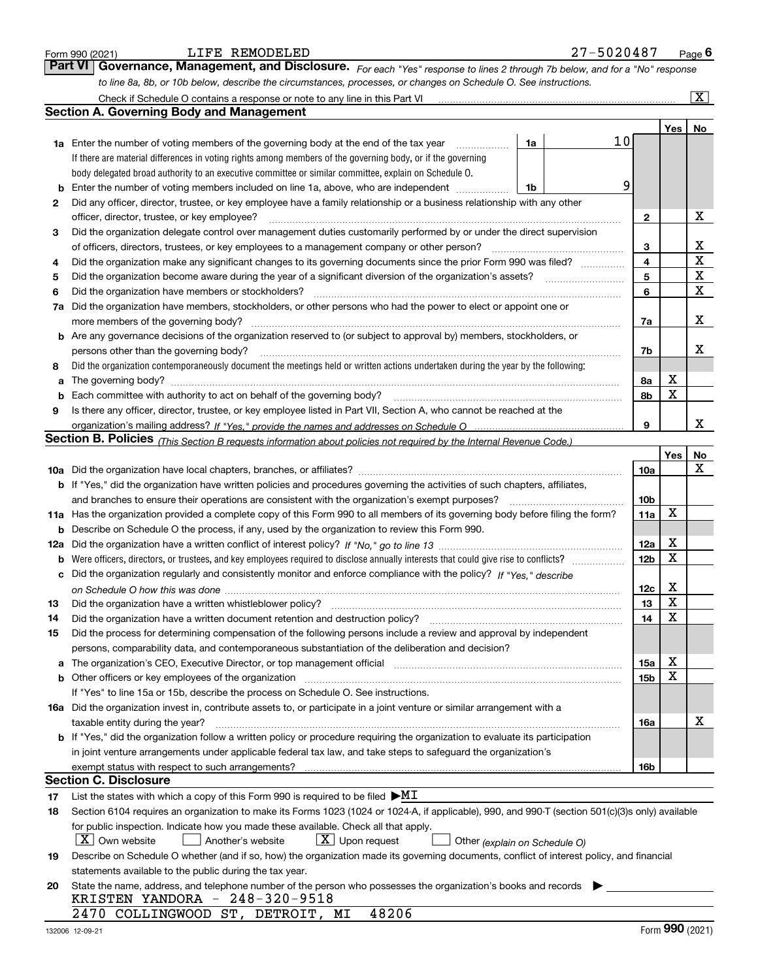|     | LIFE REMODELED<br>Form 990 (2021)                                                                                                                                     |    | 27-5020487 |                 |                         | $_{\text{Page}}$ 6      |
|-----|-----------------------------------------------------------------------------------------------------------------------------------------------------------------------|----|------------|-----------------|-------------------------|-------------------------|
|     | <b>Part VI</b><br>Governance, Management, and Disclosure. For each "Yes" response to lines 2 through 7b below, and for a "No" response                                |    |            |                 |                         |                         |
|     | to line 8a, 8b, or 10b below, describe the circumstances, processes, or changes on Schedule O. See instructions.                                                      |    |            |                 |                         |                         |
|     | Check if Schedule O contains a response or note to any line in this Part VI                                                                                           |    |            |                 |                         | $\overline{\mathtt{x}}$ |
|     | <b>Section A. Governing Body and Management</b>                                                                                                                       |    |            |                 |                         |                         |
|     |                                                                                                                                                                       |    |            |                 | Yes                     | No                      |
|     | <b>1a</b> Enter the number of voting members of the governing body at the end of the tax year<br>.                                                                    | 1a |            | 10              |                         |                         |
|     | If there are material differences in voting rights among members of the governing body, or if the governing                                                           |    |            |                 |                         |                         |
|     | body delegated broad authority to an executive committee or similar committee, explain on Schedule O.                                                                 |    |            |                 |                         |                         |
| b   | Enter the number of voting members included on line 1a, above, who are independent                                                                                    | 1b |            | 9               |                         |                         |
| 2   | Did any officer, director, trustee, or key employee have a family relationship or a business relationship with any other                                              |    |            |                 |                         |                         |
|     | officer, director, trustee, or key employee?                                                                                                                          |    |            | 2               |                         | х                       |
| 3   | Did the organization delegate control over management duties customarily performed by or under the direct supervision                                                 |    |            |                 |                         |                         |
|     | of officers, directors, trustees, or key employees to a management company or other person?                                                                           |    |            | 3               |                         | х                       |
| 4   | Did the organization make any significant changes to its governing documents since the prior Form 990 was filed?                                                      |    |            | 4               |                         | X                       |
| 5   |                                                                                                                                                                       |    |            | 5               |                         | X                       |
| 6   | Did the organization have members or stockholders?                                                                                                                    |    |            | 6               |                         | X                       |
| 7a  | Did the organization have members, stockholders, or other persons who had the power to elect or appoint one or                                                        |    |            |                 |                         |                         |
|     | more members of the governing body?                                                                                                                                   |    |            | 7a              |                         | x                       |
| b   | Are any governance decisions of the organization reserved to (or subject to approval by) members, stockholders, or                                                    |    |            |                 |                         |                         |
|     | persons other than the governing body?                                                                                                                                |    |            | 7b              |                         | x                       |
| 8   | Did the organization contemporaneously document the meetings held or written actions undertaken during the year by the following:                                     |    |            |                 |                         |                         |
| a   |                                                                                                                                                                       |    |            | 8а              | х<br>X                  |                         |
| b   | Each committee with authority to act on behalf of the governing body?                                                                                                 |    |            | 8b              |                         |                         |
| 9   | Is there any officer, director, trustee, or key employee listed in Part VII, Section A, who cannot be reached at the                                                  |    |            |                 |                         | x                       |
|     |                                                                                                                                                                       |    |            | 9               |                         |                         |
|     | Section B. Policies <sub>(This</sub> Section B requests information about policies not required by the Internal Revenue Code.)                                        |    |            |                 |                         |                         |
|     |                                                                                                                                                                       |    |            | 10a             | Yes                     | No<br>x                 |
|     | <b>b</b> If "Yes," did the organization have written policies and procedures governing the activities of such chapters, affiliates,                                   |    |            |                 |                         |                         |
|     | and branches to ensure their operations are consistent with the organization's exempt purposes?                                                                       |    |            | 10 <sub>b</sub> |                         |                         |
| 11a | Has the organization provided a complete copy of this Form 990 to all members of its governing body before filing the form?                                           |    |            | <b>11a</b>      | X                       |                         |
| b   | Describe on Schedule O the process, if any, used by the organization to review this Form 990.                                                                         |    |            |                 |                         |                         |
| 12a |                                                                                                                                                                       |    |            | 12a             | х                       |                         |
| b   |                                                                                                                                                                       |    |            | 12 <sub>b</sub> | х                       |                         |
| с   | Did the organization regularly and consistently monitor and enforce compliance with the policy? If "Yes," describe                                                    |    |            |                 |                         |                         |
|     |                                                                                                                                                                       |    |            | 12c             | х                       |                         |
| 13  |                                                                                                                                                                       |    |            | 13              | $\overline{\mathbf{x}}$ |                         |
| 14  | Did the organization have a written document retention and destruction policy?                                                                                        |    |            | 14              | X                       |                         |
| 15  | Did the process for determining compensation of the following persons include a review and approval by independent                                                    |    |            |                 |                         |                         |
|     | persons, comparability data, and contemporaneous substantiation of the deliberation and decision?                                                                     |    |            |                 |                         |                         |
| a   | The organization's CEO, Executive Director, or top management official manufactured content of the organization's CEO, Executive Director, or top management official |    |            | 15a             | х                       |                         |
|     |                                                                                                                                                                       |    |            | 15 <sub>b</sub> | х                       |                         |
|     | If "Yes" to line 15a or 15b, describe the process on Schedule O. See instructions.                                                                                    |    |            |                 |                         |                         |
|     | 16a Did the organization invest in, contribute assets to, or participate in a joint venture or similar arrangement with a                                             |    |            |                 |                         |                         |
|     | taxable entity during the year?                                                                                                                                       |    |            | 16a             |                         | х                       |
|     | b If "Yes," did the organization follow a written policy or procedure requiring the organization to evaluate its participation                                        |    |            |                 |                         |                         |
|     | in joint venture arrangements under applicable federal tax law, and take steps to safeguard the organization's                                                        |    |            |                 |                         |                         |
|     |                                                                                                                                                                       |    |            | 16b             |                         |                         |
|     | <b>Section C. Disclosure</b>                                                                                                                                          |    |            |                 |                         |                         |
| 17  | List the states with which a copy of this Form 990 is required to be filed $\blacktriangleright\text{MI}$                                                             |    |            |                 |                         |                         |
| 18  | Section 6104 requires an organization to make its Forms 1023 (1024 or 1024-A, if applicable), 990, and 990-T (section 501(c)(3)s only) available                      |    |            |                 |                         |                         |
|     | for public inspection. Indicate how you made these available. Check all that apply.                                                                                   |    |            |                 |                         |                         |
|     | $\lfloor X \rfloor$ Own website<br>$\lfloor X \rfloor$ Upon request<br>Another's website<br>Other (explain on Schedule O)                                             |    |            |                 |                         |                         |
| 19  | Describe on Schedule O whether (and if so, how) the organization made its governing documents, conflict of interest policy, and financial                             |    |            |                 |                         |                         |
|     | statements available to the public during the tax year.                                                                                                               |    |            |                 |                         |                         |
| 20  | State the name, address, and telephone number of the person who possesses the organization's books and records<br>KRISTEN YANDORA - 248-320-9518                      |    |            |                 |                         |                         |
|     | 48206<br>2470 COLLINGWOOD ST, DETROIT, MI                                                                                                                             |    |            |                 |                         |                         |
|     |                                                                                                                                                                       |    |            |                 | nnn.                    |                         |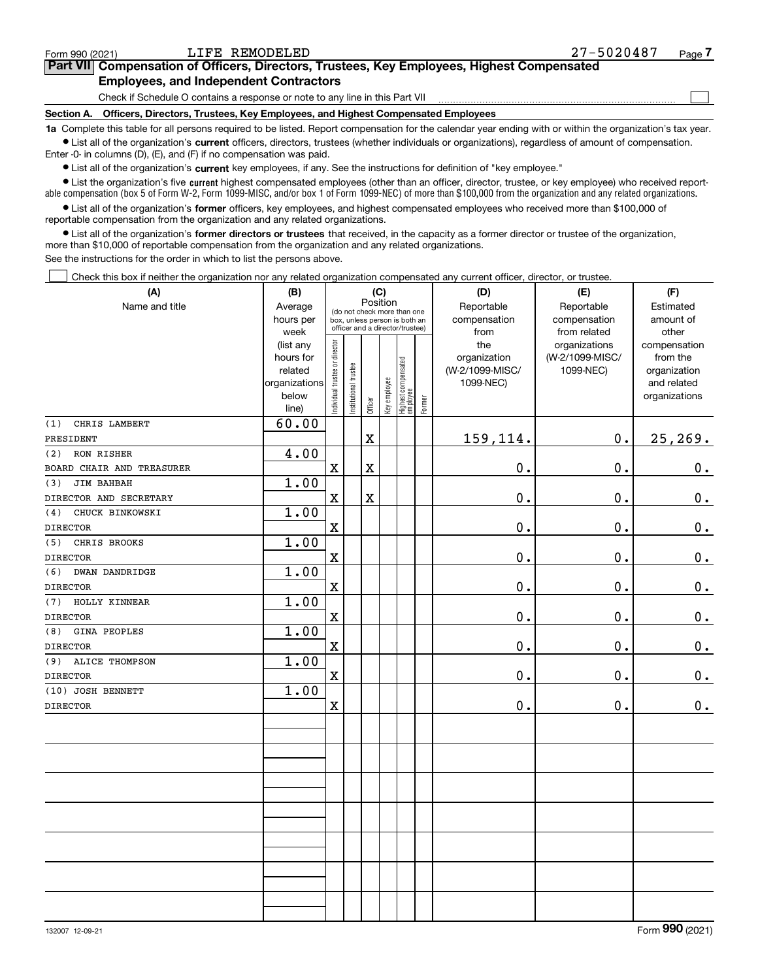| Form 990 (2021)   | LIFE REMODELED                                                                             | 27-5020487 | Page |
|-------------------|--------------------------------------------------------------------------------------------|------------|------|
|                   | Part VII Compensation of Officers, Directors, Trustees, Key Employees, Highest Compensated |            |      |
|                   | <b>Employees, and Independent Contractors</b>                                              |            |      |
|                   | Check if Schedule O contains a response or note to any line in this Part VII               |            |      |
| <b>Section A.</b> | Officers, Directors, Trustees, Key Employees, and Highest Compensated Employees            |            |      |
|                   |                                                                                            |            |      |

LIFE REMODELED 27-5020487

**1a**  Complete this table for all persons required to be listed. Report compensation for the calendar year ending with or within the organization's tax year. **•** List all of the organization's current officers, directors, trustees (whether individuals or organizations), regardless of amount of compensation.

Enter -0- in columns (D), (E), and (F) if no compensation was paid.

 $\bullet$  List all of the organization's  $\sf current$  key employees, if any. See the instructions for definition of "key employee."

**•** List the organization's five current highest compensated employees (other than an officer, director, trustee, or key employee) who received reportable compensation (box 5 of Form W-2, Form 1099-MISC, and/or box 1 of Form 1099-NEC) of more than \$100,000 from the organization and any related organizations.

**•** List all of the organization's former officers, key employees, and highest compensated employees who received more than \$100,000 of reportable compensation from the organization and any related organizations.

**former directors or trustees**  ¥ List all of the organization's that received, in the capacity as a former director or trustee of the organization, more than \$10,000 of reportable compensation from the organization and any related organizations.

See the instructions for the order in which to list the persons above.

Check this box if neither the organization nor any related organization compensated any current officer, director, or trustee.  $\mathcal{L}^{\text{max}}$ 

| (A)                          | (B)               |                                |                                                                  |                         | (C)                                     |                                 |        | (D)             | (E)                           | (F)                   |
|------------------------------|-------------------|--------------------------------|------------------------------------------------------------------|-------------------------|-----------------------------------------|---------------------------------|--------|-----------------|-------------------------------|-----------------------|
| Name and title               | Average           |                                |                                                                  |                         | Position<br>(do not check more than one |                                 |        | Reportable      | Reportable                    | Estimated             |
|                              | hours per         |                                | box, unless person is both an<br>officer and a director/trustee) |                         |                                         |                                 |        | compensation    | compensation                  | amount of             |
|                              | week<br>(list any |                                |                                                                  |                         |                                         |                                 |        | from<br>the     | from related<br>organizations | other<br>compensation |
|                              | hours for         |                                |                                                                  |                         |                                         |                                 |        | organization    | (W-2/1099-MISC/               | from the              |
|                              | related           |                                |                                                                  |                         |                                         |                                 |        | (W-2/1099-MISC/ | 1099-NEC)                     | organization          |
|                              | organizations     |                                |                                                                  |                         |                                         |                                 |        | 1099-NEC)       |                               | and related           |
|                              | below             | Individual trustee or director | Institutional trustee                                            | Officer                 | Key employee                            | Highest compensated<br>employee | Former |                 |                               | organizations         |
| CHRIS LAMBERT<br>(1)         | line)<br>60.00    |                                |                                                                  |                         |                                         |                                 |        |                 |                               |                       |
| PRESIDENT                    |                   |                                |                                                                  | $\mathbf X$             |                                         |                                 |        | 159,114.        | 0.                            | 25,269.               |
| (2)<br>RON RISHER            | 4.00              |                                |                                                                  |                         |                                         |                                 |        |                 |                               |                       |
| BOARD CHAIR AND TREASURER    |                   | $\mathbf x$                    |                                                                  | $\overline{\mathbf{X}}$ |                                         |                                 |        | $0$ .           | $\mathbf 0$ .                 | $0_{.}$               |
| JIM BAHBAH<br>(3)            | 1.00              |                                |                                                                  |                         |                                         |                                 |        |                 |                               |                       |
| DIRECTOR AND SECRETARY       |                   | $\mathbf X$                    |                                                                  | $\mathbf X$             |                                         |                                 |        | 0.              | $\mathbf 0$ .                 | $\pmb{0}$ .           |
| CHUCK BINKOWSKI<br>(4)       | 1.00              |                                |                                                                  |                         |                                         |                                 |        |                 |                               |                       |
| <b>DIRECTOR</b>              |                   | $\mathbf x$                    |                                                                  |                         |                                         |                                 |        | $\mathbf 0$ .   | 0.                            | $\mathbf 0$ .         |
| CHRIS BROOKS<br>(5)          | 1.00              |                                |                                                                  |                         |                                         |                                 |        |                 |                               |                       |
| <b>DIRECTOR</b>              |                   | $\mathbf X$                    |                                                                  |                         |                                         |                                 |        | $0$ .           | 0.                            | $0_{.}$               |
| <b>DWAN DANDRIDGE</b><br>(6) | 1.00              |                                |                                                                  |                         |                                         |                                 |        |                 |                               |                       |
| <b>DIRECTOR</b>              |                   | $\mathbf x$                    |                                                                  |                         |                                         |                                 |        | 0.              | 0.                            | $\mathbf 0$ .         |
| HOLLY KINNEAR<br>(7)         | 1.00              |                                |                                                                  |                         |                                         |                                 |        |                 |                               |                       |
| <b>DIRECTOR</b>              |                   | $\mathbf X$                    |                                                                  |                         |                                         |                                 |        | 0.              | $\mathbf 0$ .                 | 0.                    |
| GINA PEOPLES<br>(8)          | 1.00              |                                |                                                                  |                         |                                         |                                 |        |                 |                               |                       |
| <b>DIRECTOR</b>              |                   | $\mathbf X$                    |                                                                  |                         |                                         |                                 |        | 0.              | $\mathbf 0$ .                 | $\mathbf 0$ .         |
| <b>ALICE THOMPSON</b><br>(9) | 1.00              |                                |                                                                  |                         |                                         |                                 |        |                 |                               |                       |
| <b>DIRECTOR</b>              |                   | $\mathbf X$                    |                                                                  |                         |                                         |                                 |        | 0.              | $\mathbf 0$ .                 | $0_{\cdot}$           |
| (10) JOSH BENNETT            | 1.00              |                                |                                                                  |                         |                                         |                                 |        |                 |                               |                       |
| <b>DIRECTOR</b>              |                   | $\mathbf X$                    |                                                                  |                         |                                         |                                 |        | 0.              | 0.                            | 0.                    |
|                              |                   |                                |                                                                  |                         |                                         |                                 |        |                 |                               |                       |
|                              |                   |                                |                                                                  |                         |                                         |                                 |        |                 |                               |                       |
|                              |                   |                                |                                                                  |                         |                                         |                                 |        |                 |                               |                       |
|                              |                   |                                |                                                                  |                         |                                         |                                 |        |                 |                               |                       |
|                              |                   |                                |                                                                  |                         |                                         |                                 |        |                 |                               |                       |
|                              |                   |                                |                                                                  |                         |                                         |                                 |        |                 |                               |                       |
|                              |                   |                                |                                                                  |                         |                                         |                                 |        |                 |                               |                       |
|                              |                   |                                |                                                                  |                         |                                         |                                 |        |                 |                               |                       |
|                              |                   |                                |                                                                  |                         |                                         |                                 |        |                 |                               |                       |
|                              |                   |                                |                                                                  |                         |                                         |                                 |        |                 |                               |                       |
|                              |                   |                                |                                                                  |                         |                                         |                                 |        |                 |                               |                       |
|                              |                   |                                |                                                                  |                         |                                         |                                 |        |                 |                               |                       |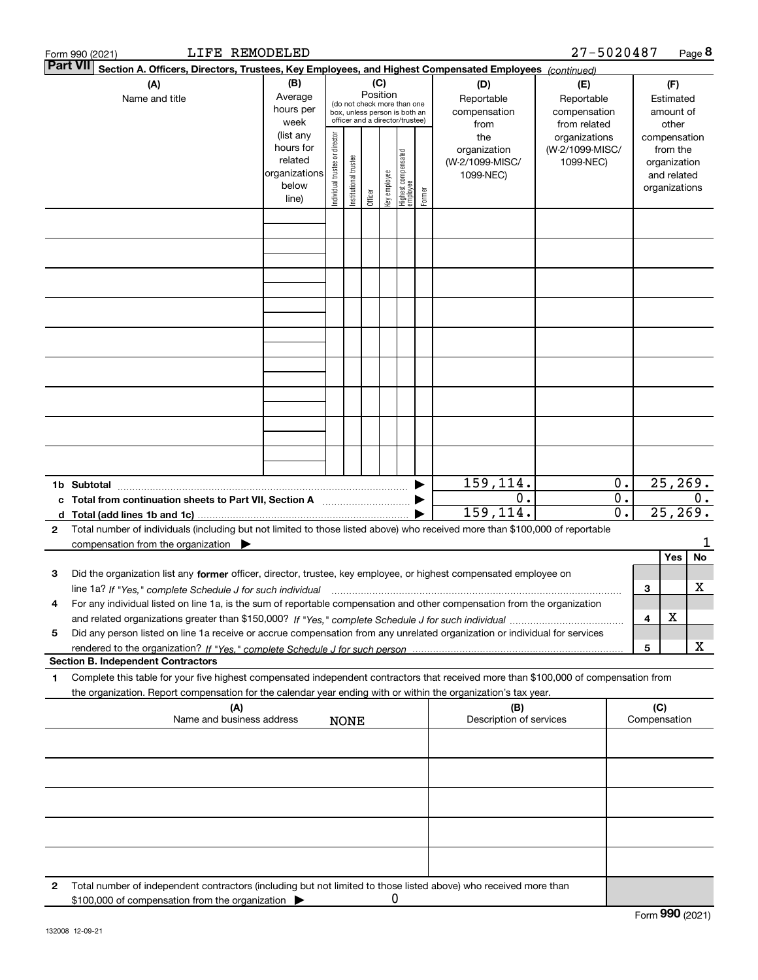|   | LIFE REMODELED<br>Form 990 (2021)                                                                                                                                                                                                                            |                                                                      |                                |                                                                                                                    |         |              |                                 |        |                                                     | 27-5020487                                        |                                        |                     |                                                                          | Page 8         |
|---|--------------------------------------------------------------------------------------------------------------------------------------------------------------------------------------------------------------------------------------------------------------|----------------------------------------------------------------------|--------------------------------|--------------------------------------------------------------------------------------------------------------------|---------|--------------|---------------------------------|--------|-----------------------------------------------------|---------------------------------------------------|----------------------------------------|---------------------|--------------------------------------------------------------------------|----------------|
|   | <b>Part VII</b><br>Section A. Officers, Directors, Trustees, Key Employees, and Highest Compensated Employees (continued)                                                                                                                                    |                                                                      |                                |                                                                                                                    |         |              |                                 |        |                                                     |                                                   |                                        |                     |                                                                          |                |
|   | (A)<br>Name and title                                                                                                                                                                                                                                        | (B)<br>Average<br>hours per<br>week                                  |                                | (C)<br>Position<br>(do not check more than one<br>box, unless person is both an<br>officer and a director/trustee) |         |              |                                 |        | (D)<br>Reportable<br>compensation<br>from           | (E)<br>Reportable<br>compensation<br>from related | (F)<br>Estimated<br>amount of<br>other |                     |                                                                          |                |
|   |                                                                                                                                                                                                                                                              | (list any<br>hours for<br>related<br>organizations<br>below<br>line) | Individual trustee or director | Institutional trustee                                                                                              | Officer | key employee | Highest compensated<br>employee | Former | the<br>organization<br>(W-2/1099-MISC/<br>1099-NEC) | organizations<br>(W-2/1099-MISC/<br>1099-NEC)     |                                        |                     | compensation<br>from the<br>organization<br>and related<br>organizations |                |
|   |                                                                                                                                                                                                                                                              |                                                                      |                                |                                                                                                                    |         |              |                                 |        |                                                     |                                                   |                                        |                     |                                                                          |                |
|   |                                                                                                                                                                                                                                                              |                                                                      |                                |                                                                                                                    |         |              |                                 |        |                                                     |                                                   |                                        |                     |                                                                          |                |
|   |                                                                                                                                                                                                                                                              |                                                                      |                                |                                                                                                                    |         |              |                                 |        |                                                     |                                                   |                                        |                     |                                                                          |                |
|   |                                                                                                                                                                                                                                                              |                                                                      |                                |                                                                                                                    |         |              |                                 |        |                                                     |                                                   |                                        |                     |                                                                          |                |
|   |                                                                                                                                                                                                                                                              |                                                                      |                                |                                                                                                                    |         |              |                                 |        |                                                     |                                                   |                                        |                     |                                                                          |                |
|   |                                                                                                                                                                                                                                                              |                                                                      |                                |                                                                                                                    |         |              |                                 |        |                                                     |                                                   |                                        |                     |                                                                          |                |
|   |                                                                                                                                                                                                                                                              |                                                                      |                                |                                                                                                                    |         |              |                                 |        | 159,114.                                            |                                                   | 0.                                     |                     | 25, 269.                                                                 |                |
| c | 1b Subtotal<br>$\blacksquare$<br>Total from continuation sheets to Part VII, Section A                                                                                                                                                                       |                                                                      |                                |                                                                                                                    |         |              |                                 |        | 0.<br>159,114.                                      |                                                   | 0.<br>$\mathbf 0$ .                    |                     |                                                                          | 0.<br>25, 269. |
| 2 | Total number of individuals (including but not limited to those listed above) who received more than \$100,000 of reportable<br>compensation from the organization $\blacktriangleright$                                                                     |                                                                      |                                |                                                                                                                    |         |              |                                 |        |                                                     |                                                   |                                        |                     |                                                                          | 1              |
| з | Did the organization list any former officer, director, trustee, key employee, or highest compensated employee on<br>line 1a? If "Yes," complete Schedule J for such individual manufactured contained and the Ves," complete Schedule J for such individual |                                                                      |                                |                                                                                                                    |         |              |                                 |        |                                                     |                                                   |                                        | 3                   | Yes                                                                      | No<br>x        |
| 4 | For any individual listed on line 1a, is the sum of reportable compensation and other compensation from the organization                                                                                                                                     |                                                                      |                                |                                                                                                                    |         |              |                                 |        |                                                     |                                                   |                                        | 4                   | х                                                                        |                |
| 5 | Did any person listed on line 1a receive or accrue compensation from any unrelated organization or individual for services<br><b>Section B. Independent Contractors</b>                                                                                      |                                                                      |                                |                                                                                                                    |         |              |                                 |        |                                                     |                                                   |                                        | 5                   |                                                                          | x              |
| 1 | Complete this table for your five highest compensated independent contractors that received more than \$100,000 of compensation from<br>the organization. Report compensation for the calendar year ending with or within the organization's tax year.       |                                                                      |                                |                                                                                                                    |         |              |                                 |        |                                                     |                                                   |                                        |                     |                                                                          |                |
|   | (A)<br>Name and business address                                                                                                                                                                                                                             |                                                                      |                                | <b>NONE</b>                                                                                                        |         |              |                                 |        | (B)<br>Description of services                      |                                                   |                                        | (C)<br>Compensation |                                                                          |                |
|   |                                                                                                                                                                                                                                                              |                                                                      |                                |                                                                                                                    |         |              |                                 |        |                                                     |                                                   |                                        |                     |                                                                          |                |
|   |                                                                                                                                                                                                                                                              |                                                                      |                                |                                                                                                                    |         |              |                                 |        |                                                     |                                                   |                                        |                     |                                                                          |                |
|   |                                                                                                                                                                                                                                                              |                                                                      |                                |                                                                                                                    |         |              |                                 |        |                                                     |                                                   |                                        |                     |                                                                          |                |
| 2 | Total number of independent contractors (including but not limited to those listed above) who received more than                                                                                                                                             |                                                                      |                                |                                                                                                                    |         |              |                                 |        |                                                     |                                                   |                                        |                     |                                                                          |                |
|   | \$100,000 of compensation from the organization                                                                                                                                                                                                              |                                                                      |                                |                                                                                                                    |         | 0            |                                 |        |                                                     |                                                   |                                        |                     |                                                                          |                |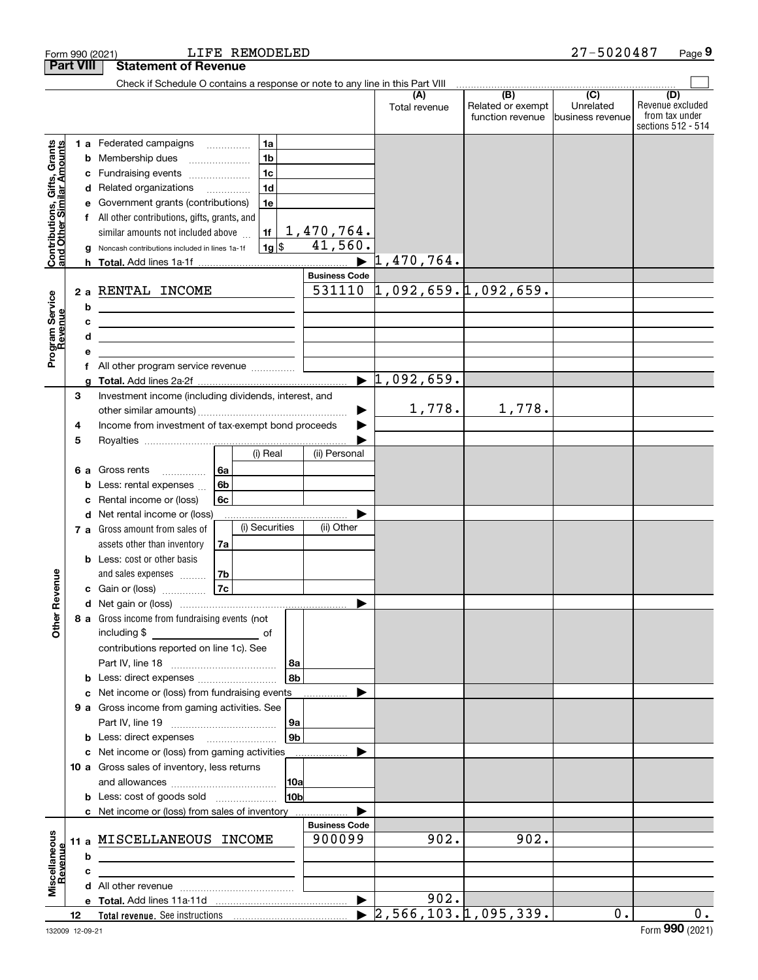| Check if Schedule O contains a response or note to any line in this Part VIII<br>(B)<br>(C)<br>(D)<br>Related or exempt<br>Unrelated<br>Total revenue<br>function revenue<br>business revenue<br>1a<br><b>Contributions, Gifts, Grants</b><br>and Other Similar Amounts<br>1 a Federated campaigns<br>1 <sub>b</sub><br>Membership dues<br>b<br>1 <sub>c</sub><br>Fundraising events<br>с<br>1 <sub>d</sub><br>Related organizations<br>.<br>d<br>1e<br>Government grants (contributions)<br>All other contributions, gifts, grants, and<br>$\frac{1,470,764.}{41,560.}$<br>similar amounts not included above<br>1f<br>$1g$ \$<br>Noncash contributions included in lines 1a-1f<br>a<br>1,470,764.<br>$\blacktriangleright$<br><b>Business Code</b><br>1,092,659.1,092,659.<br>531110<br>2 a RENTAL INCOME<br>Program Service<br>Revenue<br>b<br><u> 1989 - Johann Barbara, martin amerikan basal dan berasal dan berasal dalam basal dalam basal dalam basal dala</u><br>c<br>d<br><u> 1989 - Johann Barbara, martin amerikan basar dan berasal dan berasal dalam basar dalam basar dalam basar dala</u><br>f<br>$\blacktriangleright$ 1,092,659.<br>3<br>Investment income (including dividends, interest, and<br>1,778.<br>1,778.<br>Income from investment of tax-exempt bond proceeds<br>4<br>5<br>(i) Real<br>(ii) Personal<br>Gross rents<br>l 6a<br>6а<br>.<br>6b<br>Less: rental expenses<br>Rental income or (loss)<br>6c<br>с<br>Net rental income or (loss)<br>d<br>(i) Securities<br>(ii) Other<br>7 a Gross amount from sales of<br>assets other than inventory<br>7a<br>Less: cost or other basis<br>Revenue<br>and sales expenses<br>  7b<br>7c<br><b>c</b> Gain or (loss) $\ldots$<br>8 a Gross income from fundraising events (not<br><b>Other</b><br>including \$<br>contributions reported on line 1c). See<br>l 8a<br>8b<br>Less: direct expenses<br>b<br>Net income or (loss) from fundraising events<br>с<br>9 a Gross income from gaming activities. See<br>  9a<br>9 <sub>b</sub><br><b>b</b> Less: direct expenses <b>manually</b><br>c Net income or (loss) from gaming activities<br>10 a Gross sales of inventory, less returns<br> 10a<br>10 <sub>b</sub><br><b>b</b> Less: cost of goods sold<br>c Net income or (loss) from sales of inventory<br><b>Business Code</b><br>Miscellaneous<br>902.<br>902.<br>900099<br>MISCELLANEOUS INCOME<br>11a<br>Revenue<br>b<br>c<br>902.<br>$\triangleright$ 2,566,103.1,095,339.<br>0.<br>12 <sup>12</sup> |  | <b>Part VIII</b> | <b>Statement of Revenue</b> |  |  |                                                          |
|-----------------------------------------------------------------------------------------------------------------------------------------------------------------------------------------------------------------------------------------------------------------------------------------------------------------------------------------------------------------------------------------------------------------------------------------------------------------------------------------------------------------------------------------------------------------------------------------------------------------------------------------------------------------------------------------------------------------------------------------------------------------------------------------------------------------------------------------------------------------------------------------------------------------------------------------------------------------------------------------------------------------------------------------------------------------------------------------------------------------------------------------------------------------------------------------------------------------------------------------------------------------------------------------------------------------------------------------------------------------------------------------------------------------------------------------------------------------------------------------------------------------------------------------------------------------------------------------------------------------------------------------------------------------------------------------------------------------------------------------------------------------------------------------------------------------------------------------------------------------------------------------------------------------------------------------------------------------------------------------------------------------------------------------------------------------------------------------------------------------------------------------------------------------------------------------------------------------------------------------------------------------------------------------------------------------------------------------------------------------------------------------------------------------------------------------------------------------------------------|--|------------------|-----------------------------|--|--|----------------------------------------------------------|
|                                                                                                                                                                                                                                                                                                                                                                                                                                                                                                                                                                                                                                                                                                                                                                                                                                                                                                                                                                                                                                                                                                                                                                                                                                                                                                                                                                                                                                                                                                                                                                                                                                                                                                                                                                                                                                                                                                                                                                                                                                                                                                                                                                                                                                                                                                                                                                                                                                                                                   |  |                  |                             |  |  |                                                          |
|                                                                                                                                                                                                                                                                                                                                                                                                                                                                                                                                                                                                                                                                                                                                                                                                                                                                                                                                                                                                                                                                                                                                                                                                                                                                                                                                                                                                                                                                                                                                                                                                                                                                                                                                                                                                                                                                                                                                                                                                                                                                                                                                                                                                                                                                                                                                                                                                                                                                                   |  |                  |                             |  |  | Revenue excluded<br>from tax under<br>sections 512 - 514 |
|                                                                                                                                                                                                                                                                                                                                                                                                                                                                                                                                                                                                                                                                                                                                                                                                                                                                                                                                                                                                                                                                                                                                                                                                                                                                                                                                                                                                                                                                                                                                                                                                                                                                                                                                                                                                                                                                                                                                                                                                                                                                                                                                                                                                                                                                                                                                                                                                                                                                                   |  |                  |                             |  |  |                                                          |
|                                                                                                                                                                                                                                                                                                                                                                                                                                                                                                                                                                                                                                                                                                                                                                                                                                                                                                                                                                                                                                                                                                                                                                                                                                                                                                                                                                                                                                                                                                                                                                                                                                                                                                                                                                                                                                                                                                                                                                                                                                                                                                                                                                                                                                                                                                                                                                                                                                                                                   |  |                  |                             |  |  |                                                          |
|                                                                                                                                                                                                                                                                                                                                                                                                                                                                                                                                                                                                                                                                                                                                                                                                                                                                                                                                                                                                                                                                                                                                                                                                                                                                                                                                                                                                                                                                                                                                                                                                                                                                                                                                                                                                                                                                                                                                                                                                                                                                                                                                                                                                                                                                                                                                                                                                                                                                                   |  |                  |                             |  |  |                                                          |
|                                                                                                                                                                                                                                                                                                                                                                                                                                                                                                                                                                                                                                                                                                                                                                                                                                                                                                                                                                                                                                                                                                                                                                                                                                                                                                                                                                                                                                                                                                                                                                                                                                                                                                                                                                                                                                                                                                                                                                                                                                                                                                                                                                                                                                                                                                                                                                                                                                                                                   |  |                  |                             |  |  |                                                          |
|                                                                                                                                                                                                                                                                                                                                                                                                                                                                                                                                                                                                                                                                                                                                                                                                                                                                                                                                                                                                                                                                                                                                                                                                                                                                                                                                                                                                                                                                                                                                                                                                                                                                                                                                                                                                                                                                                                                                                                                                                                                                                                                                                                                                                                                                                                                                                                                                                                                                                   |  |                  |                             |  |  |                                                          |
|                                                                                                                                                                                                                                                                                                                                                                                                                                                                                                                                                                                                                                                                                                                                                                                                                                                                                                                                                                                                                                                                                                                                                                                                                                                                                                                                                                                                                                                                                                                                                                                                                                                                                                                                                                                                                                                                                                                                                                                                                                                                                                                                                                                                                                                                                                                                                                                                                                                                                   |  |                  |                             |  |  |                                                          |
|                                                                                                                                                                                                                                                                                                                                                                                                                                                                                                                                                                                                                                                                                                                                                                                                                                                                                                                                                                                                                                                                                                                                                                                                                                                                                                                                                                                                                                                                                                                                                                                                                                                                                                                                                                                                                                                                                                                                                                                                                                                                                                                                                                                                                                                                                                                                                                                                                                                                                   |  |                  |                             |  |  |                                                          |
|                                                                                                                                                                                                                                                                                                                                                                                                                                                                                                                                                                                                                                                                                                                                                                                                                                                                                                                                                                                                                                                                                                                                                                                                                                                                                                                                                                                                                                                                                                                                                                                                                                                                                                                                                                                                                                                                                                                                                                                                                                                                                                                                                                                                                                                                                                                                                                                                                                                                                   |  |                  |                             |  |  |                                                          |
|                                                                                                                                                                                                                                                                                                                                                                                                                                                                                                                                                                                                                                                                                                                                                                                                                                                                                                                                                                                                                                                                                                                                                                                                                                                                                                                                                                                                                                                                                                                                                                                                                                                                                                                                                                                                                                                                                                                                                                                                                                                                                                                                                                                                                                                                                                                                                                                                                                                                                   |  |                  |                             |  |  |                                                          |
|                                                                                                                                                                                                                                                                                                                                                                                                                                                                                                                                                                                                                                                                                                                                                                                                                                                                                                                                                                                                                                                                                                                                                                                                                                                                                                                                                                                                                                                                                                                                                                                                                                                                                                                                                                                                                                                                                                                                                                                                                                                                                                                                                                                                                                                                                                                                                                                                                                                                                   |  |                  |                             |  |  |                                                          |
|                                                                                                                                                                                                                                                                                                                                                                                                                                                                                                                                                                                                                                                                                                                                                                                                                                                                                                                                                                                                                                                                                                                                                                                                                                                                                                                                                                                                                                                                                                                                                                                                                                                                                                                                                                                                                                                                                                                                                                                                                                                                                                                                                                                                                                                                                                                                                                                                                                                                                   |  |                  |                             |  |  | 0.                                                       |

Form 990 (2021) Page LIFE REMODELED 27-5020487

**9**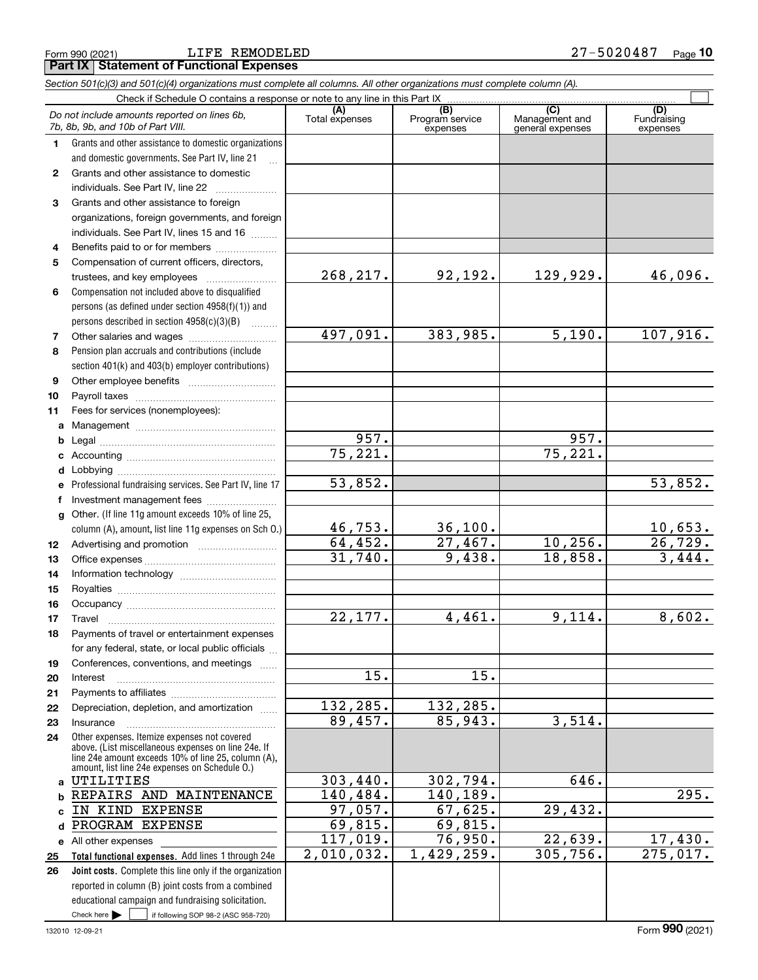LIFE REMODELED 27-5020487

|              | Section 501(c)(3) and 501(c)(4) organizations must complete all columns. All other organizations must complete column (A).                                                                                   |                           |                                    |                                           |                                |
|--------------|--------------------------------------------------------------------------------------------------------------------------------------------------------------------------------------------------------------|---------------------------|------------------------------------|-------------------------------------------|--------------------------------|
|              |                                                                                                                                                                                                              |                           |                                    |                                           |                                |
|              | Do not include amounts reported on lines 6b,<br>7b, 8b, 9b, and 10b of Part VIII.                                                                                                                            | (A)<br>Total expenses     | (B)<br>Program service<br>expenses | (C)<br>Management and<br>general expenses | (D)<br>Fundraising<br>expenses |
| 1.           | Grants and other assistance to domestic organizations                                                                                                                                                        |                           |                                    |                                           |                                |
|              | and domestic governments. See Part IV, line 21                                                                                                                                                               |                           |                                    |                                           |                                |
| $\mathbf{2}$ | Grants and other assistance to domestic                                                                                                                                                                      |                           |                                    |                                           |                                |
|              | individuals. See Part IV, line 22                                                                                                                                                                            |                           |                                    |                                           |                                |
| 3            | Grants and other assistance to foreign                                                                                                                                                                       |                           |                                    |                                           |                                |
|              | organizations, foreign governments, and foreign                                                                                                                                                              |                           |                                    |                                           |                                |
|              | individuals. See Part IV, lines 15 and 16                                                                                                                                                                    |                           |                                    |                                           |                                |
| 4            | Benefits paid to or for members                                                                                                                                                                              |                           |                                    |                                           |                                |
| 5            | Compensation of current officers, directors,                                                                                                                                                                 |                           |                                    |                                           |                                |
|              | trustees, and key employees                                                                                                                                                                                  | 268, 217.                 | 92,192.                            | 129,929.                                  | 46,096.                        |
| 6            | Compensation not included above to disqualified                                                                                                                                                              |                           |                                    |                                           |                                |
|              | persons (as defined under section 4958(f)(1)) and                                                                                                                                                            |                           |                                    |                                           |                                |
|              | persons described in section 4958(c)(3)(B)                                                                                                                                                                   |                           |                                    |                                           |                                |
| 7            |                                                                                                                                                                                                              | 497,091.                  | 383,985.                           | 5,190.                                    | 107,916.                       |
| 8            | Pension plan accruals and contributions (include                                                                                                                                                             |                           |                                    |                                           |                                |
|              | section 401(k) and 403(b) employer contributions)                                                                                                                                                            |                           |                                    |                                           |                                |
| 9            |                                                                                                                                                                                                              |                           |                                    |                                           |                                |
| 10           |                                                                                                                                                                                                              |                           |                                    |                                           |                                |
| 11           | Fees for services (nonemployees):                                                                                                                                                                            |                           |                                    |                                           |                                |
| a            |                                                                                                                                                                                                              |                           |                                    |                                           |                                |
| b            |                                                                                                                                                                                                              | 957.                      |                                    | 957.                                      |                                |
| c            |                                                                                                                                                                                                              | 75,221.                   |                                    | 75,221.                                   |                                |
| d            |                                                                                                                                                                                                              |                           |                                    |                                           |                                |
| е            | Professional fundraising services. See Part IV, line 17                                                                                                                                                      | 53,852.                   |                                    |                                           | 53,852.                        |
| f            | Investment management fees                                                                                                                                                                                   |                           |                                    |                                           |                                |
| g            | Other. (If line 11g amount exceeds 10% of line 25,                                                                                                                                                           |                           |                                    |                                           |                                |
|              | column (A), amount, list line 11g expenses on Sch O.)                                                                                                                                                        | $\frac{46,753.}{64,452.}$ | 36,100.                            |                                           | $\frac{10,653.}{26,729.}$      |
| 12           |                                                                                                                                                                                                              |                           | 27,467.                            | 10, 256.                                  |                                |
| 13           |                                                                                                                                                                                                              | 31,740.                   | 9,438.                             | 18,858.                                   | 3,444.                         |
| 14           |                                                                                                                                                                                                              |                           |                                    |                                           |                                |
| 15           |                                                                                                                                                                                                              |                           |                                    |                                           |                                |
| 16           |                                                                                                                                                                                                              |                           |                                    |                                           |                                |
| 17           |                                                                                                                                                                                                              | 22,177.                   | 4,461.                             | 9,114.                                    | 8,602.                         |
| 18           | Payments of travel or entertainment expenses                                                                                                                                                                 |                           |                                    |                                           |                                |
|              | for any federal, state, or local public officials                                                                                                                                                            |                           |                                    |                                           |                                |
| 19           | Conferences, conventions, and meetings                                                                                                                                                                       |                           |                                    |                                           |                                |
| 20           | Interest                                                                                                                                                                                                     | $\overline{15}$ .         | 15.                                |                                           |                                |
| 21           |                                                                                                                                                                                                              |                           |                                    |                                           |                                |
| 22           | Depreciation, depletion, and amortization                                                                                                                                                                    | 132, 285.                 | 132,285.                           |                                           |                                |
| 23           | Insurance                                                                                                                                                                                                    | 89,457.                   | 85,943.                            | 3,514.                                    |                                |
| 24           | Other expenses. Itemize expenses not covered<br>above. (List miscellaneous expenses on line 24e. If<br>line 24e amount exceeds 10% of line 25, column (A).<br>amount, list line 24e expenses on Schedule 0.) |                           |                                    |                                           |                                |
|              | a UTILITIES                                                                                                                                                                                                  | 303,440.                  | 302,794.                           | 646.                                      |                                |
| b            | REPAIRS AND MAINTENANCE                                                                                                                                                                                      | 140, 484.                 | 140, 189.                          |                                           | 295.                           |
| c            | IN KIND EXPENSE                                                                                                                                                                                              | 97,057.                   | 67,625.                            | $\overline{29,432}$ .                     |                                |
| d            | PROGRAM EXPENSE                                                                                                                                                                                              | 69,815.                   | 69,815.                            |                                           |                                |
|              | e All other expenses                                                                                                                                                                                         | 117,019.                  | 76,950.                            | 22,639.                                   | 17,430.                        |
| 25           | Total functional expenses. Add lines 1 through 24e                                                                                                                                                           | 2,010,032.                | 1,429,259.                         | 305, 756.                                 | 275,017.                       |
| 26           | Joint costs. Complete this line only if the organization                                                                                                                                                     |                           |                                    |                                           |                                |
|              | reported in column (B) joint costs from a combined                                                                                                                                                           |                           |                                    |                                           |                                |
|              | educational campaign and fundraising solicitation.                                                                                                                                                           |                           |                                    |                                           |                                |
|              | Check here $\blacktriangleright$<br>if following SOP 98-2 (ASC 958-720)                                                                                                                                      |                           |                                    |                                           |                                |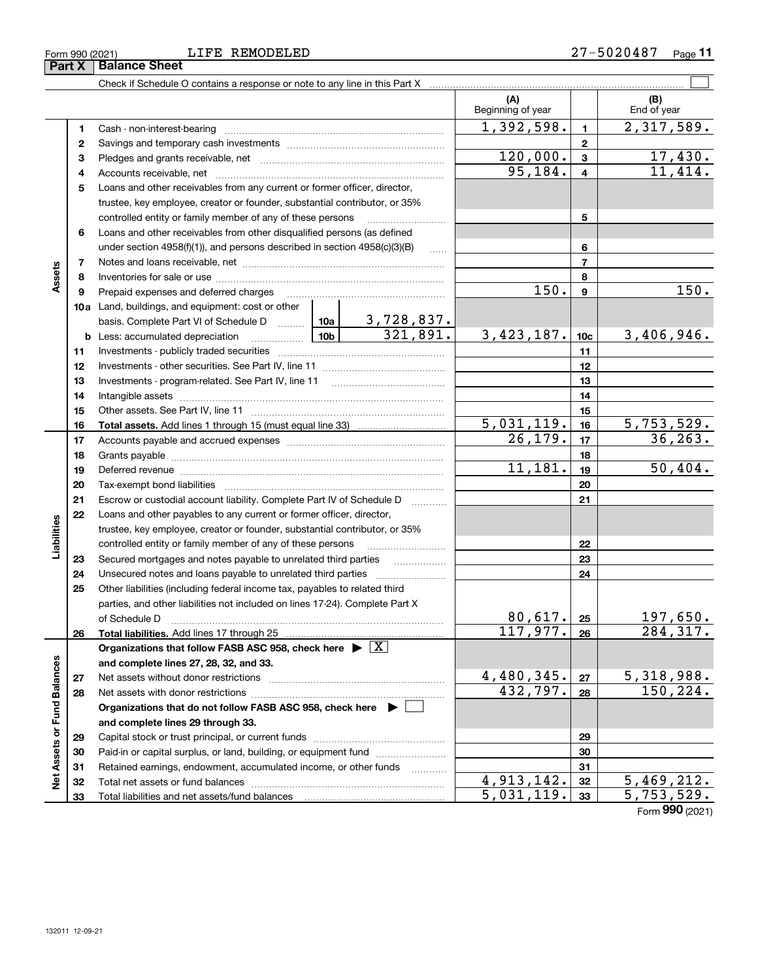ξ

| <b>REMODELED</b> |  |
|------------------|--|
|                  |  |

Retained earnings, endowment, accumulated income, or other funds www.com Total net assets or fund balances ~~~~~~~~~~~~~~~~~~~~~~

Total liabilities and net assets/fund balances ...

**313233**

 $4,913,142.$   $32 \mid 5,469,212.$  $5,031,119.$   $3$   $5,753,529.$ 

Form (2021) **990**

#### $\mathcal{L}^{\text{max}}$ Check if Schedule O contains a response or note to any line in this Part X **(A) (B)** Beginning of year  $\begin{vmatrix} 1 & 1 \\ 1 & 1 \end{vmatrix}$  End of year  $1,392,598.$   $1 \mid 2,317,589.$ **11**Cash - non-interest-bearing ~~~~~~~~~~~~~~~~~~~~~~~~~ **22**Savings and temporary cash investments ~~~~~~~~~~~~~~~~~~  $120,000.$   $3$  17,430. **33**Pledges and grants receivable, net ~~~~~~~~~~~~~~~~~~~~~ $95,184. \begin{array}{|c|c|c|c|c|c|} \hline 4 & 11,414. \ \hline \end{array}$ Accounts receivable, net ~~~~~~~~~~~~~~~~~~~~~~~~~~ **445**Loans and other receivables from any current or former officer, director, trustee, key employee, creator or founder, substantial contributor, or 35% controlled entity or family member of any of these persons ~~~~~~~~~ **56**Loans and other receivables from other disqualified persons (as defined under section 4958(f)(1)), and persons described in section  $4958(c)(3)(B)$  ...... **677**Notes and loans receivable, net ~~~~~~~~~~~~~~~~~~~~~~~ **Assets 88**Inventories for sale or use ~~~~~~~~~~~~~~~~~~~~~~~~~~Prepaid expenses and deferred charges  $150.$  |  $9$  |  $150.$ **9910a**Land, buildings, and equipment: cost or other 3,728,837. basis. Complete Part VI of Schedule D will aller  $321,891.$  3,423,187. 10c 3,406,946. **10cb** Less: accumulated depreciation  $\ldots$  **10b 1111**Investments - publicly traded securities ~~~~~~~~~~~~~~~~~~~ **1212**Investments - other securities. See Part IV, line 11 ~~~~~~~~~~~~~~ **1313**Investments - program-related. See Part IV, line 11 ~~~~~~~~~~~~~**1414**Intangible assets …………………………………………………………………………………… Other assets. See Part IV, line 11 ~~~~~~~~~~~~~~~~~~~~~~ **1515** $5,031,119.$   $16$   $5,753,529.$ **1616Total assets.**  Add lines 1 through 15 (must equal line 33)  $26, 179.$   $|17|$  36, 263. **1717**Accounts payable and accrued expenses ~~~~~~~~~~~~~~~~~~ **1818**Grants payable ~~~~~~~~~~~~~~~~~~~~~~~~~~~~~~~ 11,181. 50,404. **1919**Deferred revenue ~~~~~~~~~~~~~~~~~~~~~~~~~~~~~~ **2020**Tax-exempt bond liabilities …………………………………………………………… Escrow or custodial account liability. Complete Part IV of Schedule D **212122**Loans and other payables to any current or former officer, director, iabilities **Liabilities** trustee, key employee, creator or founder, substantial contributor, or 35% controlled entity or family member of any of these persons ~~~~~~~~~**22**Secured mortgages and notes payable to unrelated third parties **Fig. 1.1.1.1.1.1.1.1.1.1. 2323**Unsecured notes and loans payable to unrelated third parties  $\ldots$ **242425**Other liabilities (including federal income tax, payables to related third parties, and other liabilities not included on lines 17-24). Complete Part X  $80,617$ . | 25 | 197,650. **25**of Schedule D ~~~~~~~~~~~~~~~~~~~~~~~~~~~~~~~  $117,977. |26 | 284,317.$ **2626Total liabilities.**  Add lines 17 through 25 **Organizations that follow FASB ASC 958, check here** | X Assets or Fund Balances **Net Assets or Fund Balances and complete lines 27, 28, 32, and 33.**  $4,480,345.$   $27$  5,318,988. **2727**Net assets without donor restrictions ~~~~~~~~~~~~~~~~~~~~  $432,797. |28 | 150,224.$ **2828**Net assets with donor restrictions ~~~~~~~~~~~~~~~~~~~~~~ **Organizations that do not follow FASB ASC 958, check here** | **and complete lines 29 through 33. 2929**Capital stock or trust principal, or current funds ~~~~~~~~~~~~~~~Paid-in or capital surplus, or land, building, or equipment fund **30**

**Part X** | Balance Sheet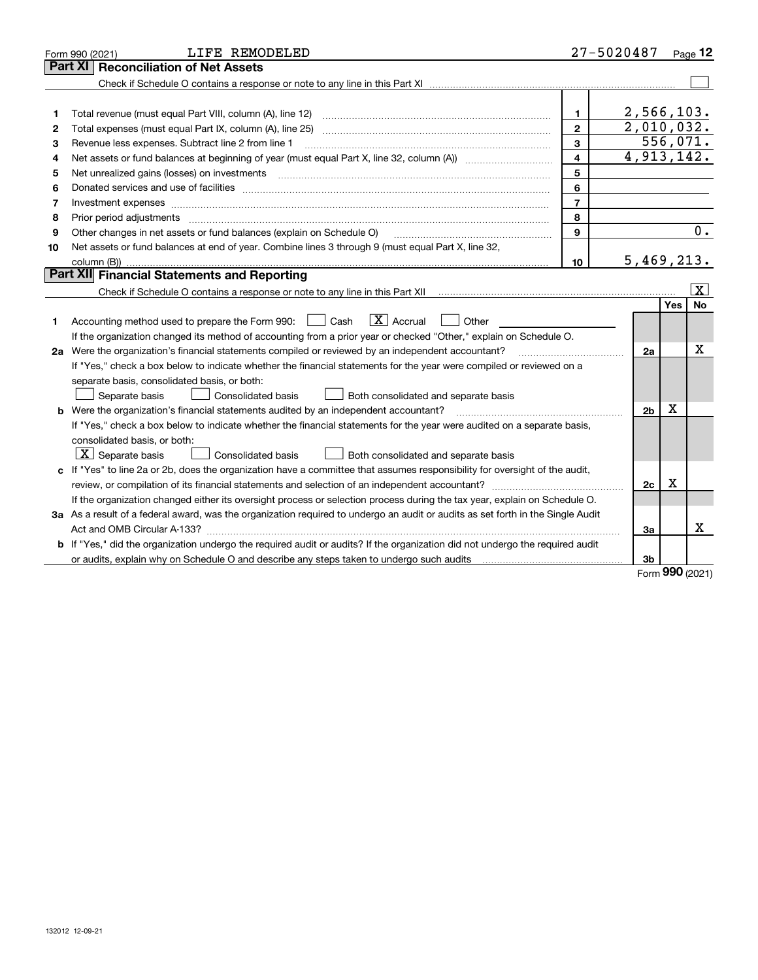|    | LIFE REMODELED<br>Form 990 (2021)                                                                                                                                                       |                | 27-5020487              |     | Page 12                 |
|----|-----------------------------------------------------------------------------------------------------------------------------------------------------------------------------------------|----------------|-------------------------|-----|-------------------------|
|    | <b>Part XI</b><br><b>Reconciliation of Net Assets</b>                                                                                                                                   |                |                         |     |                         |
|    |                                                                                                                                                                                         |                |                         |     |                         |
|    |                                                                                                                                                                                         |                |                         |     |                         |
| 1  |                                                                                                                                                                                         | 1.             | 2,566,103.              |     |                         |
| 2  |                                                                                                                                                                                         | $\mathbf{2}$   | $\overline{2,010},032.$ |     |                         |
| З  | Revenue less expenses. Subtract line 2 from line 1                                                                                                                                      | 3              |                         |     | 556,071.                |
| 4  | Net assets or fund balances at beginning of year (must equal Part X, line 32, column (A)) <i>massets</i> or fund balances at beginning of year (must equal Part X, line 32, column (A)) | 4              | 4,913,142.              |     |                         |
| 5  | Net unrealized gains (losses) on investments                                                                                                                                            | 5              |                         |     |                         |
| 6  |                                                                                                                                                                                         | 6              |                         |     |                         |
| 7  | Investment expenses www.communication.com/www.communication.com/www.communication.com/www.com                                                                                           | $\overline{7}$ |                         |     |                         |
| 8  |                                                                                                                                                                                         | 8              |                         |     |                         |
| 9  | Other changes in net assets or fund balances (explain on Schedule O)                                                                                                                    | 9              |                         |     | 0.                      |
| 10 | Net assets or fund balances at end of year. Combine lines 3 through 9 (must equal Part X, line 32,                                                                                      |                |                         |     |                         |
|    |                                                                                                                                                                                         | 10             | 5,469,213.              |     |                         |
|    | <b>Part XII</b> Financial Statements and Reporting                                                                                                                                      |                |                         |     |                         |
|    |                                                                                                                                                                                         |                |                         |     | $\overline{\mathbf{X}}$ |
|    |                                                                                                                                                                                         |                |                         | Yes | <b>No</b>               |
| 1. | $\boxed{\text{X}}$ Accrual<br>Accounting method used to prepare the Form 990: <u>[</u> Cash<br>Other                                                                                    |                |                         |     |                         |
|    | If the organization changed its method of accounting from a prior year or checked "Other," explain on Schedule O.                                                                       |                |                         |     |                         |
|    | 2a Were the organization's financial statements compiled or reviewed by an independent accountant?                                                                                      |                | 2a                      |     | X                       |
|    | If "Yes," check a box below to indicate whether the financial statements for the year were compiled or reviewed on a                                                                    |                |                         |     |                         |
|    | separate basis, consolidated basis, or both:                                                                                                                                            |                |                         |     |                         |
|    | Both consolidated and separate basis<br>Separate basis<br>Consolidated basis                                                                                                            |                |                         |     |                         |
| b  | Were the organization's financial statements audited by an independent accountant?                                                                                                      |                | 2 <sub>b</sub>          | X   |                         |
|    | If "Yes," check a box below to indicate whether the financial statements for the year were audited on a separate basis,                                                                 |                |                         |     |                         |
|    | consolidated basis, or both:                                                                                                                                                            |                |                         |     |                         |
|    | $\lfloor x \rfloor$ Separate basis<br><b>Consolidated basis</b><br>Both consolidated and separate basis                                                                                 |                |                         |     |                         |
|    | c If "Yes" to line 2a or 2b, does the organization have a committee that assumes responsibility for oversight of the audit,                                                             |                |                         |     |                         |
|    |                                                                                                                                                                                         |                | 2c                      | Χ   |                         |
|    | If the organization changed either its oversight process or selection process during the tax year, explain on Schedule O.                                                               |                |                         |     |                         |
|    | 3a As a result of a federal award, was the organization required to undergo an audit or audits as set forth in the Single Audit                                                         |                |                         |     |                         |
|    |                                                                                                                                                                                         |                | За                      |     | Х                       |
|    | b If "Yes," did the organization undergo the required audit or audits? If the organization did not undergo the required audit                                                           |                |                         |     |                         |
|    | or audits, explain why on Schedule O and describe any steps taken to undergo such audits [11] our manuscription why on Schedule O and describe any steps taken to undergo such audits   |                | 3b                      |     |                         |
|    |                                                                                                                                                                                         |                |                         |     |                         |

Form (2021) **990**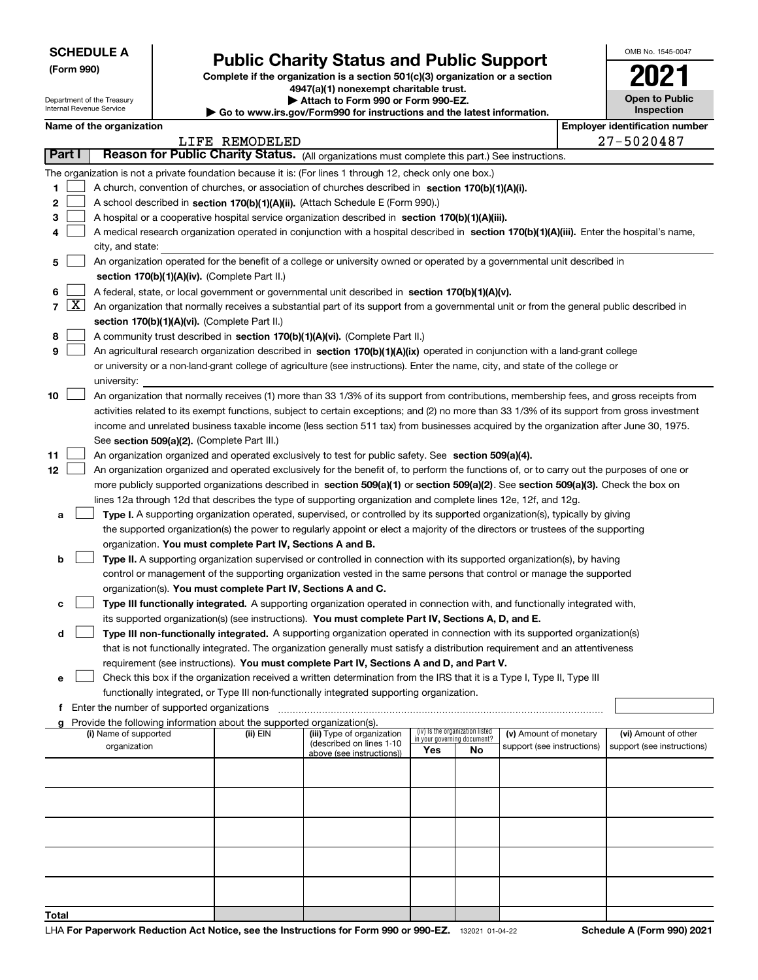Department of the Treasury

**(Form 990)**

**Total**

# **Public Charity Status and Public Support**

**Complete if the organization is a section 501(c)(3) organization or a section 4947(a)(1) nonexempt charitable trust.**

**| Attach to Form 990 or Form 990-EZ.** 

| OMB No 1545-0047 |
|------------------|
| <b>202</b>       |
| Open to Public   |

| Internal Revenue Service<br>Inspection<br>Go to www.irs.gov/Form990 for instructions and the latest information. |                                                                                                                                              |                                                                                                                                            |                |                                                        |                             |                                 |                                       |  |                            |  |  |  |
|------------------------------------------------------------------------------------------------------------------|----------------------------------------------------------------------------------------------------------------------------------------------|--------------------------------------------------------------------------------------------------------------------------------------------|----------------|--------------------------------------------------------|-----------------------------|---------------------------------|---------------------------------------|--|----------------------------|--|--|--|
|                                                                                                                  |                                                                                                                                              | Name of the organization                                                                                                                   |                |                                                        |                             |                                 | <b>Employer identification number</b> |  |                            |  |  |  |
|                                                                                                                  |                                                                                                                                              |                                                                                                                                            | LIFE REMODELED |                                                        |                             | 27-5020487                      |                                       |  |                            |  |  |  |
| Part I                                                                                                           |                                                                                                                                              | Reason for Public Charity Status. (All organizations must complete this part.) See instructions.                                           |                |                                                        |                             |                                 |                                       |  |                            |  |  |  |
|                                                                                                                  |                                                                                                                                              | The organization is not a private foundation because it is: (For lines 1 through 12, check only one box.)                                  |                |                                                        |                             |                                 |                                       |  |                            |  |  |  |
| 1                                                                                                                |                                                                                                                                              | A church, convention of churches, or association of churches described in section 170(b)(1)(A)(i).                                         |                |                                                        |                             |                                 |                                       |  |                            |  |  |  |
| 2                                                                                                                |                                                                                                                                              | A school described in section 170(b)(1)(A)(ii). (Attach Schedule E (Form 990).)                                                            |                |                                                        |                             |                                 |                                       |  |                            |  |  |  |
| 3                                                                                                                |                                                                                                                                              | A hospital or a cooperative hospital service organization described in section 170(b)(1)(A)(iii).                                          |                |                                                        |                             |                                 |                                       |  |                            |  |  |  |
| 4                                                                                                                |                                                                                                                                              | A medical research organization operated in conjunction with a hospital described in section 170(b)(1)(A)(iii). Enter the hospital's name, |                |                                                        |                             |                                 |                                       |  |                            |  |  |  |
|                                                                                                                  |                                                                                                                                              | city, and state:                                                                                                                           |                |                                                        |                             |                                 |                                       |  |                            |  |  |  |
| 5                                                                                                                |                                                                                                                                              | An organization operated for the benefit of a college or university owned or operated by a governmental unit described in                  |                |                                                        |                             |                                 |                                       |  |                            |  |  |  |
|                                                                                                                  |                                                                                                                                              | section 170(b)(1)(A)(iv). (Complete Part II.)                                                                                              |                |                                                        |                             |                                 |                                       |  |                            |  |  |  |
| 6                                                                                                                | A federal, state, or local government or governmental unit described in section 170(b)(1)(A)(v).                                             |                                                                                                                                            |                |                                                        |                             |                                 |                                       |  |                            |  |  |  |
| $7 \times$                                                                                                       |                                                                                                                                              | An organization that normally receives a substantial part of its support from a governmental unit or from the general public described in  |                |                                                        |                             |                                 |                                       |  |                            |  |  |  |
|                                                                                                                  | section 170(b)(1)(A)(vi). (Complete Part II.)                                                                                                |                                                                                                                                            |                |                                                        |                             |                                 |                                       |  |                            |  |  |  |
| 8                                                                                                                |                                                                                                                                              | A community trust described in section 170(b)(1)(A)(vi). (Complete Part II.)                                                               |                |                                                        |                             |                                 |                                       |  |                            |  |  |  |
| 9                                                                                                                | An agricultural research organization described in section 170(b)(1)(A)(ix) operated in conjunction with a land-grant college                |                                                                                                                                            |                |                                                        |                             |                                 |                                       |  |                            |  |  |  |
|                                                                                                                  |                                                                                                                                              | or university or a non-land-grant college of agriculture (see instructions). Enter the name, city, and state of the college or             |                |                                                        |                             |                                 |                                       |  |                            |  |  |  |
|                                                                                                                  | university:                                                                                                                                  |                                                                                                                                            |                |                                                        |                             |                                 |                                       |  |                            |  |  |  |
| 10                                                                                                               | An organization that normally receives (1) more than 33 1/3% of its support from contributions, membership fees, and gross receipts from     |                                                                                                                                            |                |                                                        |                             |                                 |                                       |  |                            |  |  |  |
|                                                                                                                  | activities related to its exempt functions, subject to certain exceptions; and (2) no more than 33 1/3% of its support from gross investment |                                                                                                                                            |                |                                                        |                             |                                 |                                       |  |                            |  |  |  |
|                                                                                                                  | income and unrelated business taxable income (less section 511 tax) from businesses acquired by the organization after June 30, 1975.        |                                                                                                                                            |                |                                                        |                             |                                 |                                       |  |                            |  |  |  |
|                                                                                                                  |                                                                                                                                              | See section 509(a)(2). (Complete Part III.)                                                                                                |                |                                                        |                             |                                 |                                       |  |                            |  |  |  |
| 11                                                                                                               |                                                                                                                                              | An organization organized and operated exclusively to test for public safety. See section 509(a)(4).                                       |                |                                                        |                             |                                 |                                       |  |                            |  |  |  |
| 12                                                                                                               |                                                                                                                                              | An organization organized and operated exclusively for the benefit of, to perform the functions of, or to carry out the purposes of one or |                |                                                        |                             |                                 |                                       |  |                            |  |  |  |
|                                                                                                                  |                                                                                                                                              | more publicly supported organizations described in section 509(a)(1) or section 509(a)(2). See section 509(a)(3). Check the box on         |                |                                                        |                             |                                 |                                       |  |                            |  |  |  |
|                                                                                                                  |                                                                                                                                              | lines 12a through 12d that describes the type of supporting organization and complete lines 12e, 12f, and 12g.                             |                |                                                        |                             |                                 |                                       |  |                            |  |  |  |
| а                                                                                                                |                                                                                                                                              | Type I. A supporting organization operated, supervised, or controlled by its supported organization(s), typically by giving                |                |                                                        |                             |                                 |                                       |  |                            |  |  |  |
|                                                                                                                  |                                                                                                                                              | the supported organization(s) the power to regularly appoint or elect a majority of the directors or trustees of the supporting            |                |                                                        |                             |                                 |                                       |  |                            |  |  |  |
|                                                                                                                  |                                                                                                                                              | organization. You must complete Part IV, Sections A and B.                                                                                 |                |                                                        |                             |                                 |                                       |  |                            |  |  |  |
| b                                                                                                                |                                                                                                                                              | Type II. A supporting organization supervised or controlled in connection with its supported organization(s), by having                    |                |                                                        |                             |                                 |                                       |  |                            |  |  |  |
|                                                                                                                  |                                                                                                                                              | control or management of the supporting organization vested in the same persons that control or manage the supported                       |                |                                                        |                             |                                 |                                       |  |                            |  |  |  |
|                                                                                                                  |                                                                                                                                              | organization(s). You must complete Part IV, Sections A and C.                                                                              |                |                                                        |                             |                                 |                                       |  |                            |  |  |  |
| с                                                                                                                |                                                                                                                                              | Type III functionally integrated. A supporting organization operated in connection with, and functionally integrated with,                 |                |                                                        |                             |                                 |                                       |  |                            |  |  |  |
|                                                                                                                  |                                                                                                                                              | its supported organization(s) (see instructions). You must complete Part IV, Sections A, D, and E.                                         |                |                                                        |                             |                                 |                                       |  |                            |  |  |  |
| d                                                                                                                |                                                                                                                                              | Type III non-functionally integrated. A supporting organization operated in connection with its supported organization(s)                  |                |                                                        |                             |                                 |                                       |  |                            |  |  |  |
|                                                                                                                  |                                                                                                                                              | that is not functionally integrated. The organization generally must satisfy a distribution requirement and an attentiveness               |                |                                                        |                             |                                 |                                       |  |                            |  |  |  |
|                                                                                                                  | requirement (see instructions). You must complete Part IV, Sections A and D, and Part V.                                                     |                                                                                                                                            |                |                                                        |                             |                                 |                                       |  |                            |  |  |  |
| е                                                                                                                |                                                                                                                                              | Check this box if the organization received a written determination from the IRS that it is a Type I, Type II, Type III                    |                |                                                        |                             |                                 |                                       |  |                            |  |  |  |
|                                                                                                                  |                                                                                                                                              | functionally integrated, or Type III non-functionally integrated supporting organization.                                                  |                |                                                        |                             |                                 |                                       |  |                            |  |  |  |
|                                                                                                                  |                                                                                                                                              | <b>f</b> Enter the number of supported organizations                                                                                       |                |                                                        |                             |                                 |                                       |  |                            |  |  |  |
| a                                                                                                                |                                                                                                                                              | Provide the following information about the supported organization(s).                                                                     |                |                                                        |                             |                                 |                                       |  |                            |  |  |  |
|                                                                                                                  |                                                                                                                                              | (i) Name of supported                                                                                                                      | (ii) EIN       | (iii) Type of organization<br>(described on lines 1-10 | in your governing document? | (iv) Is the organization listed | (v) Amount of monetary                |  | (vi) Amount of other       |  |  |  |
|                                                                                                                  |                                                                                                                                              | organization                                                                                                                               |                | above (see instructions))                              | Yes                         | No                              | support (see instructions)            |  | support (see instructions) |  |  |  |
|                                                                                                                  |                                                                                                                                              |                                                                                                                                            |                |                                                        |                             |                                 |                                       |  |                            |  |  |  |
|                                                                                                                  |                                                                                                                                              |                                                                                                                                            |                |                                                        |                             |                                 |                                       |  |                            |  |  |  |
|                                                                                                                  |                                                                                                                                              |                                                                                                                                            |                |                                                        |                             |                                 |                                       |  |                            |  |  |  |
|                                                                                                                  |                                                                                                                                              |                                                                                                                                            |                |                                                        |                             |                                 |                                       |  |                            |  |  |  |
|                                                                                                                  |                                                                                                                                              |                                                                                                                                            |                |                                                        |                             |                                 |                                       |  |                            |  |  |  |
|                                                                                                                  |                                                                                                                                              |                                                                                                                                            |                |                                                        |                             |                                 |                                       |  |                            |  |  |  |
|                                                                                                                  |                                                                                                                                              |                                                                                                                                            |                |                                                        |                             |                                 |                                       |  |                            |  |  |  |
|                                                                                                                  |                                                                                                                                              |                                                                                                                                            |                |                                                        |                             |                                 |                                       |  |                            |  |  |  |
|                                                                                                                  |                                                                                                                                              |                                                                                                                                            |                |                                                        |                             |                                 |                                       |  |                            |  |  |  |
|                                                                                                                  |                                                                                                                                              |                                                                                                                                            |                |                                                        |                             |                                 |                                       |  |                            |  |  |  |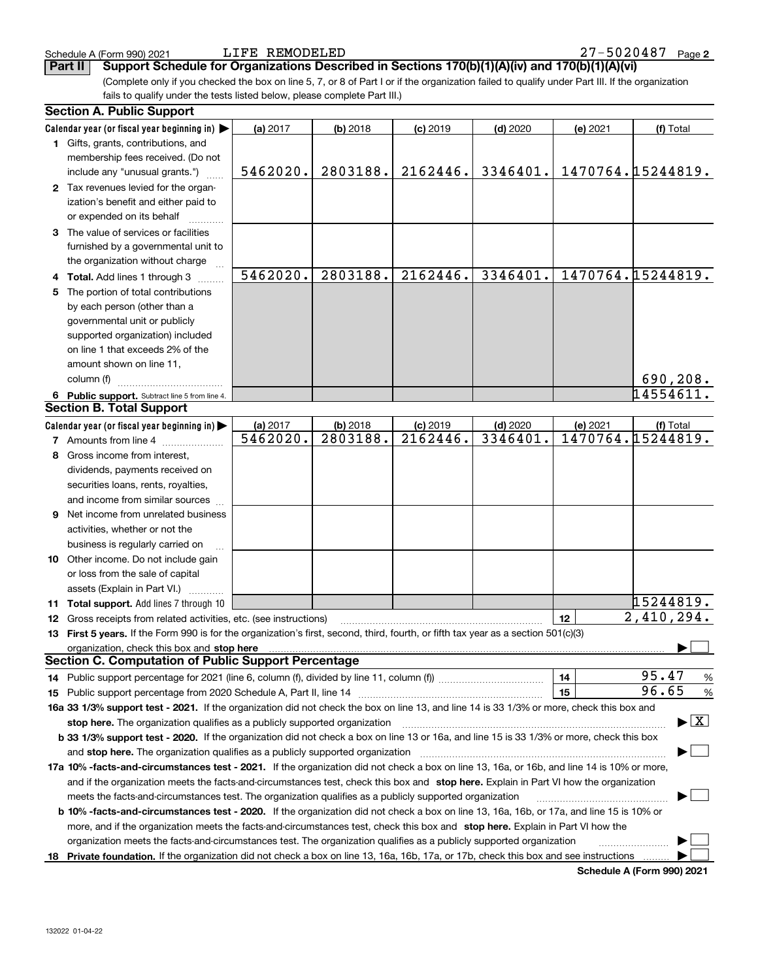**Part II Support Schedule for Organizations Described in Sections 170(b)(1)(A)(iv) and 170(b)(1)(A)(vi)**

(Complete only if you checked the box on line 5, 7, or 8 of Part I or if the organization failed to qualify under Part III. If the organization fails to qualify under the tests listed below, please complete Part III.)

|    | <b>Section A. Public Support</b>                                                                                                                                                                                               |          |            |            |            |          |                                          |
|----|--------------------------------------------------------------------------------------------------------------------------------------------------------------------------------------------------------------------------------|----------|------------|------------|------------|----------|------------------------------------------|
|    | Calendar year (or fiscal year beginning in) $\blacktriangleright$                                                                                                                                                              | (a) 2017 | $(b)$ 2018 | $(c)$ 2019 | $(d)$ 2020 | (e) 2021 | (f) Total                                |
|    | 1 Gifts, grants, contributions, and                                                                                                                                                                                            |          |            |            |            |          |                                          |
|    | membership fees received. (Do not                                                                                                                                                                                              |          |            |            |            |          |                                          |
|    | include any "unusual grants.")                                                                                                                                                                                                 | 5462020. | 2803188.   | 2162446.   | 3346401.   |          | 1470764.15244819.                        |
|    | 2 Tax revenues levied for the organ-                                                                                                                                                                                           |          |            |            |            |          |                                          |
|    | ization's benefit and either paid to                                                                                                                                                                                           |          |            |            |            |          |                                          |
|    | or expended on its behalf                                                                                                                                                                                                      |          |            |            |            |          |                                          |
|    | 3 The value of services or facilities                                                                                                                                                                                          |          |            |            |            |          |                                          |
|    | furnished by a governmental unit to                                                                                                                                                                                            |          |            |            |            |          |                                          |
|    | the organization without charge                                                                                                                                                                                                |          |            |            |            |          |                                          |
|    | 4 Total. Add lines 1 through 3                                                                                                                                                                                                 | 5462020. | 2803188.   | 2162446.   | 3346401.   |          | 1470764.15244819.                        |
| 5. | The portion of total contributions                                                                                                                                                                                             |          |            |            |            |          |                                          |
|    | by each person (other than a                                                                                                                                                                                                   |          |            |            |            |          |                                          |
|    | governmental unit or publicly                                                                                                                                                                                                  |          |            |            |            |          |                                          |
|    | supported organization) included                                                                                                                                                                                               |          |            |            |            |          |                                          |
|    | on line 1 that exceeds 2% of the                                                                                                                                                                                               |          |            |            |            |          |                                          |
|    | amount shown on line 11,                                                                                                                                                                                                       |          |            |            |            |          |                                          |
|    | column (f)                                                                                                                                                                                                                     |          |            |            |            |          | 690,208.                                 |
|    | 6 Public support. Subtract line 5 from line 4.                                                                                                                                                                                 |          |            |            |            |          | 14554611.                                |
|    | <b>Section B. Total Support</b>                                                                                                                                                                                                |          |            |            |            |          |                                          |
|    | Calendar year (or fiscal year beginning in)                                                                                                                                                                                    | (a) 2017 | $(b)$ 2018 | $(c)$ 2019 | $(d)$ 2020 | (e) 2021 | (f) Total                                |
|    | <b>7</b> Amounts from line 4                                                                                                                                                                                                   | 5462020. | 2803188.   | 2162446.   | 3346401    |          | 1470764.15244819.                        |
|    | 8 Gross income from interest,                                                                                                                                                                                                  |          |            |            |            |          |                                          |
|    | dividends, payments received on                                                                                                                                                                                                |          |            |            |            |          |                                          |
|    | securities loans, rents, royalties,                                                                                                                                                                                            |          |            |            |            |          |                                          |
|    | and income from similar sources                                                                                                                                                                                                |          |            |            |            |          |                                          |
|    | <b>9</b> Net income from unrelated business                                                                                                                                                                                    |          |            |            |            |          |                                          |
|    | activities, whether or not the                                                                                                                                                                                                 |          |            |            |            |          |                                          |
|    | business is regularly carried on                                                                                                                                                                                               |          |            |            |            |          |                                          |
|    | 10 Other income. Do not include gain                                                                                                                                                                                           |          |            |            |            |          |                                          |
|    | or loss from the sale of capital                                                                                                                                                                                               |          |            |            |            |          |                                          |
|    | assets (Explain in Part VI.)                                                                                                                                                                                                   |          |            |            |            |          |                                          |
|    | 11 Total support. Add lines 7 through 10                                                                                                                                                                                       |          |            |            |            |          | 15244819.                                |
|    | <b>12</b> Gross receipts from related activities, etc. (see instructions)                                                                                                                                                      |          |            |            |            | 12       | $\overline{2,410}$ , 294.                |
|    | 13 First 5 years. If the Form 990 is for the organization's first, second, third, fourth, or fifth tax year as a section 501(c)(3)                                                                                             |          |            |            |            |          |                                          |
|    | organization, check this box and stop here manufactured and according to the state of the state of the state of the state of the state of the state of the state of the state of the state of the state of the state of the st |          |            |            |            |          |                                          |
|    | <b>Section C. Computation of Public Support Percentage</b>                                                                                                                                                                     |          |            |            |            |          |                                          |
|    | 14 Public support percentage for 2021 (line 6, column (f), divided by line 11, column (f) <i>mummumumum</i>                                                                                                                    |          |            |            |            | 14       | 95.47<br>$\%$                            |
|    |                                                                                                                                                                                                                                |          |            |            |            | 15       | 96.65<br>%                               |
|    | 16a 33 1/3% support test - 2021. If the organization did not check the box on line 13, and line 14 is 33 1/3% or more, check this box and                                                                                      |          |            |            |            |          |                                          |
|    | stop here. The organization qualifies as a publicly supported organization                                                                                                                                                     |          |            |            |            |          | $\blacktriangleright$ $\boxed{\text{X}}$ |
|    | b 33 1/3% support test - 2020. If the organization did not check a box on line 13 or 16a, and line 15 is 33 1/3% or more, check this box                                                                                       |          |            |            |            |          |                                          |
|    | and stop here. The organization qualifies as a publicly supported organization                                                                                                                                                 |          |            |            |            |          |                                          |
|    | 17a 10% -facts-and-circumstances test - 2021. If the organization did not check a box on line 13, 16a, or 16b, and line 14 is 10% or more,                                                                                     |          |            |            |            |          |                                          |
|    | and if the organization meets the facts-and-circumstances test, check this box and stop here. Explain in Part VI how the organization                                                                                          |          |            |            |            |          |                                          |
|    | meets the facts-and-circumstances test. The organization qualifies as a publicly supported organization                                                                                                                        |          |            |            |            |          |                                          |
|    | <b>b 10% -facts-and-circumstances test - 2020.</b> If the organization did not check a box on line 13, 16a, 16b, or 17a, and line 15 is 10% or                                                                                 |          |            |            |            |          |                                          |
|    | more, and if the organization meets the facts-and-circumstances test, check this box and stop here. Explain in Part VI how the                                                                                                 |          |            |            |            |          |                                          |
|    | organization meets the facts-and-circumstances test. The organization qualifies as a publicly supported organization                                                                                                           |          |            |            |            |          |                                          |
|    | 18 Private foundation. If the organization did not check a box on line 13, 16a, 16b, 17a, or 17b, check this box and see instructions                                                                                          |          |            |            |            |          |                                          |
|    |                                                                                                                                                                                                                                |          |            |            |            |          |                                          |

**Schedule A (Form 990) 2021**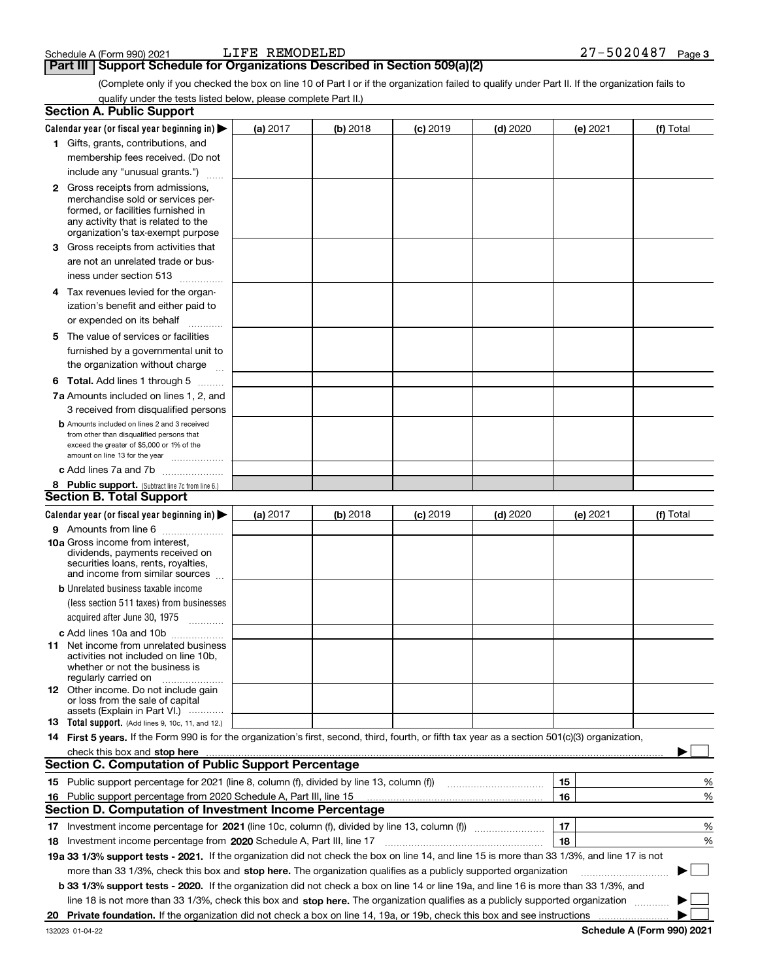**Part III Support Schedule for Organizations Described in Section 509(a)(2)** 

(Complete only if you checked the box on line 10 of Part I or if the organization failed to qualify under Part II. If the organization fails to qualify under the tests listed below, please complete Part II.)

|    | <b>Section A. Public Support</b>                                                                                                                 |          |          |            |            |    |          |           |        |
|----|--------------------------------------------------------------------------------------------------------------------------------------------------|----------|----------|------------|------------|----|----------|-----------|--------|
|    | Calendar year (or fiscal year beginning in) $\blacktriangleright$                                                                                | (a) 2017 | (b) 2018 | $(c)$ 2019 | $(d)$ 2020 |    | (e) 2021 | (f) Total |        |
|    | 1 Gifts, grants, contributions, and                                                                                                              |          |          |            |            |    |          |           |        |
|    | membership fees received. (Do not                                                                                                                |          |          |            |            |    |          |           |        |
|    | include any "unusual grants.")                                                                                                                   |          |          |            |            |    |          |           |        |
|    | <b>2</b> Gross receipts from admissions,                                                                                                         |          |          |            |            |    |          |           |        |
|    | merchandise sold or services per-                                                                                                                |          |          |            |            |    |          |           |        |
|    | formed, or facilities furnished in                                                                                                               |          |          |            |            |    |          |           |        |
|    | any activity that is related to the<br>organization's tax-exempt purpose                                                                         |          |          |            |            |    |          |           |        |
|    | 3 Gross receipts from activities that                                                                                                            |          |          |            |            |    |          |           |        |
|    | are not an unrelated trade or bus-                                                                                                               |          |          |            |            |    |          |           |        |
|    | iness under section 513                                                                                                                          |          |          |            |            |    |          |           |        |
|    | 4 Tax revenues levied for the organ-                                                                                                             |          |          |            |            |    |          |           |        |
|    | ization's benefit and either paid to                                                                                                             |          |          |            |            |    |          |           |        |
|    | or expended on its behalf                                                                                                                        |          |          |            |            |    |          |           |        |
|    | .<br>5 The value of services or facilities                                                                                                       |          |          |            |            |    |          |           |        |
|    | furnished by a governmental unit to                                                                                                              |          |          |            |            |    |          |           |        |
|    | the organization without charge                                                                                                                  |          |          |            |            |    |          |           |        |
|    |                                                                                                                                                  |          |          |            |            |    |          |           |        |
|    | <b>6 Total.</b> Add lines 1 through 5                                                                                                            |          |          |            |            |    |          |           |        |
|    | 7a Amounts included on lines 1, 2, and                                                                                                           |          |          |            |            |    |          |           |        |
|    | 3 received from disqualified persons                                                                                                             |          |          |            |            |    |          |           |        |
|    | <b>b</b> Amounts included on lines 2 and 3 received<br>from other than disqualified persons that                                                 |          |          |            |            |    |          |           |        |
|    | exceed the greater of \$5,000 or 1% of the                                                                                                       |          |          |            |            |    |          |           |        |
|    | amount on line 13 for the year                                                                                                                   |          |          |            |            |    |          |           |        |
|    | c Add lines 7a and 7b                                                                                                                            |          |          |            |            |    |          |           |        |
|    | 8 Public support. (Subtract line 7c from line 6.)                                                                                                |          |          |            |            |    |          |           |        |
|    | <b>Section B. Total Support</b>                                                                                                                  |          |          |            |            |    |          |           |        |
|    | Calendar year (or fiscal year beginning in)                                                                                                      | (a) 2017 | (b) 2018 | $(c)$ 2019 | $(d)$ 2020 |    | (e) 2021 | (f) Total |        |
|    | 9 Amounts from line 6                                                                                                                            |          |          |            |            |    |          |           |        |
|    | <b>10a</b> Gross income from interest,<br>dividends, payments received on                                                                        |          |          |            |            |    |          |           |        |
|    | securities loans, rents, royalties,                                                                                                              |          |          |            |            |    |          |           |        |
|    | and income from similar sources                                                                                                                  |          |          |            |            |    |          |           |        |
|    | <b>b</b> Unrelated business taxable income                                                                                                       |          |          |            |            |    |          |           |        |
|    | (less section 511 taxes) from businesses                                                                                                         |          |          |            |            |    |          |           |        |
|    | acquired after June 30, 1975 [10001]                                                                                                             |          |          |            |            |    |          |           |        |
|    | c Add lines 10a and 10b                                                                                                                          |          |          |            |            |    |          |           |        |
|    | 11 Net income from unrelated business                                                                                                            |          |          |            |            |    |          |           |        |
|    | activities not included on line 10b,<br>whether or not the business is                                                                           |          |          |            |            |    |          |           |        |
|    | regularly carried on                                                                                                                             |          |          |            |            |    |          |           |        |
|    | <b>12</b> Other income. Do not include gain                                                                                                      |          |          |            |            |    |          |           |        |
|    | or loss from the sale of capital<br>assets (Explain in Part VI.)                                                                                 |          |          |            |            |    |          |           |        |
|    | <b>13</b> Total support. (Add lines 9, 10c, 11, and 12.)                                                                                         |          |          |            |            |    |          |           |        |
|    | 14 First 5 years. If the Form 990 is for the organization's first, second, third, fourth, or fifth tax year as a section 501(c)(3) organization, |          |          |            |            |    |          |           |        |
|    | check this box and stop here measurements are constructed as the state of the state of the state of the state o                                  |          |          |            |            |    |          |           |        |
|    | <b>Section C. Computation of Public Support Percentage</b>                                                                                       |          |          |            |            |    |          |           |        |
|    | 15 Public support percentage for 2021 (line 8, column (f), divided by line 13, column (f))                                                       |          |          |            |            | 15 |          |           | %      |
|    | 16 Public support percentage from 2020 Schedule A, Part III, line 15                                                                             |          |          |            |            | 16 |          |           | %      |
|    | <b>Section D. Computation of Investment Income Percentage</b>                                                                                    |          |          |            |            |    |          |           |        |
|    | 17 Investment income percentage for 2021 (line 10c, column (f), divided by line 13, column (f))                                                  |          |          |            |            | 17 |          |           | %      |
|    | <b>18</b> Investment income percentage from <b>2020</b> Schedule A, Part III, line 17                                                            |          |          |            |            | 18 |          |           | %      |
|    | 19a 33 1/3% support tests - 2021. If the organization did not check the box on line 14, and line 15 is more than 33 1/3%, and line 17 is not     |          |          |            |            |    |          |           |        |
|    | more than 33 1/3%, check this box and stop here. The organization qualifies as a publicly supported organization                                 |          |          |            |            |    |          | ▶         | $\sim$ |
|    | b 33 1/3% support tests - 2020. If the organization did not check a box on line 14 or line 19a, and line 16 is more than 33 1/3%, and            |          |          |            |            |    |          |           |        |
|    | line 18 is not more than 33 1/3%, check this box and stop here. The organization qualifies as a publicly supported organization                  |          |          |            |            |    |          |           |        |
| 20 |                                                                                                                                                  |          |          |            |            |    |          |           |        |
|    |                                                                                                                                                  |          |          |            |            |    |          |           |        |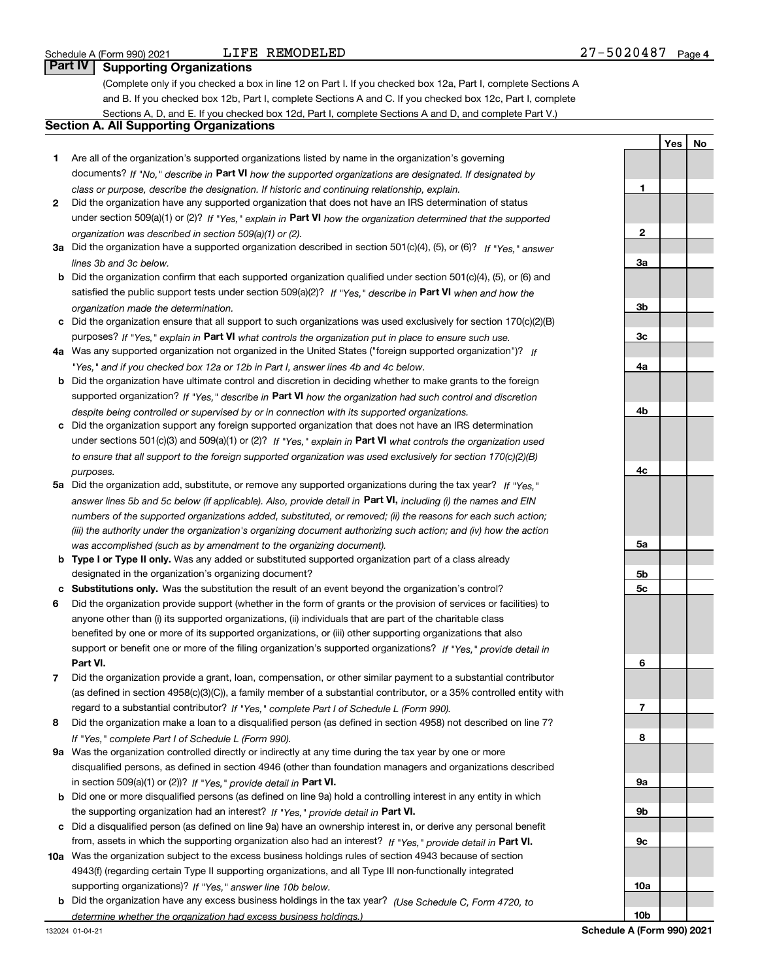**YesNo**

# **Part IV Supporting Organizations**

(Complete only if you checked a box in line 12 on Part I. If you checked box 12a, Part I, complete Sections A and B. If you checked box 12b, Part I, complete Sections A and C. If you checked box 12c, Part I, complete Sections A, D, and E. If you checked box 12d, Part I, complete Sections A and D, and complete Part V.)

# **Section A. All Supporting Organizations**

- **1** Are all of the organization's supported organizations listed by name in the organization's governing documents? If "No," describe in **Part VI** how the supported organizations are designated. If designated by *class or purpose, describe the designation. If historic and continuing relationship, explain.*
- **2** Did the organization have any supported organization that does not have an IRS determination of status under section 509(a)(1) or (2)? If "Yes," explain in Part VI how the organization determined that the supported *organization was described in section 509(a)(1) or (2).*
- **3a** Did the organization have a supported organization described in section 501(c)(4), (5), or (6)? If "Yes," answer *lines 3b and 3c below.*
- **b** Did the organization confirm that each supported organization qualified under section 501(c)(4), (5), or (6) and satisfied the public support tests under section 509(a)(2)? If "Yes," describe in **Part VI** when and how the *organization made the determination.*
- **c**Did the organization ensure that all support to such organizations was used exclusively for section 170(c)(2)(B) purposes? If "Yes," explain in **Part VI** what controls the organization put in place to ensure such use.
- **4a***If* Was any supported organization not organized in the United States ("foreign supported organization")? *"Yes," and if you checked box 12a or 12b in Part I, answer lines 4b and 4c below.*
- **b** Did the organization have ultimate control and discretion in deciding whether to make grants to the foreign supported organization? If "Yes," describe in **Part VI** how the organization had such control and discretion *despite being controlled or supervised by or in connection with its supported organizations.*
- **c** Did the organization support any foreign supported organization that does not have an IRS determination under sections 501(c)(3) and 509(a)(1) or (2)? If "Yes," explain in **Part VI** what controls the organization used *to ensure that all support to the foreign supported organization was used exclusively for section 170(c)(2)(B) purposes.*
- **5a***If "Yes,"* Did the organization add, substitute, or remove any supported organizations during the tax year? answer lines 5b and 5c below (if applicable). Also, provide detail in **Part VI,** including (i) the names and EIN *numbers of the supported organizations added, substituted, or removed; (ii) the reasons for each such action; (iii) the authority under the organization's organizing document authorizing such action; and (iv) how the action was accomplished (such as by amendment to the organizing document).*
- **b** Type I or Type II only. Was any added or substituted supported organization part of a class already designated in the organization's organizing document?
- **cSubstitutions only.**  Was the substitution the result of an event beyond the organization's control?
- **6** Did the organization provide support (whether in the form of grants or the provision of services or facilities) to **Part VI.** *If "Yes," provide detail in* support or benefit one or more of the filing organization's supported organizations? anyone other than (i) its supported organizations, (ii) individuals that are part of the charitable class benefited by one or more of its supported organizations, or (iii) other supporting organizations that also
- **7**Did the organization provide a grant, loan, compensation, or other similar payment to a substantial contributor *If "Yes," complete Part I of Schedule L (Form 990).* regard to a substantial contributor? (as defined in section 4958(c)(3)(C)), a family member of a substantial contributor, or a 35% controlled entity with
- **8** Did the organization make a loan to a disqualified person (as defined in section 4958) not described on line 7? *If "Yes," complete Part I of Schedule L (Form 990).*
- **9a** Was the organization controlled directly or indirectly at any time during the tax year by one or more in section 509(a)(1) or (2))? If "Yes," *provide detail in* <code>Part VI.</code> disqualified persons, as defined in section 4946 (other than foundation managers and organizations described
- **b** Did one or more disqualified persons (as defined on line 9a) hold a controlling interest in any entity in which the supporting organization had an interest? If "Yes," provide detail in P**art VI**.
- **c**Did a disqualified person (as defined on line 9a) have an ownership interest in, or derive any personal benefit from, assets in which the supporting organization also had an interest? If "Yes," provide detail in P**art VI.**
- **10a** Was the organization subject to the excess business holdings rules of section 4943 because of section supporting organizations)? If "Yes," answer line 10b below. 4943(f) (regarding certain Type II supporting organizations, and all Type III non-functionally integrated
- **b** Did the organization have any excess business holdings in the tax year? (Use Schedule C, Form 4720, to *determine whether the organization had excess business holdings.)*

**123a3b3c4a4b4c5a5b5c6789a 9b9c10a**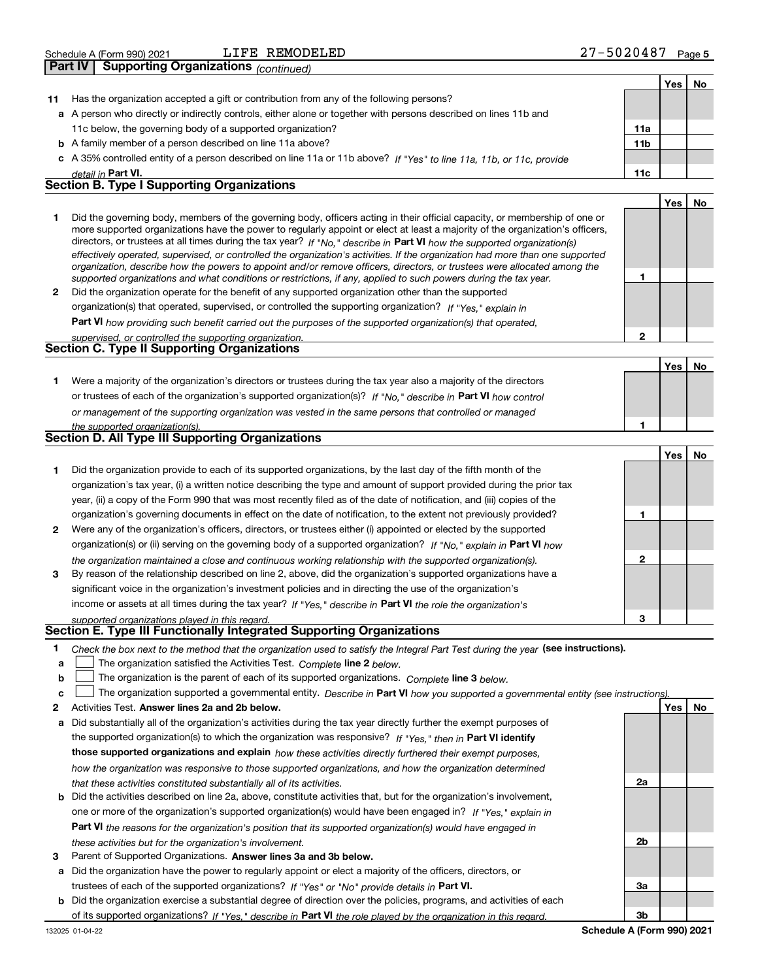| -5020487<br>REMODELED<br>JIFE<br>Schedule A (Form 990) 2021 | Page 5 |
|-------------------------------------------------------------|--------|
|-------------------------------------------------------------|--------|

|                | <b>Supporting Organizations (continued)</b><br>Part IV                                                                                                                                                                                                                                                                                                                                                                                                                                                                                                                                                                                               |                 |            |           |
|----------------|------------------------------------------------------------------------------------------------------------------------------------------------------------------------------------------------------------------------------------------------------------------------------------------------------------------------------------------------------------------------------------------------------------------------------------------------------------------------------------------------------------------------------------------------------------------------------------------------------------------------------------------------------|-----------------|------------|-----------|
|                |                                                                                                                                                                                                                                                                                                                                                                                                                                                                                                                                                                                                                                                      |                 | Yes        | No        |
| 11             | Has the organization accepted a gift or contribution from any of the following persons?                                                                                                                                                                                                                                                                                                                                                                                                                                                                                                                                                              |                 |            |           |
|                | a A person who directly or indirectly controls, either alone or together with persons described on lines 11b and                                                                                                                                                                                                                                                                                                                                                                                                                                                                                                                                     |                 |            |           |
|                | 11c below, the governing body of a supported organization?                                                                                                                                                                                                                                                                                                                                                                                                                                                                                                                                                                                           | 11a             |            |           |
|                | <b>b</b> A family member of a person described on line 11a above?                                                                                                                                                                                                                                                                                                                                                                                                                                                                                                                                                                                    | 11 <sub>b</sub> |            |           |
|                | c A 35% controlled entity of a person described on line 11a or 11b above? If "Yes" to line 11a, 11b, or 11c, provide                                                                                                                                                                                                                                                                                                                                                                                                                                                                                                                                 |                 |            |           |
|                | detail in Part VI.                                                                                                                                                                                                                                                                                                                                                                                                                                                                                                                                                                                                                                   | 11c             |            |           |
|                | <b>Section B. Type I Supporting Organizations</b>                                                                                                                                                                                                                                                                                                                                                                                                                                                                                                                                                                                                    |                 |            |           |
|                |                                                                                                                                                                                                                                                                                                                                                                                                                                                                                                                                                                                                                                                      |                 | <b>Yes</b> | <b>No</b> |
| 1              | Did the governing body, members of the governing body, officers acting in their official capacity, or membership of one or<br>more supported organizations have the power to regularly appoint or elect at least a majority of the organization's officers,<br>directors, or trustees at all times during the tax year? If "No," describe in Part VI how the supported organization(s)<br>effectively operated, supervised, or controlled the organization's activities. If the organization had more than one supported<br>organization, describe how the powers to appoint and/or remove officers, directors, or trustees were allocated among the |                 |            |           |
|                | supported organizations and what conditions or restrictions, if any, applied to such powers during the tax year.                                                                                                                                                                                                                                                                                                                                                                                                                                                                                                                                     | 1               |            |           |
| $\overline{2}$ | Did the organization operate for the benefit of any supported organization other than the supported                                                                                                                                                                                                                                                                                                                                                                                                                                                                                                                                                  |                 |            |           |
|                | organization(s) that operated, supervised, or controlled the supporting organization? If "Yes," explain in                                                                                                                                                                                                                                                                                                                                                                                                                                                                                                                                           |                 |            |           |
|                | Part VI how providing such benefit carried out the purposes of the supported organization(s) that operated,                                                                                                                                                                                                                                                                                                                                                                                                                                                                                                                                          |                 |            |           |
|                | supervised, or controlled the supporting organization.                                                                                                                                                                                                                                                                                                                                                                                                                                                                                                                                                                                               | $\overline{2}$  |            |           |
|                | Section C. Type II Supporting Organizations                                                                                                                                                                                                                                                                                                                                                                                                                                                                                                                                                                                                          |                 |            |           |
|                |                                                                                                                                                                                                                                                                                                                                                                                                                                                                                                                                                                                                                                                      |                 | <b>Yes</b> | No        |
| 1              | Were a majority of the organization's directors or trustees during the tax year also a majority of the directors                                                                                                                                                                                                                                                                                                                                                                                                                                                                                                                                     |                 |            |           |
|                | or trustees of each of the organization's supported organization(s)? If "No." describe in Part VI how control                                                                                                                                                                                                                                                                                                                                                                                                                                                                                                                                        |                 |            |           |
|                | or management of the supporting organization was vested in the same persons that controlled or managed                                                                                                                                                                                                                                                                                                                                                                                                                                                                                                                                               |                 |            |           |
|                | the supported organization(s).                                                                                                                                                                                                                                                                                                                                                                                                                                                                                                                                                                                                                       | 1               |            |           |
|                | <b>Section D. All Type III Supporting Organizations</b>                                                                                                                                                                                                                                                                                                                                                                                                                                                                                                                                                                                              |                 |            |           |
|                |                                                                                                                                                                                                                                                                                                                                                                                                                                                                                                                                                                                                                                                      |                 | Yes        | <b>No</b> |
| 1              | Did the organization provide to each of its supported organizations, by the last day of the fifth month of the                                                                                                                                                                                                                                                                                                                                                                                                                                                                                                                                       |                 |            |           |
|                | organization's tax year, (i) a written notice describing the type and amount of support provided during the prior tax                                                                                                                                                                                                                                                                                                                                                                                                                                                                                                                                |                 |            |           |
|                | year, (ii) a copy of the Form 990 that was most recently filed as of the date of notification, and (iii) copies of the                                                                                                                                                                                                                                                                                                                                                                                                                                                                                                                               |                 |            |           |
|                | organization's governing documents in effect on the date of notification, to the extent not previously provided?                                                                                                                                                                                                                                                                                                                                                                                                                                                                                                                                     | 1               |            |           |
| 2              | Were any of the organization's officers, directors, or trustees either (i) appointed or elected by the supported                                                                                                                                                                                                                                                                                                                                                                                                                                                                                                                                     |                 |            |           |
|                | organization(s) or (ii) serving on the governing body of a supported organization? If "No," explain in Part VI how                                                                                                                                                                                                                                                                                                                                                                                                                                                                                                                                   |                 |            |           |
|                | the organization maintained a close and continuous working relationship with the supported organization(s).                                                                                                                                                                                                                                                                                                                                                                                                                                                                                                                                          | $\mathbf{2}$    |            |           |

| 3 By reason of the relationship described on line 2, above, did the organization's supported organizations have a |
|-------------------------------------------------------------------------------------------------------------------|
| significant voice in the organization's investment policies and in directing the use of the organization's        |
| income or assets at all times during the tax year? If "Yes," describe in Part VI the role the organization's      |

#### *supported organizations played in this regard.* **Section E. Type III Functionally Integrated Supporting Organizations**

|  | * Check the box next to the method that the organization used to satisfy the Integral Part Test during the year (see instructions). |  |  |  |  |
|--|-------------------------------------------------------------------------------------------------------------------------------------|--|--|--|--|
|--|-------------------------------------------------------------------------------------------------------------------------------------|--|--|--|--|

- **a**The organization satisfied the Activities Test. *Complete* line 2 below.  $\mathcal{L}^{\text{max}}$
- **b**The organization is the parent of each of its supported organizations. *Complete* line 3 *below.*  $\mathcal{L}^{\text{max}}$

|  |  |  | The organization supported a governmental entity. Describe in Part VI how you supported a governmental entity (see instructions) |  |
|--|--|--|----------------------------------------------------------------------------------------------------------------------------------|--|
|--|--|--|----------------------------------------------------------------------------------------------------------------------------------|--|

- **2Answer lines 2a and 2b below. Yes No** Activities Test.
- **a** Did substantially all of the organization's activities during the tax year directly further the exempt purposes of the supported organization(s) to which the organization was responsive? If "Yes," then in **Part VI identify those supported organizations and explain**  *how these activities directly furthered their exempt purposes, how the organization was responsive to those supported organizations, and how the organization determined that these activities constituted substantially all of its activities.*
- **b** Did the activities described on line 2a, above, constitute activities that, but for the organization's involvement, **Part VI**  *the reasons for the organization's position that its supported organization(s) would have engaged in* one or more of the organization's supported organization(s) would have been engaged in? If "Yes," e*xplain in these activities but for the organization's involvement.*
- **3** Parent of Supported Organizations. Answer lines 3a and 3b below.
- **a** Did the organization have the power to regularly appoint or elect a majority of the officers, directors, or trustees of each of the supported organizations? If "Yes" or "No" provide details in P**art VI.**
- **b** Did the organization exercise a substantial degree of direction over the policies, programs, and activities of each of its supported organizations? If "Yes," describe in Part VI the role played by the organization in this regard.



**3**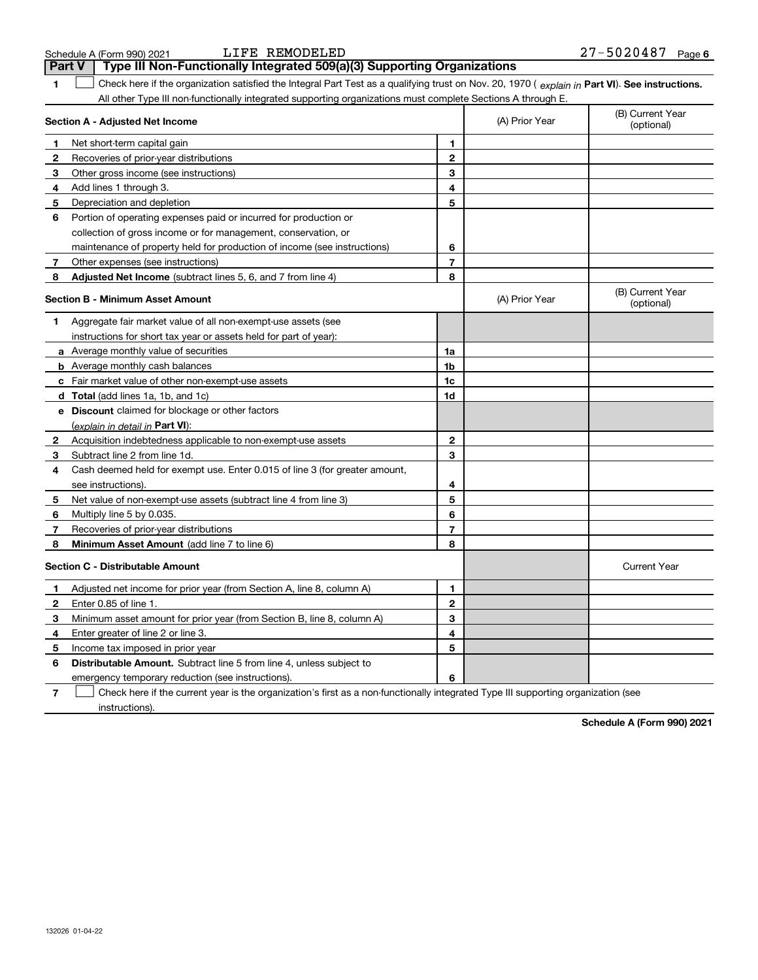| 1            | Check here if the organization satisfied the Integral Part Test as a qualifying trust on Nov. 20, 1970 (explain in Part VI). See instructio    |                |                |                                |
|--------------|------------------------------------------------------------------------------------------------------------------------------------------------|----------------|----------------|--------------------------------|
|              | All other Type III non-functionally integrated supporting organizations must complete Sections A through E.<br>Section A - Adjusted Net Income |                | (A) Prior Year | (B) Current Year<br>(optional) |
| 1            | Net short-term capital gain                                                                                                                    | 1.             |                |                                |
| 2            | Recoveries of prior-year distributions                                                                                                         | $\mathbf{2}$   |                |                                |
| 3            | Other gross income (see instructions)                                                                                                          | 3              |                |                                |
| 4            | Add lines 1 through 3.                                                                                                                         | 4              |                |                                |
| 5            | Depreciation and depletion                                                                                                                     | 5              |                |                                |
| 6            | Portion of operating expenses paid or incurred for production or                                                                               |                |                |                                |
|              | collection of gross income or for management, conservation, or                                                                                 |                |                |                                |
|              | maintenance of property held for production of income (see instructions)                                                                       | 6              |                |                                |
| 7            | Other expenses (see instructions)                                                                                                              | $\overline{7}$ |                |                                |
| 8            | Adjusted Net Income (subtract lines 5, 6, and 7 from line 4)                                                                                   | 8              |                |                                |
|              | <b>Section B - Minimum Asset Amount</b>                                                                                                        |                | (A) Prior Year | (B) Current Year<br>(optional) |
| 1            | Aggregate fair market value of all non-exempt-use assets (see                                                                                  |                |                |                                |
|              | instructions for short tax year or assets held for part of year):                                                                              |                |                |                                |
|              | a Average monthly value of securities                                                                                                          | 1a             |                |                                |
|              | <b>b</b> Average monthly cash balances                                                                                                         | 1b             |                |                                |
|              | Fair market value of other non-exempt-use assets                                                                                               | 1c             |                |                                |
|              | d Total (add lines 1a, 1b, and 1c)                                                                                                             | 1d             |                |                                |
| е            | <b>Discount</b> claimed for blockage or other factors                                                                                          |                |                |                                |
|              | (explain in detail in Part VI):                                                                                                                |                |                |                                |
| $\mathbf{2}$ | Acquisition indebtedness applicable to non-exempt-use assets                                                                                   | $\mathbf{2}$   |                |                                |
| 3.           | Subtract line 2 from line 1d.                                                                                                                  | 3              |                |                                |
| 4            | Cash deemed held for exempt use. Enter 0.015 of line 3 (for greater amount,                                                                    |                |                |                                |
|              | see instructions).                                                                                                                             | 4              |                |                                |
| 5            | Net value of non-exempt-use assets (subtract line 4 from line 3)                                                                               | 5              |                |                                |
| 6            | Multiply line 5 by 0.035.                                                                                                                      | 6              |                |                                |
| 7            | Recoveries of prior-year distributions                                                                                                         | 7              |                |                                |
| 8            | Minimum Asset Amount (add line 7 to line 6)                                                                                                    | 8              |                |                                |

# **Section C - Distributable Amount**

instructions).

|   | Section C - Distributable Amount                                                                                                  |   | Current Year |
|---|-----------------------------------------------------------------------------------------------------------------------------------|---|--------------|
|   | Adjusted net income for prior year (from Section A, line 8, column A)                                                             |   |              |
|   | Enter 0.85 of line 1.                                                                                                             |   |              |
| з | Minimum asset amount for prior year (from Section B, line 8, column A)                                                            |   |              |
| 4 | Enter greater of line 2 or line 3.                                                                                                | 4 |              |
| 5 | Income tax imposed in prior year                                                                                                  | 5 |              |
| 6 | <b>Distributable Amount.</b> Subtract line 5 from line 4, unless subject to                                                       |   |              |
|   | emergency temporary reduction (see instructions).                                                                                 | 6 |              |
|   | Check here if the current year is the organization's first as a non-functionally integrated Type III supporting organization (see |   |              |

**Schedule A (Form 990) 2021**

### LIFE REMODELED

Schedule A (Form 990) 2021 **Part V** Type III Non-Functionally Integrated 509(a)(3) Supporting Organizations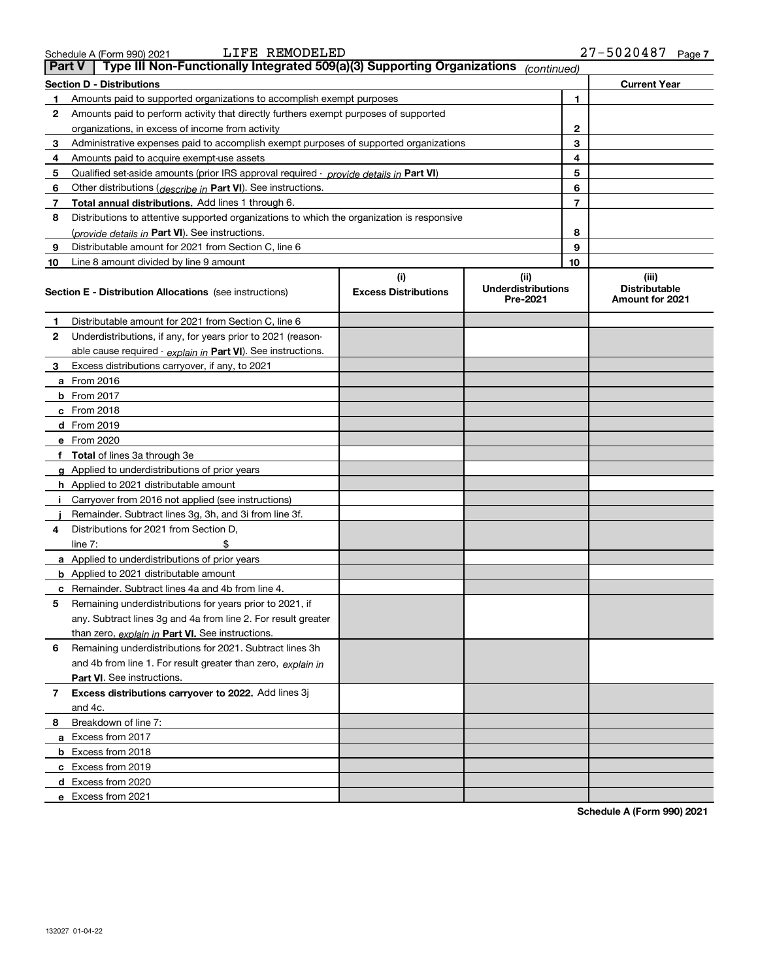|        | Schedule A (Form 990) 2021       | LIFE. | REMODELED |                                                                                                                     |  | 27-502048           | Page |
|--------|----------------------------------|-------|-----------|---------------------------------------------------------------------------------------------------------------------|--|---------------------|------|
| Part V |                                  |       |           | $\blacktriangleleft$ Type III Non-Functionally Integrated 509(a)(3) Supporting Organizations $\sqrt{1}$ (continued) |  |                     |      |
|        | <b>Section D - Distributions</b> |       |           |                                                                                                                     |  | <b>Current Year</b> |      |
|        |                                  |       |           |                                                                                                                     |  |                     |      |

| <b>Part V</b> | Type III Non-Functionally Integrated 509(a)(3) Supporting Organizations                    |                             | (continued)                           |                |                                                |
|---------------|--------------------------------------------------------------------------------------------|-----------------------------|---------------------------------------|----------------|------------------------------------------------|
|               | Section D - Distributions                                                                  |                             |                                       |                | <b>Current Year</b>                            |
| 1             | Amounts paid to supported organizations to accomplish exempt purposes                      |                             |                                       | 1              |                                                |
| 2             | Amounts paid to perform activity that directly furthers exempt purposes of supported       |                             |                                       |                |                                                |
|               | organizations, in excess of income from activity                                           |                             |                                       | 2              |                                                |
| 3             | Administrative expenses paid to accomplish exempt purposes of supported organizations      |                             |                                       | 3              |                                                |
| 4             | Amounts paid to acquire exempt-use assets                                                  |                             |                                       | 4              |                                                |
| 5             | Qualified set-aside amounts (prior IRS approval required - provide details in Part VI)     |                             |                                       | 5              |                                                |
| 6             | Other distributions ( <i>describe in</i> Part VI). See instructions.                       |                             |                                       | 6              |                                                |
| 7             | <b>Total annual distributions.</b> Add lines 1 through 6.                                  |                             |                                       | $\overline{7}$ |                                                |
| 8             | Distributions to attentive supported organizations to which the organization is responsive |                             |                                       |                |                                                |
|               | (provide details in Part VI). See instructions.                                            |                             |                                       | 8              |                                                |
| 9             | Distributable amount for 2021 from Section C, line 6                                       |                             |                                       | 9              |                                                |
| 10            | Line 8 amount divided by line 9 amount                                                     |                             |                                       | 10             |                                                |
|               |                                                                                            | (i)                         | (ii)                                  |                | (iii)                                          |
|               | <b>Section E - Distribution Allocations</b> (see instructions)                             | <b>Excess Distributions</b> | <b>Underdistributions</b><br>Pre-2021 |                | <b>Distributable</b><br><b>Amount for 2021</b> |
| 1             | Distributable amount for 2021 from Section C, line 6                                       |                             |                                       |                |                                                |
| 2             | Underdistributions, if any, for years prior to 2021 (reason-                               |                             |                                       |                |                                                |
|               | able cause required - explain in Part VI). See instructions.                               |                             |                                       |                |                                                |
| 3             | Excess distributions carryover, if any, to 2021                                            |                             |                                       |                |                                                |
|               | <b>a</b> From 2016                                                                         |                             |                                       |                |                                                |
|               | <b>b</b> From 2017                                                                         |                             |                                       |                |                                                |
|               | $c$ From 2018                                                                              |                             |                                       |                |                                                |
|               | d From 2019                                                                                |                             |                                       |                |                                                |
|               | e From 2020                                                                                |                             |                                       |                |                                                |
|               | f Total of lines 3a through 3e                                                             |                             |                                       |                |                                                |
|               | g Applied to underdistributions of prior years                                             |                             |                                       |                |                                                |
|               | <b>h</b> Applied to 2021 distributable amount                                              |                             |                                       |                |                                                |
| j.            | Carryover from 2016 not applied (see instructions)                                         |                             |                                       |                |                                                |
|               | Remainder. Subtract lines 3g, 3h, and 3i from line 3f.                                     |                             |                                       |                |                                                |
| 4             | Distributions for 2021 from Section D,                                                     |                             |                                       |                |                                                |
|               | \$<br>line $7:$                                                                            |                             |                                       |                |                                                |
|               | <b>a</b> Applied to underdistributions of prior years                                      |                             |                                       |                |                                                |
|               | <b>b</b> Applied to 2021 distributable amount                                              |                             |                                       |                |                                                |
|               | c Remainder. Subtract lines 4a and 4b from line 4.                                         |                             |                                       |                |                                                |
| 5             | Remaining underdistributions for years prior to 2021, if                                   |                             |                                       |                |                                                |
|               | any. Subtract lines 3g and 4a from line 2. For result greater                              |                             |                                       |                |                                                |
|               | than zero, explain in Part VI. See instructions.                                           |                             |                                       |                |                                                |
| 6             | Remaining underdistributions for 2021. Subtract lines 3h                                   |                             |                                       |                |                                                |
|               | and 4b from line 1. For result greater than zero, explain in                               |                             |                                       |                |                                                |
|               | Part VI. See instructions.                                                                 |                             |                                       |                |                                                |
| $\mathbf{7}$  | <b>Excess distributions carryover to 2022.</b> Add lines 3j                                |                             |                                       |                |                                                |
|               | and 4c.                                                                                    |                             |                                       |                |                                                |
| 8             | Breakdown of line 7:                                                                       |                             |                                       |                |                                                |
|               | a Excess from 2017                                                                         |                             |                                       |                |                                                |
|               | <b>b</b> Excess from 2018                                                                  |                             |                                       |                |                                                |
|               | c Excess from 2019                                                                         |                             |                                       |                |                                                |
|               | d Excess from 2020                                                                         |                             |                                       |                |                                                |
|               | e Excess from 2021                                                                         |                             |                                       |                |                                                |

**Schedule A (Form 990) 2021**

<u>E REMODELED</u>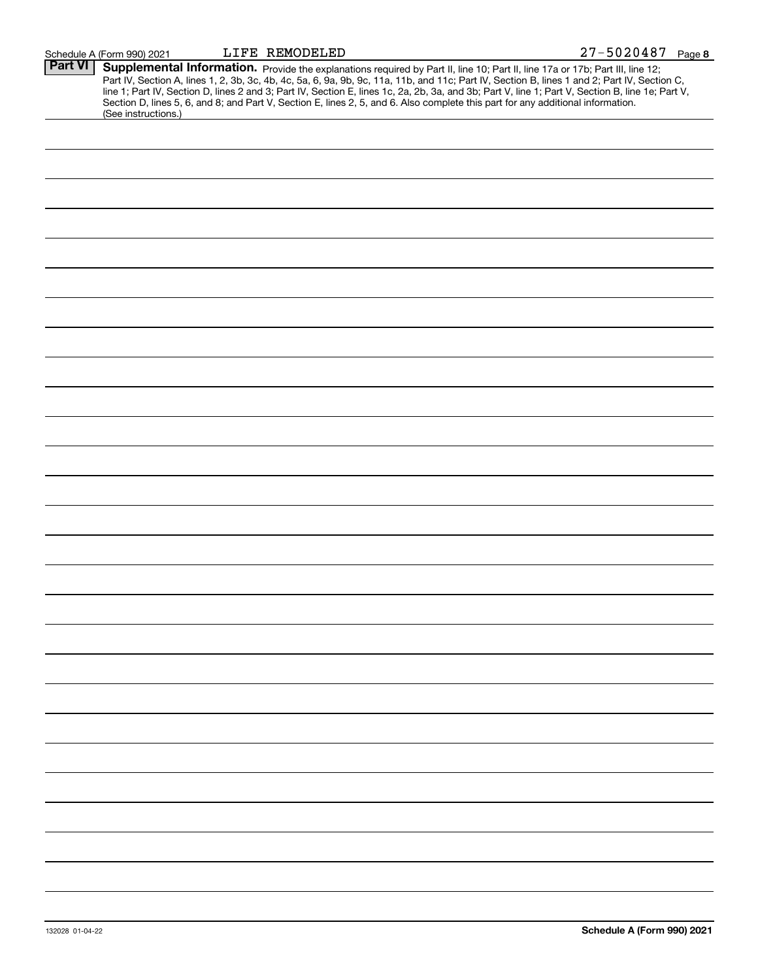| Part VI | Supplemental Information. Provide the explanations required by Part II, line 10; Part II, line 17a or 17b; Part III, line 12;                    |
|---------|--------------------------------------------------------------------------------------------------------------------------------------------------|
|         | Part IV, Section A, lines 1, 2, 3b, 3c, 4b, 4c, 5a, 6, 9a, 9b, 9c, 11a, 11b, and 11c; Part IV, Section B, lines 1 and 2; Part IV, Section C,     |
|         | line 1; Part IV, Section D, lines 2 and 3; Part IV, Section E, lines 1c, 2a, 2b, 3a, and 3b; Part V, line 1; Part V, Section B, line 1e; Part V, |
|         | Section D, lines 5, 6, and 8; and Part V, Section E, lines 2, 5, and 6. Also complete this part for any additional information.                  |
|         | (See instructions.)                                                                                                                              |
|         |                                                                                                                                                  |
|         |                                                                                                                                                  |
|         |                                                                                                                                                  |
|         |                                                                                                                                                  |
|         |                                                                                                                                                  |
|         |                                                                                                                                                  |
|         |                                                                                                                                                  |
|         |                                                                                                                                                  |
|         |                                                                                                                                                  |
|         |                                                                                                                                                  |
|         |                                                                                                                                                  |
|         |                                                                                                                                                  |
|         |                                                                                                                                                  |
|         |                                                                                                                                                  |
|         |                                                                                                                                                  |
|         |                                                                                                                                                  |
|         |                                                                                                                                                  |
|         |                                                                                                                                                  |
|         |                                                                                                                                                  |
|         |                                                                                                                                                  |
|         |                                                                                                                                                  |
|         |                                                                                                                                                  |
|         |                                                                                                                                                  |
|         |                                                                                                                                                  |
|         |                                                                                                                                                  |
|         |                                                                                                                                                  |
|         |                                                                                                                                                  |
|         |                                                                                                                                                  |
|         |                                                                                                                                                  |
|         |                                                                                                                                                  |
|         |                                                                                                                                                  |
|         |                                                                                                                                                  |
|         |                                                                                                                                                  |
|         |                                                                                                                                                  |
|         |                                                                                                                                                  |
|         |                                                                                                                                                  |
|         |                                                                                                                                                  |
|         |                                                                                                                                                  |
|         |                                                                                                                                                  |
|         |                                                                                                                                                  |
|         |                                                                                                                                                  |
|         |                                                                                                                                                  |
|         |                                                                                                                                                  |
|         |                                                                                                                                                  |
|         |                                                                                                                                                  |
|         |                                                                                                                                                  |
|         |                                                                                                                                                  |
|         |                                                                                                                                                  |
|         |                                                                                                                                                  |
|         |                                                                                                                                                  |
|         |                                                                                                                                                  |
|         |                                                                                                                                                  |
|         |                                                                                                                                                  |
|         |                                                                                                                                                  |
|         |                                                                                                                                                  |
|         |                                                                                                                                                  |
|         |                                                                                                                                                  |
|         |                                                                                                                                                  |
|         |                                                                                                                                                  |
|         |                                                                                                                                                  |
|         |                                                                                                                                                  |
|         |                                                                                                                                                  |
|         |                                                                                                                                                  |
|         |                                                                                                                                                  |
|         |                                                                                                                                                  |
|         |                                                                                                                                                  |
|         |                                                                                                                                                  |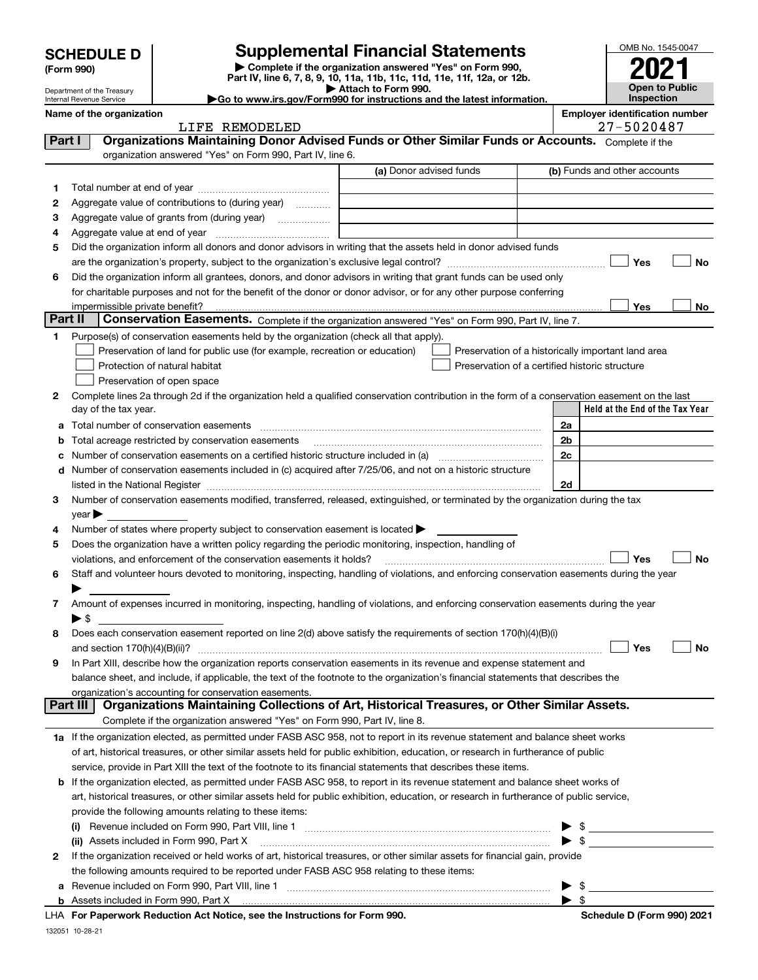| <b>SCHEDULE D</b> |  |
|-------------------|--|
|-------------------|--|

Department of the Treasury Internal Revenue Service

# **SCHEDULE D Supplemental Financial Statements**

**| Complete if the organization answered "Yes" on Form 990, Part IV, line 6, 7, 8, 9, 10, 11a, 11b, 11c, 11d, 11e, 11f, 12a, or 12b. | Attach to Form 990.** OMB No. 1545-0047 **Open to Public Inspection 2021**

|--|

|         | Name of the organization<br>LIFE REMODELED                                                                                                                                                                                     |                         | <b>Employer identification number</b><br>27-5020487 |
|---------|--------------------------------------------------------------------------------------------------------------------------------------------------------------------------------------------------------------------------------|-------------------------|-----------------------------------------------------|
| Part I  | Organizations Maintaining Donor Advised Funds or Other Similar Funds or Accounts. Complete if the                                                                                                                              |                         |                                                     |
|         | organization answered "Yes" on Form 990, Part IV, line 6.                                                                                                                                                                      |                         |                                                     |
|         |                                                                                                                                                                                                                                | (a) Donor advised funds | (b) Funds and other accounts                        |
|         |                                                                                                                                                                                                                                |                         |                                                     |
| 1       |                                                                                                                                                                                                                                |                         |                                                     |
| 2       | Aggregate value of contributions to (during year)                                                                                                                                                                              |                         |                                                     |
| 3       | Aggregate value of grants from (during year)                                                                                                                                                                                   |                         |                                                     |
| 4       |                                                                                                                                                                                                                                |                         |                                                     |
| 5       | Did the organization inform all donors and donor advisors in writing that the assets held in donor advised funds                                                                                                               |                         |                                                     |
|         |                                                                                                                                                                                                                                |                         | Yes                                                 |
| 6       | Did the organization inform all grantees, donors, and donor advisors in writing that grant funds can be used only                                                                                                              |                         |                                                     |
|         | for charitable purposes and not for the benefit of the donor or donor advisor, or for any other purpose conferring                                                                                                             |                         |                                                     |
| Part II | impermissible private benefit?                                                                                                                                                                                                 |                         | Yes                                                 |
|         | Conservation Easements. Complete if the organization answered "Yes" on Form 990, Part IV, line 7.                                                                                                                              |                         |                                                     |
| 1       | Purpose(s) of conservation easements held by the organization (check all that apply).                                                                                                                                          |                         |                                                     |
|         | Preservation of land for public use (for example, recreation or education)                                                                                                                                                     |                         | Preservation of a historically important land area  |
|         | Protection of natural habitat                                                                                                                                                                                                  |                         | Preservation of a certified historic structure      |
|         | Preservation of open space                                                                                                                                                                                                     |                         |                                                     |
| 2       | Complete lines 2a through 2d if the organization held a qualified conservation contribution in the form of a conservation easement on the last                                                                                 |                         |                                                     |
|         | day of the tax year.                                                                                                                                                                                                           |                         | Held at the End of the Tax Year                     |
| а       | Total number of conservation easements                                                                                                                                                                                         |                         | 2a                                                  |
| b       | Total acreage restricted by conservation easements                                                                                                                                                                             |                         | 2 <sub>b</sub>                                      |
| c       |                                                                                                                                                                                                                                |                         | 2c                                                  |
| d       | Number of conservation easements included in (c) acquired after 7/25/06, and not on a historic structure                                                                                                                       |                         |                                                     |
|         | listed in the National Register [111] [12] The Materian Control of the National Register [12] The Mational Register [12] [12] The Material Anna Material Anna Material Anna Material Anna Material Anna Material Anna Material |                         | 2d                                                  |
| з       | Number of conservation easements modified, transferred, released, extinguished, or terminated by the organization during the tax                                                                                               |                         |                                                     |
|         | $year \triangleright$                                                                                                                                                                                                          |                         |                                                     |
| 4       | Number of states where property subject to conservation easement is located >                                                                                                                                                  |                         |                                                     |
| 5       | Does the organization have a written policy regarding the periodic monitoring, inspection, handling of                                                                                                                         |                         |                                                     |
|         | violations, and enforcement of the conservation easements it holds?                                                                                                                                                            |                         | <b>Yes</b>                                          |
| 6       | Staff and volunteer hours devoted to monitoring, inspecting, handling of violations, and enforcing conservation easements during the year                                                                                      |                         |                                                     |
|         |                                                                                                                                                                                                                                |                         |                                                     |
| 7       | Amount of expenses incurred in monitoring, inspecting, handling of violations, and enforcing conservation easements during the year                                                                                            |                         |                                                     |
|         | ▶ \$                                                                                                                                                                                                                           |                         |                                                     |
| 8       | Does each conservation easement reported on line 2(d) above satisfy the requirements of section 170(h)(4)(B)(i)                                                                                                                |                         |                                                     |
|         |                                                                                                                                                                                                                                |                         | Yes                                                 |
|         | In Part XIII, describe how the organization reports conservation easements in its revenue and expense statement and                                                                                                            |                         |                                                     |
|         | balance sheet, and include, if applicable, the text of the footnote to the organization's financial statements that describes the                                                                                              |                         |                                                     |
|         | organization's accounting for conservation easements.<br>Organizations Maintaining Collections of Art, Historical Treasures, or Other Similar Assets.<br>Part III                                                              |                         |                                                     |
|         |                                                                                                                                                                                                                                |                         |                                                     |
|         | Complete if the organization answered "Yes" on Form 990, Part IV, line 8.                                                                                                                                                      |                         |                                                     |
|         | 1a If the organization elected, as permitted under FASB ASC 958, not to report in its revenue statement and balance sheet works                                                                                                |                         |                                                     |
|         | of art, historical treasures, or other similar assets held for public exhibition, education, or research in furtherance of public                                                                                              |                         |                                                     |
|         | service, provide in Part XIII the text of the footnote to its financial statements that describes these items.                                                                                                                 |                         |                                                     |
|         | <b>b</b> If the organization elected, as permitted under FASB ASC 958, to report in its revenue statement and balance sheet works of                                                                                           |                         |                                                     |
|         | art, historical treasures, or other similar assets held for public exhibition, education, or research in furtherance of public service,                                                                                        |                         |                                                     |
|         | provide the following amounts relating to these items:                                                                                                                                                                         |                         |                                                     |
|         |                                                                                                                                                                                                                                |                         | $\blacktriangleright$ \$                            |
|         | (ii) Assets included in Form 990, Part X                                                                                                                                                                                       |                         | $\blacktriangleright$ \$                            |
| 2       | If the organization received or held works of art, historical treasures, or other similar assets for financial gain, provide                                                                                                   |                         |                                                     |
|         | the following amounts required to be reported under FASB ASC 958 relating to these items:                                                                                                                                      |                         |                                                     |
| а       |                                                                                                                                                                                                                                |                         | $\blacktriangleright$ \$                            |
|         | b Assets included in Form 990, Part X [11] Marten and March 2014 (1997) Assets included in Form 990, Part X [11] Marten and Martin Assets included in Form 990, Part X [11] Marten and Martin Assets in the Assets in the Asse |                         | $\blacktriangleright$ \$                            |

132051 10-28-21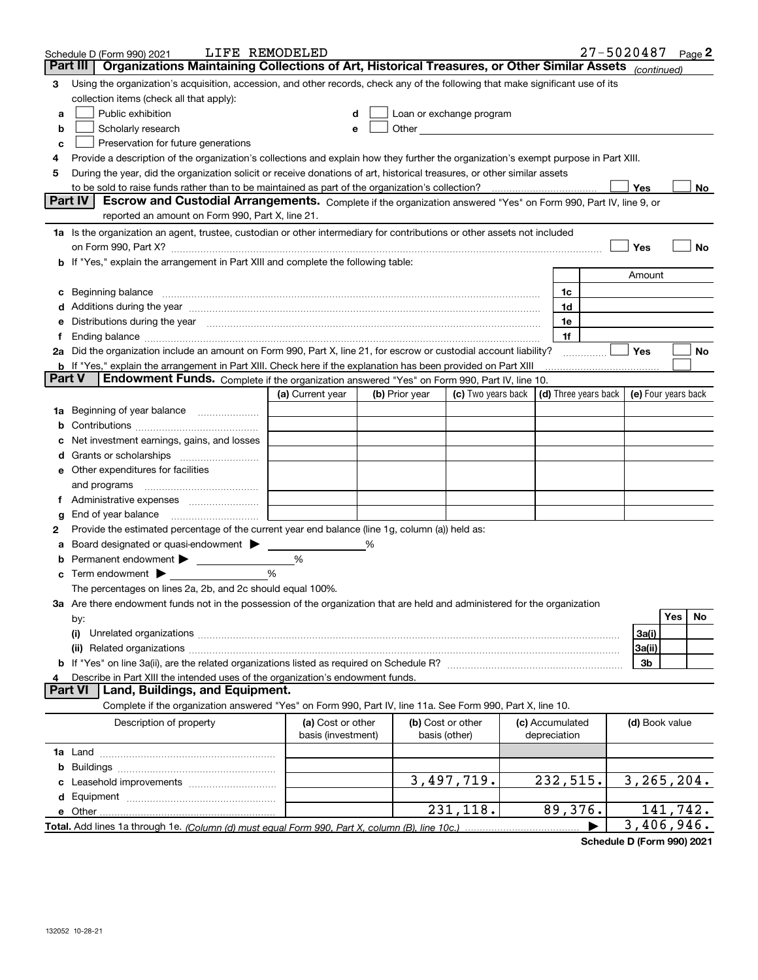|               | LIFE REMODELED<br>Schedule D (Form 990) 2021                                                                                                                                                                                         |                    |                |                                                                                                                                                                                                                               |                 | 27-5020487 |                     |          | Page 2 |
|---------------|--------------------------------------------------------------------------------------------------------------------------------------------------------------------------------------------------------------------------------------|--------------------|----------------|-------------------------------------------------------------------------------------------------------------------------------------------------------------------------------------------------------------------------------|-----------------|------------|---------------------|----------|--------|
| Part III      | Organizations Maintaining Collections of Art, Historical Treasures, or Other Similar Assets (continued)                                                                                                                              |                    |                |                                                                                                                                                                                                                               |                 |            |                     |          |        |
| з             | Using the organization's acquisition, accession, and other records, check any of the following that make significant use of its                                                                                                      |                    |                |                                                                                                                                                                                                                               |                 |            |                     |          |        |
|               | collection items (check all that apply):                                                                                                                                                                                             |                    |                |                                                                                                                                                                                                                               |                 |            |                     |          |        |
| a             | Public exhibition                                                                                                                                                                                                                    | d                  |                | Loan or exchange program                                                                                                                                                                                                      |                 |            |                     |          |        |
| b             | Scholarly research                                                                                                                                                                                                                   | е                  |                | Other and the contract of the contract of the contract of the contract of the contract of the contract of the contract of the contract of the contract of the contract of the contract of the contract of the contract of the |                 |            |                     |          |        |
| c             | Preservation for future generations                                                                                                                                                                                                  |                    |                |                                                                                                                                                                                                                               |                 |            |                     |          |        |
| 4             | Provide a description of the organization's collections and explain how they further the organization's exempt purpose in Part XIII.                                                                                                 |                    |                |                                                                                                                                                                                                                               |                 |            |                     |          |        |
| 5             | During the year, did the organization solicit or receive donations of art, historical treasures, or other similar assets                                                                                                             |                    |                |                                                                                                                                                                                                                               |                 |            |                     |          |        |
|               |                                                                                                                                                                                                                                      |                    |                |                                                                                                                                                                                                                               |                 |            | Yes                 |          | No     |
|               | Part IV<br>Escrow and Custodial Arrangements. Complete if the organization answered "Yes" on Form 990, Part IV, line 9, or<br>reported an amount on Form 990, Part X, line 21.                                                       |                    |                |                                                                                                                                                                                                                               |                 |            |                     |          |        |
|               | 1a Is the organization an agent, trustee, custodian or other intermediary for contributions or other assets not included                                                                                                             |                    |                |                                                                                                                                                                                                                               |                 |            |                     |          |        |
|               | on Form 990, Part X? [11] matter contracts and contracts and contracts are contracted as a function of the set of the set of the set of the set of the set of the set of the set of the set of the set of the set of the set o       |                    |                |                                                                                                                                                                                                                               |                 |            | Yes                 |          | No     |
|               | b If "Yes," explain the arrangement in Part XIII and complete the following table:                                                                                                                                                   |                    |                |                                                                                                                                                                                                                               |                 |            |                     |          |        |
|               |                                                                                                                                                                                                                                      |                    |                |                                                                                                                                                                                                                               |                 |            | Amount              |          |        |
| c             | Beginning balance <b>contract to the contract of the contract of the contract of the contract of the contract of the contract of the contract of the contract of the contract of the contract of the contract of the contract of</b> |                    |                |                                                                                                                                                                                                                               | 1c              |            |                     |          |        |
|               |                                                                                                                                                                                                                                      |                    |                |                                                                                                                                                                                                                               | 1d              |            |                     |          |        |
| е             | Distributions during the year manufactured and continuum and contained and the year manufactured and contained                                                                                                                       |                    |                |                                                                                                                                                                                                                               | 1e              |            |                     |          |        |
|               | Ending balance <i>www.communicality.communicality.communicality.communicality.communicality.communicality.communicality.com</i>                                                                                                      |                    |                |                                                                                                                                                                                                                               | 1f              |            |                     |          |        |
|               | 2a Did the organization include an amount on Form 990, Part X, line 21, for escrow or custodial account liability?                                                                                                                   |                    |                |                                                                                                                                                                                                                               |                 |            | Yes                 |          | No     |
|               | <b>b</b> If "Yes," explain the arrangement in Part XIII. Check here if the explanation has been provided on Part XIII                                                                                                                |                    |                |                                                                                                                                                                                                                               |                 |            |                     |          |        |
| <b>Part V</b> | Endowment Funds. Complete if the organization answered "Yes" on Form 990, Part IV, line 10.                                                                                                                                          |                    |                |                                                                                                                                                                                                                               |                 |            |                     |          |        |
|               |                                                                                                                                                                                                                                      | (a) Current year   | (b) Prior year | (c) Two years back $\vert$ (d) Three years back $\vert$                                                                                                                                                                       |                 |            | (e) Four years back |          |        |
| 1a            | Beginning of year balance                                                                                                                                                                                                            |                    |                |                                                                                                                                                                                                                               |                 |            |                     |          |        |
| b             |                                                                                                                                                                                                                                      |                    |                |                                                                                                                                                                                                                               |                 |            |                     |          |        |
|               | Net investment earnings, gains, and losses                                                                                                                                                                                           |                    |                |                                                                                                                                                                                                                               |                 |            |                     |          |        |
| d             |                                                                                                                                                                                                                                      |                    |                |                                                                                                                                                                                                                               |                 |            |                     |          |        |
|               | <b>e</b> Other expenditures for facilities                                                                                                                                                                                           |                    |                |                                                                                                                                                                                                                               |                 |            |                     |          |        |
|               | and programs                                                                                                                                                                                                                         |                    |                |                                                                                                                                                                                                                               |                 |            |                     |          |        |
| Ť.            |                                                                                                                                                                                                                                      |                    |                |                                                                                                                                                                                                                               |                 |            |                     |          |        |
| g             | End of year balance                                                                                                                                                                                                                  |                    |                |                                                                                                                                                                                                                               |                 |            |                     |          |        |
| 2             | Provide the estimated percentage of the current year end balance (line 1g, column (a)) held as:                                                                                                                                      |                    |                |                                                                                                                                                                                                                               |                 |            |                     |          |        |
| а             | Board designated or quasi-endowment >                                                                                                                                                                                                |                    | %              |                                                                                                                                                                                                                               |                 |            |                     |          |        |
| b             | Permanent endowment >                                                                                                                                                                                                                | %                  |                |                                                                                                                                                                                                                               |                 |            |                     |          |        |
|               | Term endowment $\blacktriangleright$                                                                                                                                                                                                 | %                  |                |                                                                                                                                                                                                                               |                 |            |                     |          |        |
|               | The percentages on lines 2a, 2b, and 2c should equal 100%.                                                                                                                                                                           |                    |                |                                                                                                                                                                                                                               |                 |            |                     |          |        |
|               | 3a Are there endowment funds not in the possession of the organization that are held and administered for the organization                                                                                                           |                    |                |                                                                                                                                                                                                                               |                 |            |                     | Yes      | No     |
|               | by:                                                                                                                                                                                                                                  |                    |                |                                                                                                                                                                                                                               |                 |            |                     |          |        |
|               | (i)                                                                                                                                                                                                                                  |                    |                |                                                                                                                                                                                                                               |                 |            | 3a(i)               |          |        |
|               |                                                                                                                                                                                                                                      |                    |                |                                                                                                                                                                                                                               |                 |            | 3a(ii)<br>3b        |          |        |
| 4             | Describe in Part XIII the intended uses of the organization's endowment funds.                                                                                                                                                       |                    |                |                                                                                                                                                                                                                               |                 |            |                     |          |        |
|               | Land, Buildings, and Equipment.<br><b>Part VI</b>                                                                                                                                                                                    |                    |                |                                                                                                                                                                                                                               |                 |            |                     |          |        |
|               | Complete if the organization answered "Yes" on Form 990, Part IV, line 11a. See Form 990, Part X, line 10.                                                                                                                           |                    |                |                                                                                                                                                                                                                               |                 |            |                     |          |        |
|               | Description of property                                                                                                                                                                                                              | (a) Cost or other  |                | (b) Cost or other                                                                                                                                                                                                             | (c) Accumulated |            | (d) Book value      |          |        |
|               |                                                                                                                                                                                                                                      | basis (investment) |                | basis (other)                                                                                                                                                                                                                 | depreciation    |            |                     |          |        |
|               |                                                                                                                                                                                                                                      |                    |                |                                                                                                                                                                                                                               |                 |            |                     |          |        |
|               |                                                                                                                                                                                                                                      |                    |                |                                                                                                                                                                                                                               |                 |            |                     |          |        |
|               |                                                                                                                                                                                                                                      |                    |                | 3,497,719.                                                                                                                                                                                                                    | 232,515.        |            | 3, 265, 204.        |          |        |
|               |                                                                                                                                                                                                                                      |                    |                | 231, 118.                                                                                                                                                                                                                     |                 |            |                     | 141,742. |        |
|               |                                                                                                                                                                                                                                      |                    |                |                                                                                                                                                                                                                               | 89,376.         |            | 3,406,946.          |          |        |
|               |                                                                                                                                                                                                                                      |                    |                |                                                                                                                                                                                                                               |                 |            |                     |          |        |

**Schedule D (Form 990) 2021**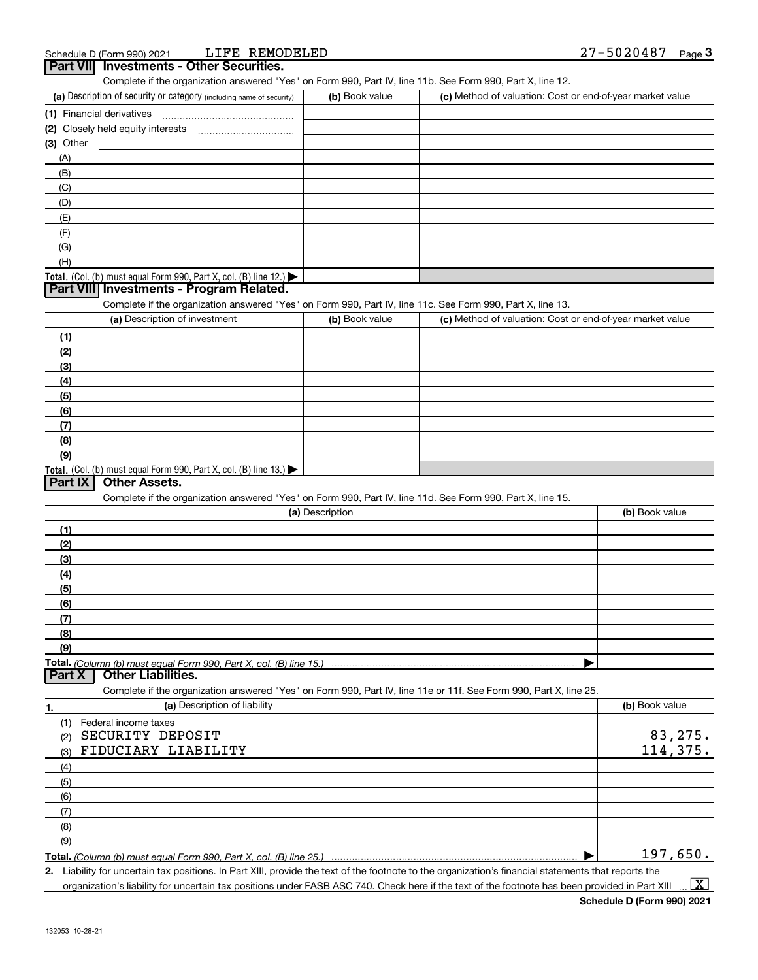| (a) Description of security or category (including name of security)                                              | (b) Book value  | (c) Method of valuation: Cost or end-of-year market value |                |
|-------------------------------------------------------------------------------------------------------------------|-----------------|-----------------------------------------------------------|----------------|
| (1) Financial derivatives                                                                                         |                 |                                                           |                |
| (2) Closely held equity interests                                                                                 |                 |                                                           |                |
| $(3)$ Other                                                                                                       |                 |                                                           |                |
| (A)                                                                                                               |                 |                                                           |                |
| (B)                                                                                                               |                 |                                                           |                |
| (C)                                                                                                               |                 |                                                           |                |
| (D)                                                                                                               |                 |                                                           |                |
| (E)                                                                                                               |                 |                                                           |                |
| (F)                                                                                                               |                 |                                                           |                |
| (G)                                                                                                               |                 |                                                           |                |
| (H)                                                                                                               |                 |                                                           |                |
| <b>Total.</b> (Col. (b) must equal Form 990, Part X, col. (B) line 12.)                                           |                 |                                                           |                |
| Part VIII Investments - Program Related.                                                                          |                 |                                                           |                |
| Complete if the organization answered "Yes" on Form 990, Part IV, line 11c. See Form 990, Part X, line 13.        |                 |                                                           |                |
| (a) Description of investment                                                                                     | (b) Book value  | (c) Method of valuation: Cost or end-of-year market value |                |
| (1)                                                                                                               |                 |                                                           |                |
| (2)                                                                                                               |                 |                                                           |                |
| (3)                                                                                                               |                 |                                                           |                |
| (4)                                                                                                               |                 |                                                           |                |
| (5)                                                                                                               |                 |                                                           |                |
| (6)                                                                                                               |                 |                                                           |                |
| (7)                                                                                                               |                 |                                                           |                |
| (8)                                                                                                               |                 |                                                           |                |
| (9)                                                                                                               |                 |                                                           |                |
| Total. (Col. (b) must equal Form 990, Part X, col. (B) line 13.)                                                  |                 |                                                           |                |
| <b>Other Assets.</b><br>Part IX                                                                                   |                 |                                                           |                |
| Complete if the organization answered "Yes" on Form 990, Part IV, line 11d. See Form 990, Part X, line 15.        |                 |                                                           |                |
|                                                                                                                   | (a) Description |                                                           | (b) Book value |
| (1)                                                                                                               |                 |                                                           |                |
| (2)                                                                                                               |                 |                                                           |                |
| (3)                                                                                                               |                 |                                                           |                |
|                                                                                                                   |                 |                                                           |                |
| (4)<br>(5)                                                                                                        |                 |                                                           |                |
| (6)                                                                                                               |                 |                                                           |                |
| (7)                                                                                                               |                 |                                                           |                |
| (8)                                                                                                               |                 |                                                           |                |
| (9)                                                                                                               |                 |                                                           |                |
|                                                                                                                   |                 |                                                           |                |
| <b>Other Liabilities.</b><br>Part X                                                                               |                 |                                                           |                |
| Complete if the organization answered "Yes" on Form 990, Part IV, line 11e or 11f. See Form 990, Part X, line 25. |                 |                                                           |                |
| (a) Description of liability<br>1.                                                                                |                 |                                                           | (b) Book value |
| (1)<br>Federal income taxes                                                                                       |                 |                                                           |                |
| SECURITY DEPOSIT<br>(2)                                                                                           |                 |                                                           | 83,275.        |
| FIDUCIARY LIABILITY<br>(3)                                                                                        |                 |                                                           | 114,375.       |
|                                                                                                                   |                 |                                                           |                |
| (4)                                                                                                               |                 |                                                           |                |
| (5)                                                                                                               |                 |                                                           |                |
|                                                                                                                   |                 |                                                           |                |
| (6)                                                                                                               |                 |                                                           |                |
| (7)                                                                                                               |                 |                                                           |                |
| (8)<br>(9)                                                                                                        |                 |                                                           |                |

*(Column (b) must equal Form 990, Part X, col. (B) line 25.)*

**2.** Liability for uncertain tax positions. In Part XIII, provide the text of the footnote to the organization's financial statements that reports the organization's liability for uncertain tax positions under FASB ASC 740. Check here if the text of the footnote has been provided in Part XIII  $\vert$  X  $\vert$ 

**Schedule D (Form 990) 2021**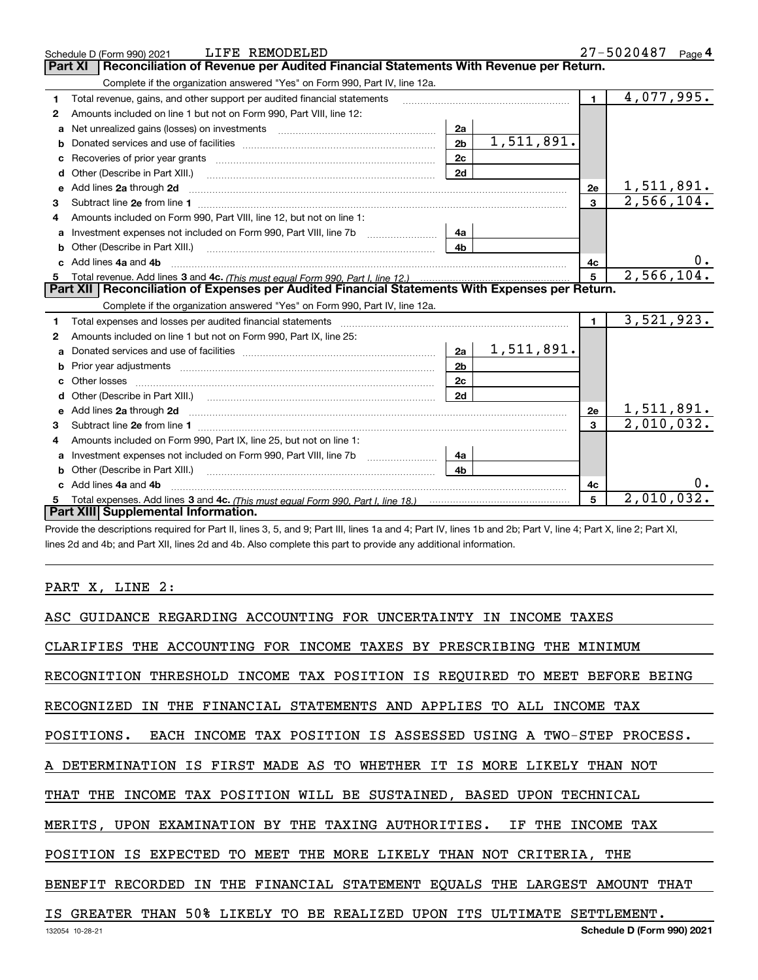|    | LIFE REMODELED<br>Schedule D (Form 990) 2021                                                                                                                                                                                       |                |  |  |  |  |            | 27-5020487     |   |  | Page 4                   |    |
|----|------------------------------------------------------------------------------------------------------------------------------------------------------------------------------------------------------------------------------------|----------------|--|--|--|--|------------|----------------|---|--|--------------------------|----|
|    | Reconciliation of Revenue per Audited Financial Statements With Revenue per Return.<br><b>Part XI</b>                                                                                                                              |                |  |  |  |  |            |                |   |  |                          |    |
|    | Complete if the organization answered "Yes" on Form 990, Part IV, line 12a.                                                                                                                                                        |                |  |  |  |  |            |                |   |  |                          |    |
| 1  | Total revenue, gains, and other support per audited financial statements                                                                                                                                                           |                |  |  |  |  |            | $\mathbf 1$    |   |  | 4,077,995.               |    |
| 2  | Amounts included on line 1 but not on Form 990, Part VIII, line 12:                                                                                                                                                                |                |  |  |  |  |            |                |   |  |                          |    |
| a  | Net unrealized gains (losses) on investments [11] matter contracts and the unrealized gains (losses) on investments                                                                                                                | 2a             |  |  |  |  |            |                |   |  |                          |    |
| b  |                                                                                                                                                                                                                                    | 2 <sub>b</sub> |  |  |  |  | 1,511,891. |                |   |  |                          |    |
| с  |                                                                                                                                                                                                                                    | 2c             |  |  |  |  |            |                |   |  |                          |    |
| d  | Other (Describe in Part XIII.)                                                                                                                                                                                                     | 2d             |  |  |  |  |            |                |   |  |                          |    |
| е  | Add lines 2a through 2d                                                                                                                                                                                                            |                |  |  |  |  |            | 2e             |   |  | 1, 511, 891.             |    |
| 3  |                                                                                                                                                                                                                                    |                |  |  |  |  |            | $\mathbf{R}$   |   |  | $\overline{2,566,104}$ . |    |
|    | Amounts included on Form 990, Part VIII, line 12, but not on line 1:                                                                                                                                                               |                |  |  |  |  |            |                |   |  |                          |    |
| a  |                                                                                                                                                                                                                                    | 4a             |  |  |  |  |            |                |   |  |                          |    |
| b  | Other (Describe in Part XIII.)                                                                                                                                                                                                     | 4 <sub>b</sub> |  |  |  |  |            |                |   |  |                          |    |
|    | Add lines 4a and 4b                                                                                                                                                                                                                |                |  |  |  |  |            | 4c             |   |  |                          | 0. |
| 5. |                                                                                                                                                                                                                                    |                |  |  |  |  |            |                | 5 |  | 2,566,104.               |    |
|    | Part XII   Reconciliation of Expenses per Audited Financial Statements With Expenses per Return.                                                                                                                                   |                |  |  |  |  |            |                |   |  |                          |    |
|    | Complete if the organization answered "Yes" on Form 990, Part IV, line 12a.                                                                                                                                                        |                |  |  |  |  |            |                |   |  |                          |    |
| 1  | Total expenses and losses per audited financial statements [11] [11] Total expenses and losses per audited financial statements [11] [11] Total expenses and losses per audited financial statements                               |                |  |  |  |  |            | $\blacksquare$ |   |  | 3,521,923.               |    |
| 2  | Amounts included on line 1 but not on Form 990, Part IX, line 25:                                                                                                                                                                  |                |  |  |  |  |            |                |   |  |                          |    |
| a  |                                                                                                                                                                                                                                    | 2a             |  |  |  |  | 1,511,891. |                |   |  |                          |    |
| b  |                                                                                                                                                                                                                                    | 2 <sub>b</sub> |  |  |  |  |            |                |   |  |                          |    |
| c  | Other losses                                                                                                                                                                                                                       | 2 <sub>c</sub> |  |  |  |  |            |                |   |  |                          |    |
|    |                                                                                                                                                                                                                                    | 2d             |  |  |  |  |            |                |   |  |                          |    |
| e  | Add lines 2a through 2d <b>manufactures</b> in the contract of the contract of the contract of the contract of the contract of the contract of the contract of the contract of the contract of the contract of the contract of the |                |  |  |  |  |            | 2e             |   |  | 1,511,891.               |    |
| з  |                                                                                                                                                                                                                                    |                |  |  |  |  |            | 3              |   |  | $\overline{2,010},032.$  |    |
| 4  | Amounts included on Form 990, Part IX, line 25, but not on line 1:                                                                                                                                                                 |                |  |  |  |  |            |                |   |  |                          |    |
| a  |                                                                                                                                                                                                                                    | 4a             |  |  |  |  |            |                |   |  |                          |    |
|    |                                                                                                                                                                                                                                    | 4b             |  |  |  |  |            |                |   |  |                          |    |
|    | Add lines 4a and 4b                                                                                                                                                                                                                |                |  |  |  |  |            | 4с             |   |  |                          |    |
|    |                                                                                                                                                                                                                                    |                |  |  |  |  |            | 5              |   |  | 2,010,032.               |    |
|    | Part XIII Supplemental Information.                                                                                                                                                                                                |                |  |  |  |  |            |                |   |  |                          |    |

Provide the descriptions required for Part II, lines 3, 5, and 9; Part III, lines 1a and 4; Part IV, lines 1b and 2b; Part V, line 4; Part X, line 2; Part XI, lines 2d and 4b; and Part XII, lines 2d and 4b. Also complete this part to provide any additional information.

<u> 1989 - Johann Barn, mars eta bainar eta idazlea (</u>

# PART X, LINE 2:

| ASC GUIDANCE REGARDING ACCOUNTING FOR UNCERTAINTY IN INCOME TAXES          |
|----------------------------------------------------------------------------|
| CLARIFIES THE ACCOUNTING FOR INCOME TAXES BY PRESCRIBING THE MINIMUM       |
| RECOGNITION THRESHOLD INCOME TAX POSITION IS REQUIRED TO MEET BEFORE BEING |
| RECOGNIZED IN THE FINANCIAL STATEMENTS AND APPLIES TO ALL INCOME TAX       |
| POSITIONS. EACH INCOME TAX POSITION IS ASSESSED USING A TWO-STEP PROCESS.  |
| A DETERMINATION IS FIRST MADE AS TO WHETHER IT IS MORE LIKELY THAN NOT     |
| THAT THE INCOME TAX POSITION WILL BE SUSTAINED, BASED UPON TECHNICAL       |
| MERITS, UPON EXAMINATION BY THE TAXING AUTHORITIES. IF THE INCOME TAX      |
| POSITION IS EXPECTED TO MEET THE MORE LIKELY THAN NOT CRITERIA, THE        |
| BENEFIT RECORDED IN THE FINANCIAL STATEMENT EQUALS THE LARGEST AMOUNT THAT |
| IS GREATER THAN 50% LIKELY TO BE REALIZED UPON ITS ULTIMATE SETTLEMENT.    |
| Schedule D (Form 990) 2021<br>132054 10-28-21                              |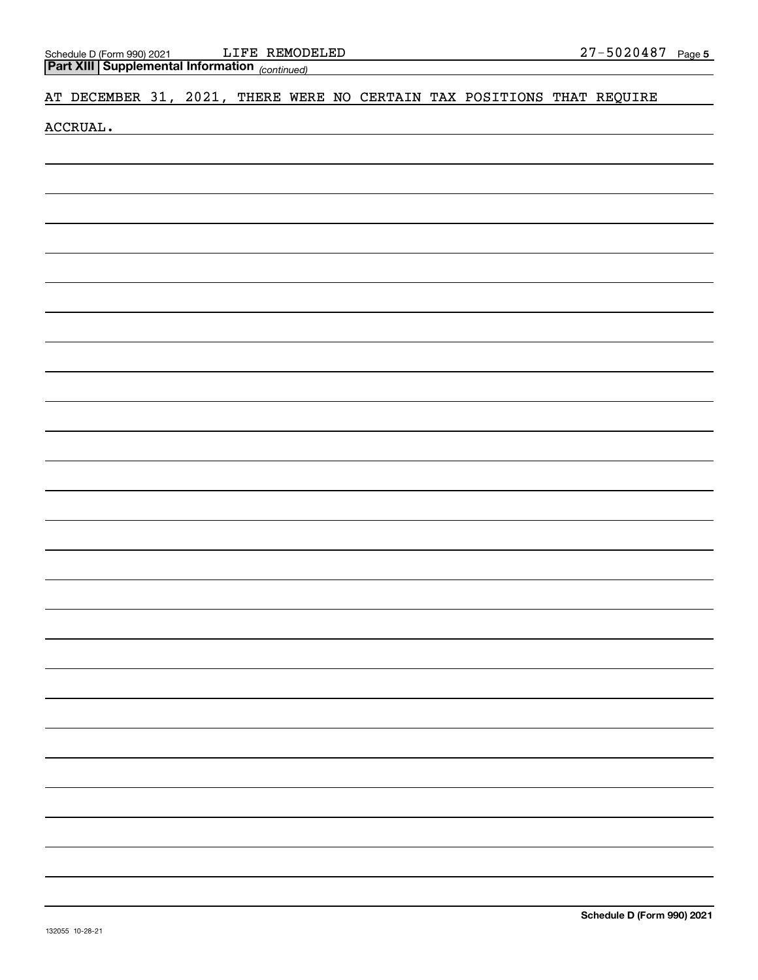| Schedule D (Form 990) 2021 | LIFE | REMODELED | -5020487<br><u>ר ה</u> | Page 5 |
|----------------------------|------|-----------|------------------------|--------|
|                            |      |           |                        |        |

| Part XIII Supplemental Information (continued) |  |  |  |  |  |  |  |  |                                                                        |  |
|------------------------------------------------|--|--|--|--|--|--|--|--|------------------------------------------------------------------------|--|
|                                                |  |  |  |  |  |  |  |  | AT DECEMBER 31, 2021, THERE WERE NO CERTAIN TAX POSITIONS THAT REQUIRE |  |
| ACCRUAL.                                       |  |  |  |  |  |  |  |  |                                                                        |  |
|                                                |  |  |  |  |  |  |  |  |                                                                        |  |
|                                                |  |  |  |  |  |  |  |  |                                                                        |  |
|                                                |  |  |  |  |  |  |  |  |                                                                        |  |
|                                                |  |  |  |  |  |  |  |  |                                                                        |  |
|                                                |  |  |  |  |  |  |  |  |                                                                        |  |
|                                                |  |  |  |  |  |  |  |  |                                                                        |  |
|                                                |  |  |  |  |  |  |  |  |                                                                        |  |
|                                                |  |  |  |  |  |  |  |  |                                                                        |  |
|                                                |  |  |  |  |  |  |  |  |                                                                        |  |
|                                                |  |  |  |  |  |  |  |  |                                                                        |  |
|                                                |  |  |  |  |  |  |  |  |                                                                        |  |
|                                                |  |  |  |  |  |  |  |  |                                                                        |  |
|                                                |  |  |  |  |  |  |  |  |                                                                        |  |
|                                                |  |  |  |  |  |  |  |  |                                                                        |  |
|                                                |  |  |  |  |  |  |  |  |                                                                        |  |
|                                                |  |  |  |  |  |  |  |  |                                                                        |  |
|                                                |  |  |  |  |  |  |  |  |                                                                        |  |
|                                                |  |  |  |  |  |  |  |  |                                                                        |  |
|                                                |  |  |  |  |  |  |  |  |                                                                        |  |
|                                                |  |  |  |  |  |  |  |  |                                                                        |  |
|                                                |  |  |  |  |  |  |  |  |                                                                        |  |
|                                                |  |  |  |  |  |  |  |  |                                                                        |  |
|                                                |  |  |  |  |  |  |  |  |                                                                        |  |
|                                                |  |  |  |  |  |  |  |  |                                                                        |  |
|                                                |  |  |  |  |  |  |  |  |                                                                        |  |
|                                                |  |  |  |  |  |  |  |  |                                                                        |  |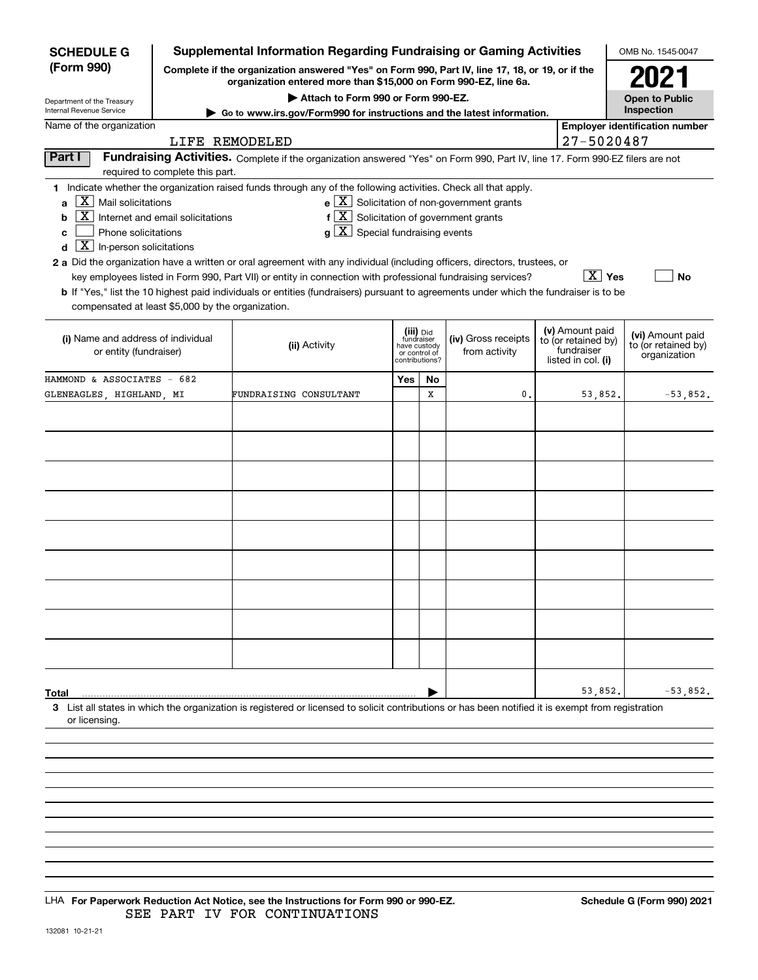| <b>SCHEDULE G</b>                                                                                                          |                                                                                                                                                                                                                                                          | Supplemental Information Regarding Fundraising or Gaming Activities                                                                                                                                                                                                                                                                                                                                                                                                                                                                                                                       |     |    |                                                                            |                                                         | OMB No. 1545-0047     |  |  |
|----------------------------------------------------------------------------------------------------------------------------|----------------------------------------------------------------------------------------------------------------------------------------------------------------------------------------------------------------------------------------------------------|-------------------------------------------------------------------------------------------------------------------------------------------------------------------------------------------------------------------------------------------------------------------------------------------------------------------------------------------------------------------------------------------------------------------------------------------------------------------------------------------------------------------------------------------------------------------------------------------|-----|----|----------------------------------------------------------------------------|---------------------------------------------------------|-----------------------|--|--|
| (Form 990)                                                                                                                 |                                                                                                                                                                                                                                                          | Complete if the organization answered "Yes" on Form 990, Part IV, line 17, 18, or 19, or if the<br>organization entered more than \$15,000 on Form 990-EZ, line 6a.                                                                                                                                                                                                                                                                                                                                                                                                                       |     |    |                                                                            |                                                         | 2021                  |  |  |
| Department of the Treasury                                                                                                 |                                                                                                                                                                                                                                                          | Attach to Form 990 or Form 990-EZ.                                                                                                                                                                                                                                                                                                                                                                                                                                                                                                                                                        |     |    |                                                                            |                                                         | <b>Open to Public</b> |  |  |
| Internal Revenue Service                                                                                                   |                                                                                                                                                                                                                                                          | ► Go to www.irs.gov/Form990 for instructions and the latest information.                                                                                                                                                                                                                                                                                                                                                                                                                                                                                                                  |     |    |                                                                            |                                                         | Inspection            |  |  |
| Name of the organization                                                                                                   |                                                                                                                                                                                                                                                          |                                                                                                                                                                                                                                                                                                                                                                                                                                                                                                                                                                                           |     |    |                                                                            | <b>Employer identification number</b>                   |                       |  |  |
|                                                                                                                            | LIFE REMODELED                                                                                                                                                                                                                                           |                                                                                                                                                                                                                                                                                                                                                                                                                                                                                                                                                                                           |     |    |                                                                            | 27-5020487                                              |                       |  |  |
| Part I                                                                                                                     | required to complete this part.                                                                                                                                                                                                                          | Fundraising Activities. Complete if the organization answered "Yes" on Form 990, Part IV, line 17. Form 990-EZ filers are not                                                                                                                                                                                                                                                                                                                                                                                                                                                             |     |    |                                                                            |                                                         |                       |  |  |
| $\overline{X}$ Mail solicitations<br>a<br>b<br>Phone solicitations<br>c<br>$\boxed{\text{X}}$ In-person solicitations<br>d | Internet and email solicitations                                                                                                                                                                                                                         | 1 Indicate whether the organization raised funds through any of the following activities. Check all that apply.<br>$f[X]$ Solicitation of government grants<br>$g\mid X$ Special fundraising events<br>2 a Did the organization have a written or oral agreement with any individual (including officers, directors, trustees, or<br>key employees listed in Form 990, Part VII) or entity in connection with professional fundraising services?<br>b If "Yes," list the 10 highest paid individuals or entities (fundraisers) pursuant to agreements under which the fundraiser is to be |     |    | $\mathbf{e} \times \mathbf{X}$ Solicitation of non-government grants       | $\boxed{\text{X}}$ Yes                                  | No                    |  |  |
|                                                                                                                            | compensated at least \$5,000 by the organization.<br>(iii) Did<br>(i) Name and address of individual<br>(iv) Gross receipts<br>fundraiser<br>(ii) Activity<br>have custody<br>or entity (fundraiser)<br>from activity<br>or control of<br>contributions? |                                                                                                                                                                                                                                                                                                                                                                                                                                                                                                                                                                                           |     |    | (v) Amount paid<br>to (or retained by)<br>fundraiser<br>listed in col. (i) | (vi) Amount paid<br>to (or retained by)<br>organization |                       |  |  |
| HAMMOND & ASSOCIATES - 682                                                                                                 |                                                                                                                                                                                                                                                          |                                                                                                                                                                                                                                                                                                                                                                                                                                                                                                                                                                                           | Yes | No |                                                                            |                                                         |                       |  |  |
| GLENEAGLES, HIGHLAND, MI                                                                                                   |                                                                                                                                                                                                                                                          | FUNDRAISING CONSULTANT                                                                                                                                                                                                                                                                                                                                                                                                                                                                                                                                                                    |     | X  | $\mathbf 0$ .                                                              | 53,852.                                                 | $-53,852.$            |  |  |
|                                                                                                                            |                                                                                                                                                                                                                                                          |                                                                                                                                                                                                                                                                                                                                                                                                                                                                                                                                                                                           |     |    |                                                                            |                                                         |                       |  |  |
| Total<br>or licensing.                                                                                                     |                                                                                                                                                                                                                                                          | 3 List all states in which the organization is registered or licensed to solicit contributions or has been notified it is exempt from registration                                                                                                                                                                                                                                                                                                                                                                                                                                        |     |    |                                                                            | 53,852.                                                 | $-53,852.$            |  |  |
|                                                                                                                            |                                                                                                                                                                                                                                                          |                                                                                                                                                                                                                                                                                                                                                                                                                                                                                                                                                                                           |     |    |                                                                            |                                                         |                       |  |  |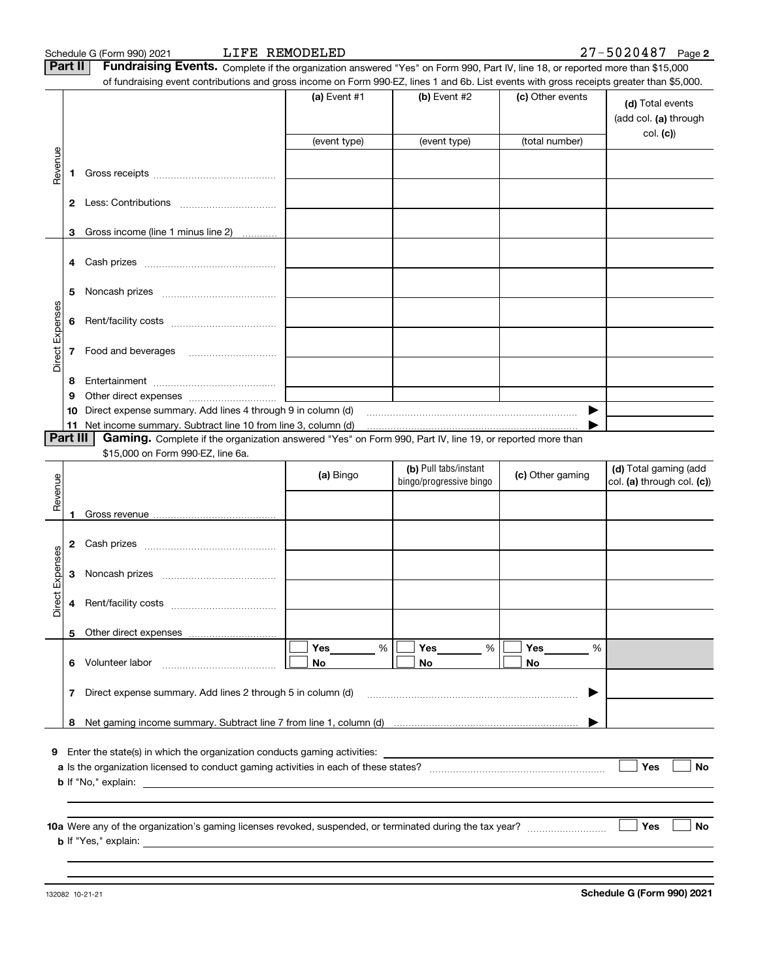LIFE REMODELED

**Part II** | Fundraising Events. Complete if the organization answered "Yes" on Form 990, Part IV, line 18, or reported more than \$15,000

|                 |          | of fundraising event contributions and gross income on Form 990-EZ, lines 1 and 6b. List events with gross receipts greater than \$5,000.                                                                                                 |                |                                                  |                  |                                                     |
|-----------------|----------|-------------------------------------------------------------------------------------------------------------------------------------------------------------------------------------------------------------------------------------------|----------------|--------------------------------------------------|------------------|-----------------------------------------------------|
|                 |          |                                                                                                                                                                                                                                           | (a) Event #1   | (b) Event #2                                     | (c) Other events | (d) Total events<br>(add col. (a) through           |
|                 |          |                                                                                                                                                                                                                                           | (event type)   | (event type)                                     | (total number)   | col. (c)                                            |
| Revenue         |          |                                                                                                                                                                                                                                           |                |                                                  |                  |                                                     |
|                 |          |                                                                                                                                                                                                                                           |                |                                                  |                  |                                                     |
|                 |          |                                                                                                                                                                                                                                           |                |                                                  |                  |                                                     |
|                 |          |                                                                                                                                                                                                                                           |                |                                                  |                  |                                                     |
|                 | 3        | Gross income (line 1 minus line 2)                                                                                                                                                                                                        |                |                                                  |                  |                                                     |
|                 |          |                                                                                                                                                                                                                                           |                |                                                  |                  |                                                     |
|                 |          |                                                                                                                                                                                                                                           |                |                                                  |                  |                                                     |
|                 |          |                                                                                                                                                                                                                                           |                |                                                  |                  |                                                     |
|                 | 5        |                                                                                                                                                                                                                                           |                |                                                  |                  |                                                     |
| Direct Expenses | 6        |                                                                                                                                                                                                                                           |                |                                                  |                  |                                                     |
|                 |          |                                                                                                                                                                                                                                           |                |                                                  |                  |                                                     |
|                 |          | 7 Food and beverages                                                                                                                                                                                                                      |                |                                                  |                  |                                                     |
|                 |          |                                                                                                                                                                                                                                           |                |                                                  |                  |                                                     |
|                 | 8<br>9   |                                                                                                                                                                                                                                           |                |                                                  |                  |                                                     |
|                 | 10       | Direct expense summary. Add lines 4 through 9 in column (d)                                                                                                                                                                               |                |                                                  |                  |                                                     |
|                 |          | 11 Net income summary. Subtract line 10 from line 3, column (d)                                                                                                                                                                           |                |                                                  |                  |                                                     |
|                 | Part III | Gaming. Complete if the organization answered "Yes" on Form 990, Part IV, line 19, or reported more than                                                                                                                                  |                |                                                  |                  |                                                     |
|                 |          | \$15,000 on Form 990-EZ, line 6a.                                                                                                                                                                                                         |                |                                                  |                  |                                                     |
|                 |          |                                                                                                                                                                                                                                           | (a) Bingo      | (b) Pull tabs/instant<br>bingo/progressive bingo | (c) Other gaming | (d) Total gaming (add<br>col. (a) through col. (c)) |
| Revenue         |          |                                                                                                                                                                                                                                           |                |                                                  |                  |                                                     |
|                 | 1        |                                                                                                                                                                                                                                           |                |                                                  |                  |                                                     |
|                 |          |                                                                                                                                                                                                                                           |                |                                                  |                  |                                                     |
|                 |          |                                                                                                                                                                                                                                           |                |                                                  |                  |                                                     |
| Expenses        | 3        |                                                                                                                                                                                                                                           |                |                                                  |                  |                                                     |
|                 |          |                                                                                                                                                                                                                                           |                |                                                  |                  |                                                     |
| Direct          | 4        |                                                                                                                                                                                                                                           |                |                                                  |                  |                                                     |
|                 |          |                                                                                                                                                                                                                                           |                |                                                  |                  |                                                     |
|                 |          | 5 Other direct expenses                                                                                                                                                                                                                   |                |                                                  |                  |                                                     |
|                 |          | 6 Volunteer labor                                                                                                                                                                                                                         | %<br>Yes<br>No | %<br>Yes<br>No                                   | Yes<br>%<br>No   |                                                     |
|                 |          |                                                                                                                                                                                                                                           |                |                                                  |                  |                                                     |
|                 |          | 7 Direct expense summary. Add lines 2 through 5 in column (d)                                                                                                                                                                             |                |                                                  | ▶                |                                                     |
|                 |          |                                                                                                                                                                                                                                           |                |                                                  |                  |                                                     |
|                 |          |                                                                                                                                                                                                                                           |                |                                                  |                  |                                                     |
| 9               |          | Enter the state(s) in which the organization conducts gaming activities:                                                                                                                                                                  |                |                                                  |                  |                                                     |
|                 |          |                                                                                                                                                                                                                                           |                |                                                  |                  | Yes<br>No                                           |
|                 |          | <b>b</b> If "No," explain: <u>example and the set of the set of the set of the set of the set of the set of the set of the set of the set of the set of the set of the set of the set of the set of the set of the set of the set of </u> |                |                                                  |                  |                                                     |
|                 |          |                                                                                                                                                                                                                                           |                |                                                  |                  |                                                     |
|                 |          |                                                                                                                                                                                                                                           |                |                                                  |                  |                                                     |
|                 |          |                                                                                                                                                                                                                                           |                |                                                  |                  | Yes<br>No                                           |
|                 |          |                                                                                                                                                                                                                                           |                |                                                  |                  |                                                     |
|                 |          |                                                                                                                                                                                                                                           |                |                                                  |                  |                                                     |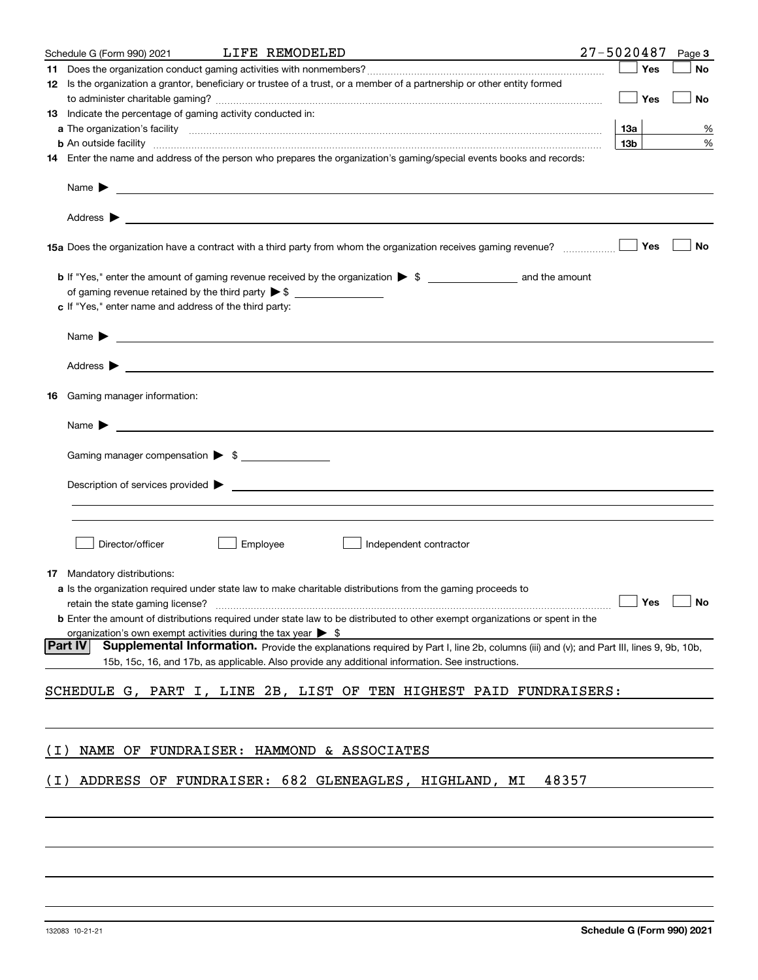|       | LIFE REMODELED<br>Schedule G (Form 990) 2021                                                                                                                                                                                              | 27-5020487      |     | Page 3               |
|-------|-------------------------------------------------------------------------------------------------------------------------------------------------------------------------------------------------------------------------------------------|-----------------|-----|----------------------|
|       |                                                                                                                                                                                                                                           |                 | Yes | No                   |
|       | 12 Is the organization a grantor, beneficiary or trustee of a trust, or a member of a partnership or other entity formed                                                                                                                  |                 |     |                      |
|       |                                                                                                                                                                                                                                           |                 | Yes | No                   |
|       | 13 Indicate the percentage of gaming activity conducted in:                                                                                                                                                                               |                 |     |                      |
|       |                                                                                                                                                                                                                                           | 13а             |     | %                    |
|       | <b>b</b> An outside facility <b>contained an according to the contract of the contract of the contract of the contract of the contract of the contract of the contract of the contract of the contract of the contract of the contrac</b> | 13 <sub>b</sub> |     | %                    |
|       | 14 Enter the name and address of the person who prepares the organization's gaming/special events books and records:                                                                                                                      |                 |     |                      |
|       |                                                                                                                                                                                                                                           |                 |     |                      |
|       | Name $\blacktriangleright$<br><u> 1989 - Johann Barbara, martin amerikan basal dan berasal dan berasal dan berasal dari berasal dan berasal dan</u>                                                                                       |                 |     |                      |
|       |                                                                                                                                                                                                                                           |                 |     |                      |
|       |                                                                                                                                                                                                                                           |                 | Yes | <b>No</b>            |
|       |                                                                                                                                                                                                                                           |                 |     |                      |
|       | of gaming revenue retained by the third party $\triangleright$ \$                                                                                                                                                                         |                 |     |                      |
|       | c If "Yes," enter name and address of the third party:                                                                                                                                                                                    |                 |     |                      |
|       |                                                                                                                                                                                                                                           |                 |     |                      |
|       | Name $\blacktriangleright$ $\bot$                                                                                                                                                                                                         |                 |     |                      |
|       |                                                                                                                                                                                                                                           |                 |     |                      |
| 16    | Gaming manager information:                                                                                                                                                                                                               |                 |     |                      |
|       |                                                                                                                                                                                                                                           |                 |     |                      |
|       | $Name \rightarrow$                                                                                                                                                                                                                        |                 |     |                      |
|       |                                                                                                                                                                                                                                           |                 |     |                      |
|       | Gaming manager compensation > \$                                                                                                                                                                                                          |                 |     |                      |
|       |                                                                                                                                                                                                                                           |                 |     |                      |
|       | $\blacksquare$ Description of services provided $\blacktriangleright$                                                                                                                                                                     |                 |     |                      |
|       |                                                                                                                                                                                                                                           |                 |     |                      |
|       |                                                                                                                                                                                                                                           |                 |     |                      |
|       | Director/officer<br>Employee<br>Independent contractor                                                                                                                                                                                    |                 |     |                      |
|       |                                                                                                                                                                                                                                           |                 |     |                      |
|       | <b>17</b> Mandatory distributions:                                                                                                                                                                                                        |                 |     |                      |
|       | a Is the organization required under state law to make charitable distributions from the gaming proceeds to                                                                                                                               |                 |     |                      |
|       | retain the state gaming license?                                                                                                                                                                                                          |                 |     | $\Box$ Yes $\Box$ No |
|       | <b>b</b> Enter the amount of distributions required under state law to be distributed to other exempt organizations or spent in the                                                                                                       |                 |     |                      |
|       | organization's own exempt activities during the tax year $\triangleright$ \$                                                                                                                                                              |                 |     |                      |
|       | <b>Part IV</b><br><b>Supplemental Information.</b> Provide the explanations required by Part I, line 2b, columns (iii) and (v); and Part III, lines 9, 9b, 10b,                                                                           |                 |     |                      |
|       | 15b, 15c, 16, and 17b, as applicable. Also provide any additional information. See instructions.                                                                                                                                          |                 |     |                      |
|       |                                                                                                                                                                                                                                           |                 |     |                      |
|       | SCHEDULE G, PART I, LINE 2B, LIST OF TEN HIGHEST PAID FUNDRAISERS:                                                                                                                                                                        |                 |     |                      |
|       |                                                                                                                                                                                                                                           |                 |     |                      |
|       |                                                                                                                                                                                                                                           |                 |     |                      |
| ( I ) | NAME OF FUNDRAISER: HAMMOND & ASSOCIATES                                                                                                                                                                                                  |                 |     |                      |
|       |                                                                                                                                                                                                                                           |                 |     |                      |
| ( I ) | ADDRESS OF FUNDRAISER: 682 GLENEAGLES, HIGHLAND, MI<br>48357                                                                                                                                                                              |                 |     |                      |
|       |                                                                                                                                                                                                                                           |                 |     |                      |
|       |                                                                                                                                                                                                                                           |                 |     |                      |
|       |                                                                                                                                                                                                                                           |                 |     |                      |
|       |                                                                                                                                                                                                                                           |                 |     |                      |
|       |                                                                                                                                                                                                                                           |                 |     |                      |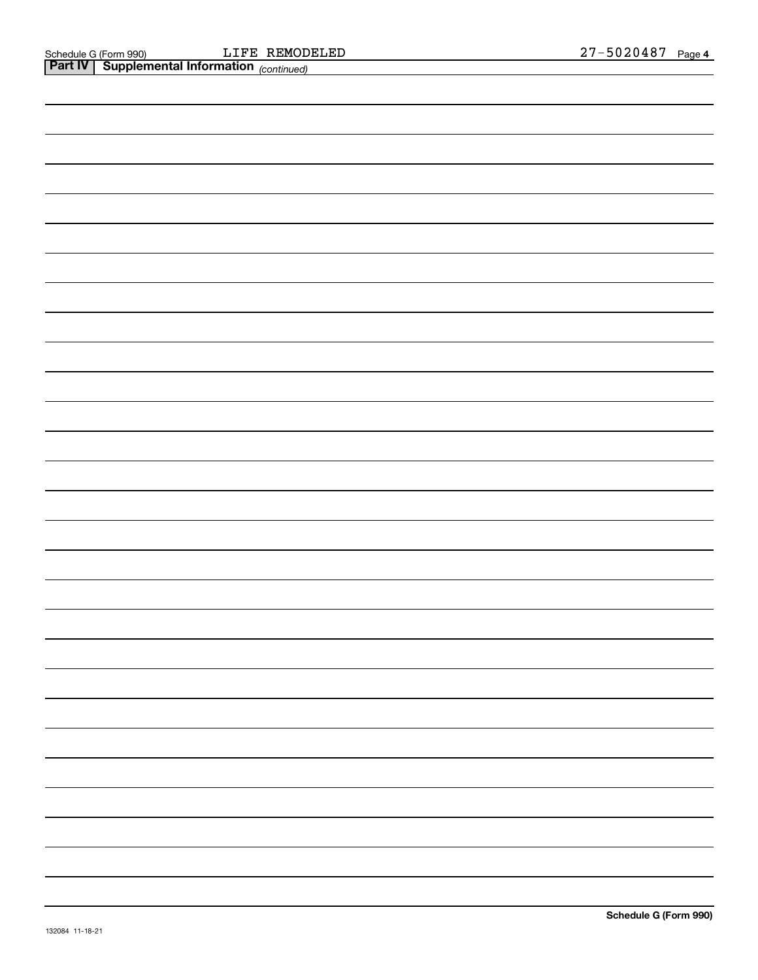| <b>Part IV</b> Supplemental Information (continued) |  |
|-----------------------------------------------------|--|
|                                                     |  |
|                                                     |  |
|                                                     |  |
|                                                     |  |
|                                                     |  |
|                                                     |  |
|                                                     |  |
|                                                     |  |
|                                                     |  |
|                                                     |  |
|                                                     |  |
|                                                     |  |
|                                                     |  |
|                                                     |  |
|                                                     |  |
|                                                     |  |
|                                                     |  |
|                                                     |  |
|                                                     |  |
|                                                     |  |
|                                                     |  |
|                                                     |  |
|                                                     |  |
|                                                     |  |
|                                                     |  |
|                                                     |  |
|                                                     |  |
|                                                     |  |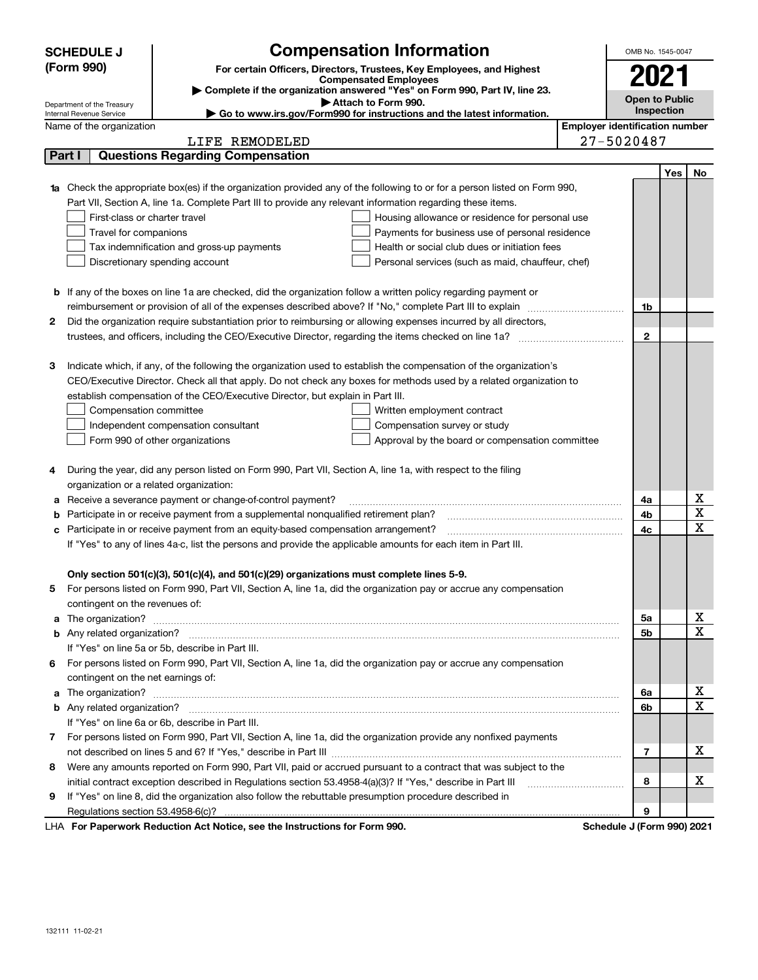|    | <b>SCHEDULE J</b>                       | <b>Compensation Information</b>                                                                                                                                                                                                      |  | OMB No. 1545-0047                     |            |             |  |  |  |
|----|-----------------------------------------|--------------------------------------------------------------------------------------------------------------------------------------------------------------------------------------------------------------------------------------|--|---------------------------------------|------------|-------------|--|--|--|
|    | (Form 990)                              | For certain Officers, Directors, Trustees, Key Employees, and Highest                                                                                                                                                                |  |                                       |            |             |  |  |  |
|    |                                         | <b>Compensated Employees</b>                                                                                                                                                                                                         |  |                                       | 2021       |             |  |  |  |
|    | Department of the Treasury              | Complete if the organization answered "Yes" on Form 990, Part IV, line 23.<br>Attach to Form 990.                                                                                                                                    |  | <b>Open to Public</b>                 |            |             |  |  |  |
|    | Internal Revenue Service                | ► Go to www.irs.gov/Form990 for instructions and the latest information.                                                                                                                                                             |  |                                       | Inspection |             |  |  |  |
|    | Name of the organization                |                                                                                                                                                                                                                                      |  | <b>Employer identification number</b> |            |             |  |  |  |
|    |                                         | LIFE REMODELED                                                                                                                                                                                                                       |  | 27-5020487                            |            |             |  |  |  |
|    | Part I                                  | <b>Questions Regarding Compensation</b>                                                                                                                                                                                              |  |                                       |            |             |  |  |  |
|    |                                         |                                                                                                                                                                                                                                      |  |                                       | Yes        | No          |  |  |  |
| 1a |                                         | Check the appropriate box(es) if the organization provided any of the following to or for a person listed on Form 990,                                                                                                               |  |                                       |            |             |  |  |  |
|    |                                         | Part VII, Section A, line 1a. Complete Part III to provide any relevant information regarding these items.                                                                                                                           |  |                                       |            |             |  |  |  |
|    | First-class or charter travel           | Housing allowance or residence for personal use                                                                                                                                                                                      |  |                                       |            |             |  |  |  |
|    | Travel for companions                   | Payments for business use of personal residence                                                                                                                                                                                      |  |                                       |            |             |  |  |  |
|    |                                         | Health or social club dues or initiation fees<br>Tax indemnification and gross-up payments                                                                                                                                           |  |                                       |            |             |  |  |  |
|    |                                         | Discretionary spending account<br>Personal services (such as maid, chauffeur, chef)                                                                                                                                                  |  |                                       |            |             |  |  |  |
|    |                                         |                                                                                                                                                                                                                                      |  |                                       |            |             |  |  |  |
|    |                                         | <b>b</b> If any of the boxes on line 1a are checked, did the organization follow a written policy regarding payment or                                                                                                               |  |                                       |            |             |  |  |  |
|    |                                         | reimbursement or provision of all of the expenses described above? If "No," complete Part III to explain                                                                                                                             |  | 1b                                    |            |             |  |  |  |
| 2  |                                         | Did the organization require substantiation prior to reimbursing or allowing expenses incurred by all directors,                                                                                                                     |  |                                       |            |             |  |  |  |
|    |                                         |                                                                                                                                                                                                                                      |  | $\mathbf{2}$                          |            |             |  |  |  |
|    |                                         |                                                                                                                                                                                                                                      |  |                                       |            |             |  |  |  |
| з  |                                         | Indicate which, if any, of the following the organization used to establish the compensation of the organization's                                                                                                                   |  |                                       |            |             |  |  |  |
|    |                                         | CEO/Executive Director. Check all that apply. Do not check any boxes for methods used by a related organization to                                                                                                                   |  |                                       |            |             |  |  |  |
|    |                                         | establish compensation of the CEO/Executive Director, but explain in Part III.                                                                                                                                                       |  |                                       |            |             |  |  |  |
|    | Compensation committee                  | Written employment contract                                                                                                                                                                                                          |  |                                       |            |             |  |  |  |
|    |                                         | Compensation survey or study<br>Independent compensation consultant                                                                                                                                                                  |  |                                       |            |             |  |  |  |
|    |                                         | Form 990 of other organizations<br>Approval by the board or compensation committee                                                                                                                                                   |  |                                       |            |             |  |  |  |
|    |                                         |                                                                                                                                                                                                                                      |  |                                       |            |             |  |  |  |
| 4  |                                         | During the year, did any person listed on Form 990, Part VII, Section A, line 1a, with respect to the filing                                                                                                                         |  |                                       |            |             |  |  |  |
|    | organization or a related organization: |                                                                                                                                                                                                                                      |  |                                       |            |             |  |  |  |
| а  |                                         | Receive a severance payment or change-of-control payment?                                                                                                                                                                            |  | 4a                                    |            | х           |  |  |  |
| b  |                                         | Participate in or receive payment from a supplemental nonqualified retirement plan?                                                                                                                                                  |  | 4b                                    |            | X           |  |  |  |
| с  |                                         | Participate in or receive payment from an equity-based compensation arrangement?                                                                                                                                                     |  | 4с                                    |            | X           |  |  |  |
|    |                                         | If "Yes" to any of lines 4a-c, list the persons and provide the applicable amounts for each item in Part III.                                                                                                                        |  |                                       |            |             |  |  |  |
|    |                                         |                                                                                                                                                                                                                                      |  |                                       |            |             |  |  |  |
|    |                                         | Only section 501(c)(3), 501(c)(4), and 501(c)(29) organizations must complete lines 5-9.                                                                                                                                             |  |                                       |            |             |  |  |  |
|    |                                         | For persons listed on Form 990, Part VII, Section A, line 1a, did the organization pay or accrue any compensation                                                                                                                    |  |                                       |            |             |  |  |  |
|    | contingent on the revenues of:          |                                                                                                                                                                                                                                      |  |                                       |            |             |  |  |  |
| a  |                                         | The organization? <b>With the contract of the contract of the contract of the contract of the contract of the contract of the contract of the contract of the contract of the contract of the contract of the contract of the co</b> |  | 5a                                    |            | х           |  |  |  |
|    |                                         |                                                                                                                                                                                                                                      |  | 5b                                    |            | X           |  |  |  |
|    |                                         | If "Yes" on line 5a or 5b, describe in Part III.                                                                                                                                                                                     |  |                                       |            |             |  |  |  |
| 6  |                                         | For persons listed on Form 990, Part VII, Section A, line 1a, did the organization pay or accrue any compensation                                                                                                                    |  |                                       |            |             |  |  |  |
|    | contingent on the net earnings of:      |                                                                                                                                                                                                                                      |  |                                       |            |             |  |  |  |
| a  |                                         |                                                                                                                                                                                                                                      |  | 6a                                    |            | х           |  |  |  |
|    |                                         |                                                                                                                                                                                                                                      |  | 6b                                    |            | $\mathbf X$ |  |  |  |
|    |                                         | If "Yes" on line 6a or 6b, describe in Part III.                                                                                                                                                                                     |  |                                       |            |             |  |  |  |
| 7  |                                         | For persons listed on Form 990, Part VII, Section A, line 1a, did the organization provide any nonfixed payments                                                                                                                     |  |                                       |            |             |  |  |  |
|    |                                         |                                                                                                                                                                                                                                      |  | $\overline{7}$                        |            | х           |  |  |  |
| 8  |                                         | Were any amounts reported on Form 990, Part VII, paid or accrued pursuant to a contract that was subject to the                                                                                                                      |  |                                       |            |             |  |  |  |
|    |                                         | initial contract exception described in Regulations section 53.4958-4(a)(3)? If "Yes," describe in Part III                                                                                                                          |  | 8                                     |            | х           |  |  |  |
| 9  |                                         | If "Yes" on line 8, did the organization also follow the rebuttable presumption procedure described in                                                                                                                               |  |                                       |            |             |  |  |  |
|    |                                         |                                                                                                                                                                                                                                      |  | 9                                     |            |             |  |  |  |
|    |                                         | LHA For Departments Reduction Act Notice, and the Instructions for Form 000                                                                                                                                                          |  | Cohodule I (Form 000) 2004            |            |             |  |  |  |

LHA For Paperwork Reduction Act Notice, see the Instructions for Form 990. Schedule J (Form 990) 2021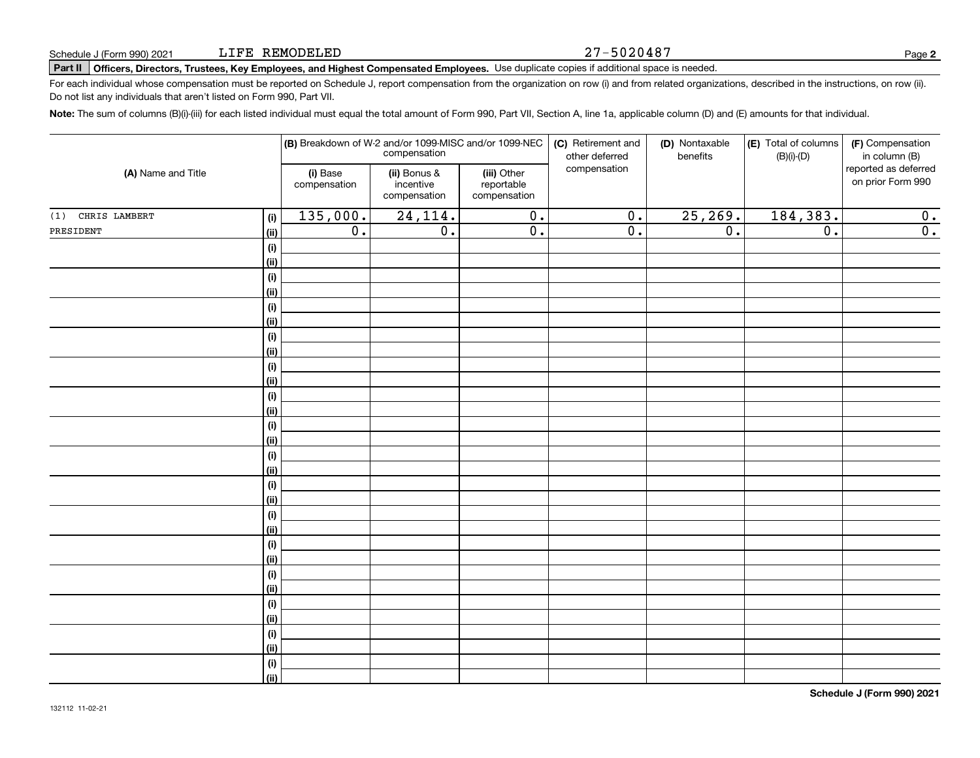#### 27-5020487

# **Part II Officers, Directors, Trustees, Key Employees, and Highest Compensated Employees.**  Schedule J (Form 990) 2021 Page Use duplicate copies if additional space is needed.

For each individual whose compensation must be reported on Schedule J, report compensation from the organization on row (i) and from related organizations, described in the instructions, on row (ii). Do not list any individuals that aren't listed on Form 990, Part VII.

**Note:**  The sum of columns (B)(i)-(iii) for each listed individual must equal the total amount of Form 990, Part VII, Section A, line 1a, applicable column (D) and (E) amounts for that individual.

| (A) Name and Title |                              |                                                                       |                  | (B) Breakdown of W-2 and/or 1099-MISC and/or 1099-NEC<br>compensation | (C) Retirement and<br>other deferred | (D) Nontaxable<br>benefits | (E) Total of columns<br>$(B)(i)-(D)$ | (F) Compensation<br>in column (B)         |  |
|--------------------|------------------------------|-----------------------------------------------------------------------|------------------|-----------------------------------------------------------------------|--------------------------------------|----------------------------|--------------------------------------|-------------------------------------------|--|
|                    |                              | (i) Base<br>(ii) Bonus &<br>incentive<br>compensation<br>compensation |                  | (iii) Other<br>reportable<br>compensation                             | compensation                         |                            |                                      | reported as deferred<br>on prior Form 990 |  |
| (1) CHRIS LAMBERT  | (i)                          | 135,000.                                                              | 24, 114.         | $\overline{0}$ .                                                      | $\overline{0}$ .                     | 25, 269.                   | 184,383.                             | 0.                                        |  |
| PRESIDENT          | (ii)                         | $\overline{0}$ .                                                      | $\overline{0}$ . | $\overline{0}$ .                                                      | $\overline{0}$ .                     | $\overline{0}$ .           | $\overline{0}$ .                     | $\overline{0}$ .                          |  |
|                    | $(\sf{i})$                   |                                                                       |                  |                                                                       |                                      |                            |                                      |                                           |  |
|                    | (ii)                         |                                                                       |                  |                                                                       |                                      |                            |                                      |                                           |  |
|                    | $(\sf{i})$                   |                                                                       |                  |                                                                       |                                      |                            |                                      |                                           |  |
|                    | (ii)                         |                                                                       |                  |                                                                       |                                      |                            |                                      |                                           |  |
|                    | $(\sf{i})$                   |                                                                       |                  |                                                                       |                                      |                            |                                      |                                           |  |
|                    | (ii)                         |                                                                       |                  |                                                                       |                                      |                            |                                      |                                           |  |
|                    | $(\sf{i})$                   |                                                                       |                  |                                                                       |                                      |                            |                                      |                                           |  |
|                    | (ii)                         |                                                                       |                  |                                                                       |                                      |                            |                                      |                                           |  |
|                    | $\qquad \qquad \textbf{(i)}$ |                                                                       |                  |                                                                       |                                      |                            |                                      |                                           |  |
|                    | (ii)                         |                                                                       |                  |                                                                       |                                      |                            |                                      |                                           |  |
|                    | $\qquad \qquad \textbf{(i)}$ |                                                                       |                  |                                                                       |                                      |                            |                                      |                                           |  |
|                    | (ii)                         |                                                                       |                  |                                                                       |                                      |                            |                                      |                                           |  |
|                    | $(\sf{i})$                   |                                                                       |                  |                                                                       |                                      |                            |                                      |                                           |  |
|                    | (ii)                         |                                                                       |                  |                                                                       |                                      |                            |                                      |                                           |  |
|                    | $(\sf{i})$                   |                                                                       |                  |                                                                       |                                      |                            |                                      |                                           |  |
|                    | (ii)                         |                                                                       |                  |                                                                       |                                      |                            |                                      |                                           |  |
|                    | $(\sf{i})$                   |                                                                       |                  |                                                                       |                                      |                            |                                      |                                           |  |
|                    | (ii)<br>$(\sf{i})$           |                                                                       |                  |                                                                       |                                      |                            |                                      |                                           |  |
|                    | (ii)                         |                                                                       |                  |                                                                       |                                      |                            |                                      |                                           |  |
|                    | $(\sf{i})$                   |                                                                       |                  |                                                                       |                                      |                            |                                      |                                           |  |
|                    | (ii)                         |                                                                       |                  |                                                                       |                                      |                            |                                      |                                           |  |
|                    | $(\sf{i})$                   |                                                                       |                  |                                                                       |                                      |                            |                                      |                                           |  |
|                    | (ii)                         |                                                                       |                  |                                                                       |                                      |                            |                                      |                                           |  |
|                    | $(\sf{i})$                   |                                                                       |                  |                                                                       |                                      |                            |                                      |                                           |  |
|                    | (ii)                         |                                                                       |                  |                                                                       |                                      |                            |                                      |                                           |  |
|                    | $(\sf{i})$                   |                                                                       |                  |                                                                       |                                      |                            |                                      |                                           |  |
|                    | (ii)                         |                                                                       |                  |                                                                       |                                      |                            |                                      |                                           |  |
|                    | $(\sf{i})$                   |                                                                       |                  |                                                                       |                                      |                            |                                      |                                           |  |
|                    | (ii)                         |                                                                       |                  |                                                                       |                                      |                            |                                      |                                           |  |
|                    |                              |                                                                       |                  |                                                                       |                                      |                            |                                      |                                           |  |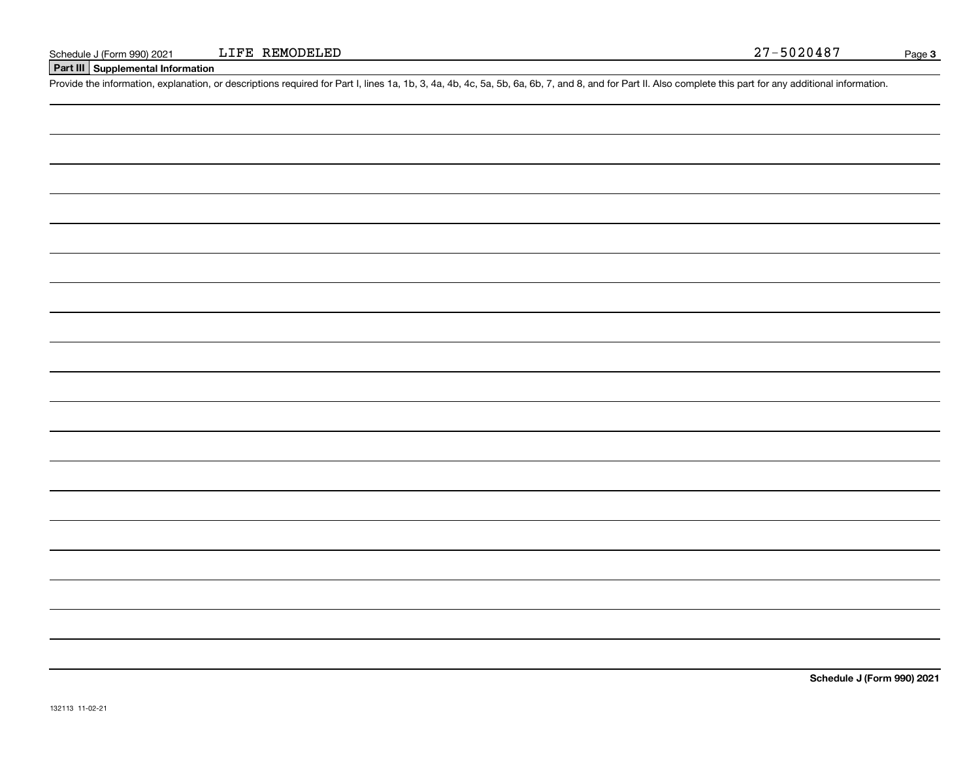# **Part III Supplemental Information**

Schedule J (Form 990) 2021 LIFE REMODELED<br>
Part III Supplemental Information<br>
Provide the information, explanation, or descriptions required for Part I, lines 1a, 1b, 3, 4a, 4b, 4c, 5a, 5b, 6a, 6b, 7, and 8, and for Part I

**Schedule J (Form 990) 2021**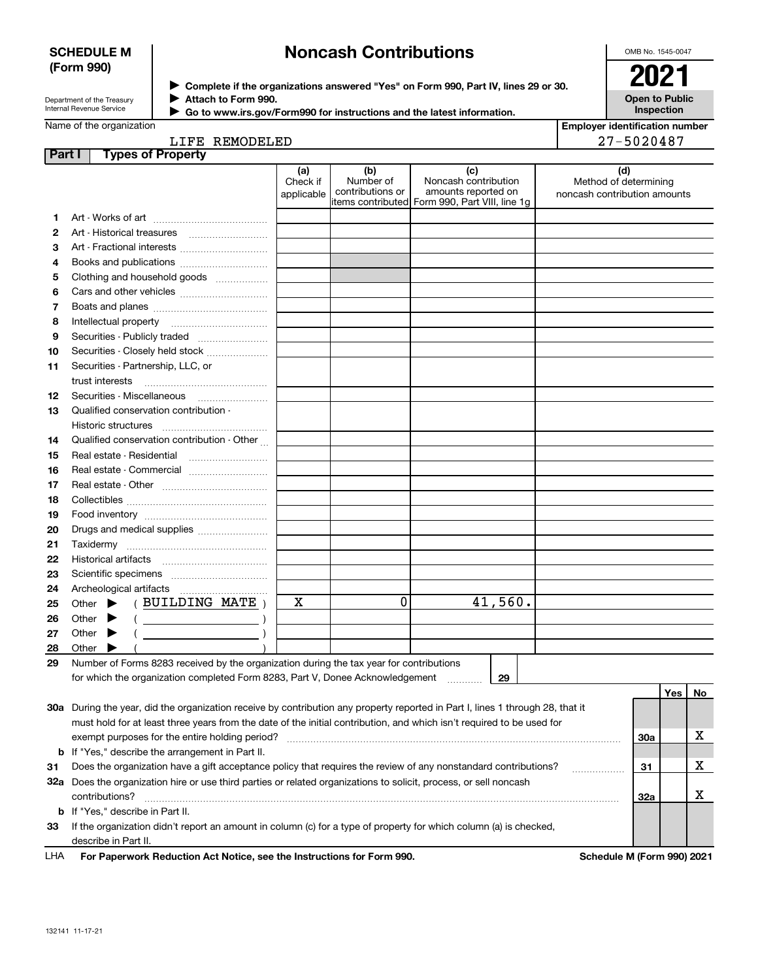## **SCHEDULE M (Form 990)**

# **Noncash Contributions**

OMB No. 1545-0047

| Department of the Treasury      |
|---------------------------------|
| <b>Internal Revenue Service</b> |

**Complete if the organizations answered "Yes" on Form 990, Part IV, lines 29 or 30.** <sup>J</sup>**2021 Attach to Form 990.** J

 **Go to www.irs.gov/Form990 for instructions and the latest information.** J

**Open to Public Inspection**

|  | Name of the organization |
|--|--------------------------|
|  |                          |

# LIFE REMODELED

| <b>Employer identification number</b> |
|---------------------------------------|
| 27-5020487                            |

| Part | <b>Types of Property</b>                                                                                                       |                               |                                      |                                                                                                      |         |                                                              |     |     |    |
|------|--------------------------------------------------------------------------------------------------------------------------------|-------------------------------|--------------------------------------|------------------------------------------------------------------------------------------------------|---------|--------------------------------------------------------------|-----|-----|----|
|      |                                                                                                                                | (a)<br>Check if<br>applicable | (b)<br>Number of<br>contributions or | (c)<br>Noncash contribution<br>amounts reported on<br>items contributed Form 990, Part VIII, line 1g |         | (d)<br>Method of determining<br>noncash contribution amounts |     |     |    |
| 1    |                                                                                                                                |                               |                                      |                                                                                                      |         |                                                              |     |     |    |
| 2    |                                                                                                                                |                               |                                      |                                                                                                      |         |                                                              |     |     |    |
| з    | Art - Fractional interests                                                                                                     |                               |                                      |                                                                                                      |         |                                                              |     |     |    |
| 4    | Books and publications                                                                                                         |                               |                                      |                                                                                                      |         |                                                              |     |     |    |
| 5    | Clothing and household goods                                                                                                   |                               |                                      |                                                                                                      |         |                                                              |     |     |    |
| 6    |                                                                                                                                |                               |                                      |                                                                                                      |         |                                                              |     |     |    |
| 7    |                                                                                                                                |                               |                                      |                                                                                                      |         |                                                              |     |     |    |
| 8    |                                                                                                                                |                               |                                      |                                                                                                      |         |                                                              |     |     |    |
| 9    | Securities - Publicly traded                                                                                                   |                               |                                      |                                                                                                      |         |                                                              |     |     |    |
| 10   | Securities - Closely held stock                                                                                                |                               |                                      |                                                                                                      |         |                                                              |     |     |    |
| 11   | Securities - Partnership, LLC, or                                                                                              |                               |                                      |                                                                                                      |         |                                                              |     |     |    |
|      | trust interests                                                                                                                |                               |                                      |                                                                                                      |         |                                                              |     |     |    |
|      |                                                                                                                                |                               |                                      |                                                                                                      |         |                                                              |     |     |    |
| 12   | Qualified conservation contribution -                                                                                          |                               |                                      |                                                                                                      |         |                                                              |     |     |    |
| 13   |                                                                                                                                |                               |                                      |                                                                                                      |         |                                                              |     |     |    |
|      | Historic structures<br>Qualified conservation contribution - Other                                                             |                               |                                      |                                                                                                      |         |                                                              |     |     |    |
| 14   |                                                                                                                                |                               |                                      |                                                                                                      |         |                                                              |     |     |    |
| 15   |                                                                                                                                |                               |                                      |                                                                                                      |         |                                                              |     |     |    |
| 16   | Real estate - Commercial                                                                                                       |                               |                                      |                                                                                                      |         |                                                              |     |     |    |
| 17   |                                                                                                                                |                               |                                      |                                                                                                      |         |                                                              |     |     |    |
| 18   |                                                                                                                                |                               |                                      |                                                                                                      |         |                                                              |     |     |    |
| 19   |                                                                                                                                |                               |                                      |                                                                                                      |         |                                                              |     |     |    |
| 20   | Drugs and medical supplies                                                                                                     |                               |                                      |                                                                                                      |         |                                                              |     |     |    |
| 21   |                                                                                                                                |                               |                                      |                                                                                                      |         |                                                              |     |     |    |
| 22   |                                                                                                                                |                               |                                      |                                                                                                      |         |                                                              |     |     |    |
| 23   |                                                                                                                                |                               |                                      |                                                                                                      |         |                                                              |     |     |    |
| 24   |                                                                                                                                |                               |                                      |                                                                                                      |         |                                                              |     |     |    |
| 25   | (BUILDING MATE)<br>Other $\blacktriangleright$                                                                                 | X                             | 0                                    |                                                                                                      | 41,560. |                                                              |     |     |    |
| 26   | Other $\blacktriangleright$<br>$($ $)$                                                                                         |                               |                                      |                                                                                                      |         |                                                              |     |     |    |
| 27   | Other $\blacktriangleright$                                                                                                    |                               |                                      |                                                                                                      |         |                                                              |     |     |    |
| 28   | Other<br>▶                                                                                                                     |                               |                                      |                                                                                                      |         |                                                              |     |     |    |
| 29   | Number of Forms 8283 received by the organization during the tax year for contributions                                        |                               |                                      |                                                                                                      |         |                                                              |     |     |    |
|      | for which the organization completed Form 8283, Part V, Donee Acknowledgement<br>29                                            |                               |                                      |                                                                                                      |         |                                                              |     |     |    |
|      |                                                                                                                                |                               |                                      |                                                                                                      |         |                                                              |     | Yes | No |
|      | 30a During the year, did the organization receive by contribution any property reported in Part I, lines 1 through 28, that it |                               |                                      |                                                                                                      |         |                                                              |     |     |    |
|      | must hold for at least three years from the date of the initial contribution, and which isn't required to be used for          |                               |                                      |                                                                                                      |         |                                                              |     |     |    |
|      | exempt purposes for the entire holding period?                                                                                 |                               |                                      |                                                                                                      |         |                                                              | 30a |     | х  |
|      | <b>b</b> If "Yes," describe the arrangement in Part II.                                                                        |                               |                                      |                                                                                                      |         |                                                              |     |     |    |
| 31   | Does the organization have a gift acceptance policy that requires the review of any nonstandard contributions?<br>.            |                               |                                      |                                                                                                      |         |                                                              | 31  |     | х  |
|      | 32a Does the organization hire or use third parties or related organizations to solicit, process, or sell noncash              |                               |                                      |                                                                                                      |         |                                                              |     |     |    |
|      | contributions?<br>32a                                                                                                          |                               |                                      |                                                                                                      |         |                                                              |     | x   |    |
|      | <b>b</b> If "Yes," describe in Part II.                                                                                        |                               |                                      |                                                                                                      |         |                                                              |     |     |    |
| 33   | If the organization didn't report an amount in column (c) for a type of property for which column (a) is checked,              |                               |                                      |                                                                                                      |         |                                                              |     |     |    |
|      | describe in Part II.                                                                                                           |                               |                                      |                                                                                                      |         |                                                              |     |     |    |
| LHA  | For Paperwork Reduction Act Notice, see the Instructions for Form 990.                                                         |                               |                                      |                                                                                                      |         | Schedule M (Form 990) 2021                                   |     |     |    |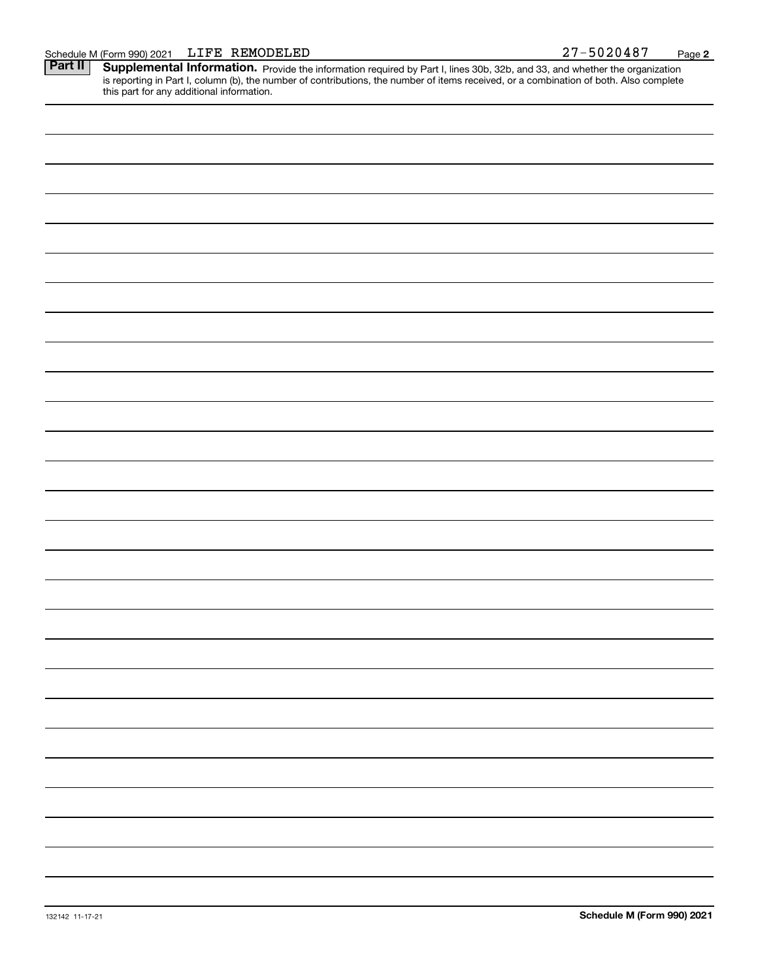Part II | Supplemental Information. Provide the information required by Part I, lines 30b, 32b, and 33, and whether the organization is reporting in Part I, column (b), the number of contributions, the number of items received, or a combination of both. Also complete this part for any additional information.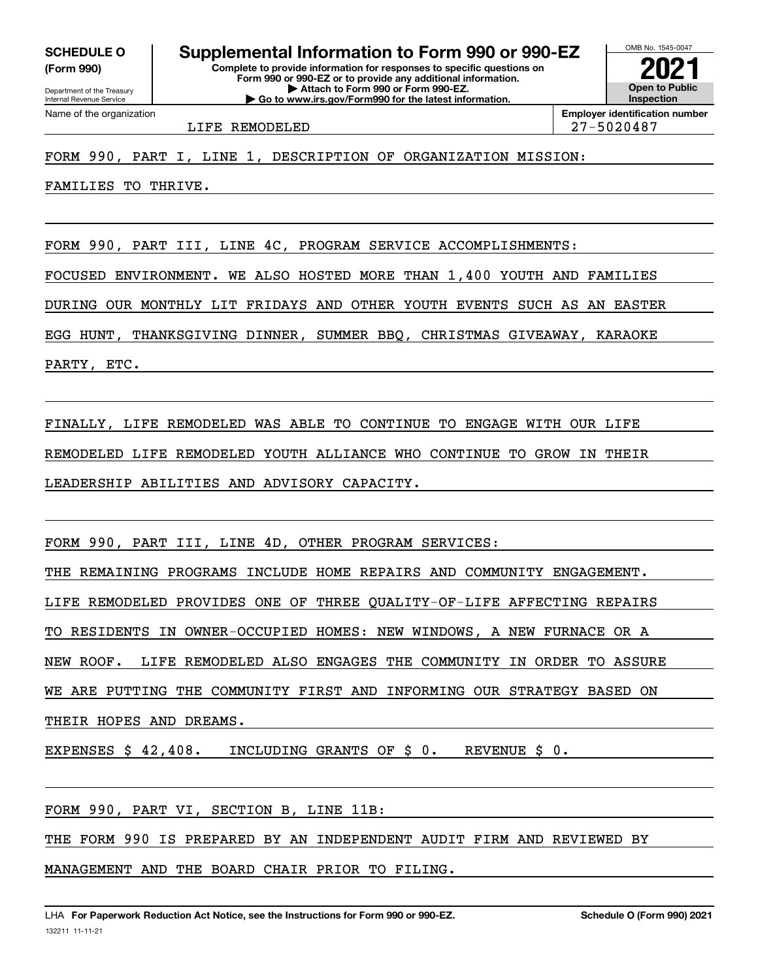**(Form 990)**

**Complete to provide information for responses to specific questions on Form 990 or 990-EZ or to provide any additional information. | Attach to Form 990 or Form 990-EZ. | Go to www.irs.gov/Form990 for the latest information. SCHEDULE O Supplemental Information to Form 990 or 990-EZ**



## FORM 990, PART I, LINE 1, DESCRIPTION OF ORGANIZATION MISSION:

FAMILIES TO THRIVE.

FORM 990, PART III, LINE 4C, PROGRAM SERVICE ACCOMPLISHMENTS:

FOCUSED ENVIRONMENT. WE ALSO HOSTED MORE THAN 1,400 YOUTH AND FAMILIES

DURING OUR MONTHLY LIT FRIDAYS AND OTHER YOUTH EVENTS SUCH AS AN EASTER

EGG HUNT, THANKSGIVING DINNER, SUMMER BBQ, CHRISTMAS GIVEAWAY, KARAOKE

PARTY, ETC.

FINALLY, LIFE REMODELED WAS ABLE TO CONTINUE TO ENGAGE WITH OUR LIFE

REMODELED LIFE REMODELED YOUTH ALLIANCE WHO CONTINUE TO GROW IN THEIR

LEADERSHIP ABILITIES AND ADVISORY CAPACITY.

FORM 990, PART III, LINE 4D, OTHER PROGRAM SERVICES:

THE REMAINING PROGRAMS INCLUDE HOME REPAIRS AND COMMUNITY ENGAGEMENT.

LIFE REMODELED PROVIDES ONE OF THREE QUALITY-OF-LIFE AFFECTING REPAIRS

TO RESIDENTS IN OWNER-OCCUPIED HOMES: NEW WINDOWS, A NEW FURNACE OR A

NEW ROOF. LIFE REMODELED ALSO ENGAGES THE COMMUNITY IN ORDER TO ASSURE

WE ARE PUTTING THE COMMUNITY FIRST AND INFORMING OUR STRATEGY BASED ON

THEIR HOPES AND DREAMS.

EXPENSES \$ 42,408. INCLUDING GRANTS OF \$ 0. REVENUE \$ 0.

FORM 990, PART VI, SECTION B, LINE 11B:

THE FORM 990 IS PREPARED BY AN INDEPENDENT AUDIT FIRM AND REVIEWED BY

MANAGEMENT AND THE BOARD CHAIR PRIOR TO FILING.